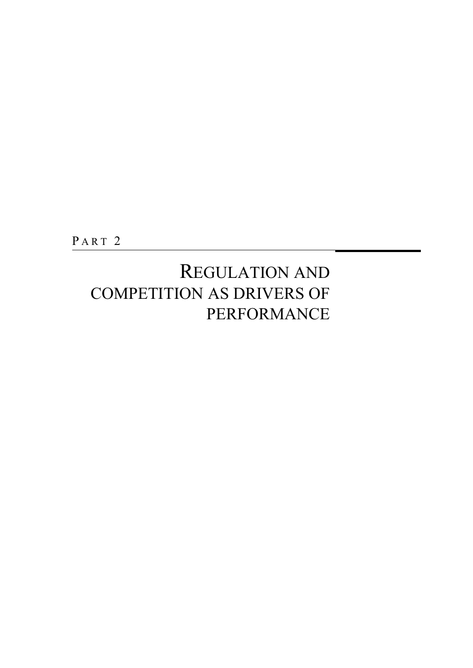PART<sub>2</sub>

## REGULATION AND COMPETITION AS DRIVERS OF PERFORMANCE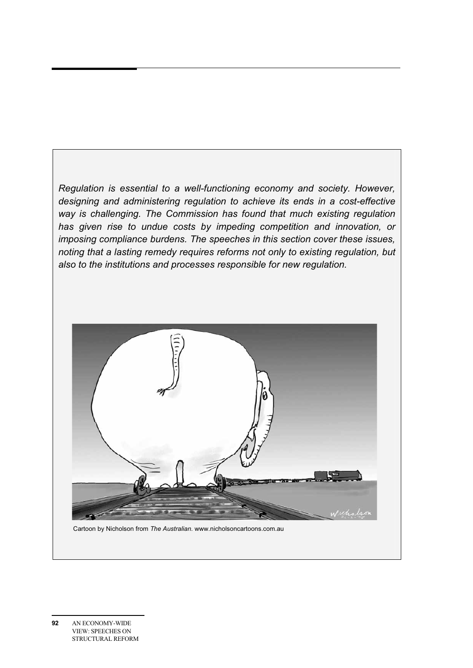*Regulation is essential to a well-functioning economy and society. However, designing and administering regulation to achieve its ends in a cost-effective way is challenging. The Commission has found that much existing regulation has given rise to undue costs by impeding competition and innovation, or imposing compliance burdens. The speeches in this section cover these issues, noting that a lasting remedy requires reforms not only to existing regulation, but also to the institutions and processes responsible for new regulation.* 



Cartoon by Nicholson from *The Australian*. www.nicholsoncartoons.com.au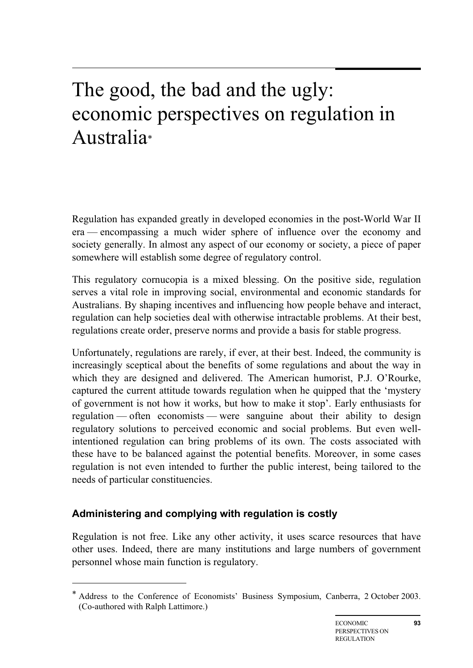# The good, the bad and the ugly: economic perspectives on regulation in Australia\*

Regulation has expanded greatly in developed economies in the post-World War II era — encompassing a much wider sphere of influence over the economy and society generally. In almost any aspect of our economy or society, a piece of paper somewhere will establish some degree of regulatory control.

This regulatory cornucopia is a mixed blessing. On the positive side, regulation serves a vital role in improving social, environmental and economic standards for Australians. By shaping incentives and influencing how people behave and interact, regulation can help societies deal with otherwise intractable problems. At their best, regulations create order, preserve norms and provide a basis for stable progress.

Unfortunately, regulations are rarely, if ever, at their best. Indeed, the community is increasingly sceptical about the benefits of some regulations and about the way in which they are designed and delivered. The American humorist, P.J. O'Rourke, captured the current attitude towards regulation when he quipped that the 'mystery of government is not how it works, but how to make it stop'. Early enthusiasts for regulation — often economists — were sanguine about their ability to design regulatory solutions to perceived economic and social problems. But even wellintentioned regulation can bring problems of its own. The costs associated with these have to be balanced against the potential benefits. Moreover, in some cases regulation is not even intended to further the public interest, being tailored to the needs of particular constituencies.

## **Administering and complying with regulation is costly**

 $\overline{a}$ 

Regulation is not free. Like any other activity, it uses scarce resources that have other uses. Indeed, there are many institutions and large numbers of government personnel whose main function is regulatory.

<sup>\*</sup> Address to the Conference of Economists' Business Symposium, Canberra, 2 October 2003. (Co-authored with Ralph Lattimore.)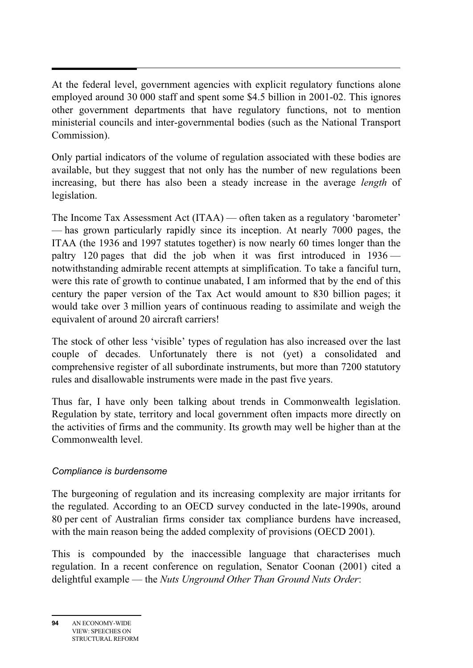At the federal level, government agencies with explicit regulatory functions alone employed around 30 000 staff and spent some \$4.5 billion in 2001-02. This ignores other government departments that have regulatory functions, not to mention ministerial councils and inter-governmental bodies (such as the National Transport Commission).

Only partial indicators of the volume of regulation associated with these bodies are available, but they suggest that not only has the number of new regulations been increasing, but there has also been a steady increase in the average *length* of legislation.

The Income Tax Assessment Act (ITAA) — often taken as a regulatory 'barometer' — has grown particularly rapidly since its inception. At nearly 7000 pages, the ITAA (the 1936 and 1997 statutes together) is now nearly 60 times longer than the paltry 120 pages that did the job when it was first introduced in 1936 notwithstanding admirable recent attempts at simplification. To take a fanciful turn, were this rate of growth to continue unabated, I am informed that by the end of this century the paper version of the Tax Act would amount to 830 billion pages; it would take over 3 million years of continuous reading to assimilate and weigh the equivalent of around 20 aircraft carriers!

The stock of other less 'visible' types of regulation has also increased over the last couple of decades. Unfortunately there is not (yet) a consolidated and comprehensive register of all subordinate instruments, but more than 7200 statutory rules and disallowable instruments were made in the past five years.

Thus far, I have only been talking about trends in Commonwealth legislation. Regulation by state, territory and local government often impacts more directly on the activities of firms and the community. Its growth may well be higher than at the Commonwealth level.

### *Compliance is burdensome*

The burgeoning of regulation and its increasing complexity are major irritants for the regulated. According to an OECD survey conducted in the late-1990s, around 80 per cent of Australian firms consider tax compliance burdens have increased, with the main reason being the added complexity of provisions (OECD 2001).

This is compounded by the inaccessible language that characterises much regulation. In a recent conference on regulation, Senator Coonan (2001) cited a delightful example — the *Nuts Unground Other Than Ground Nuts Order*: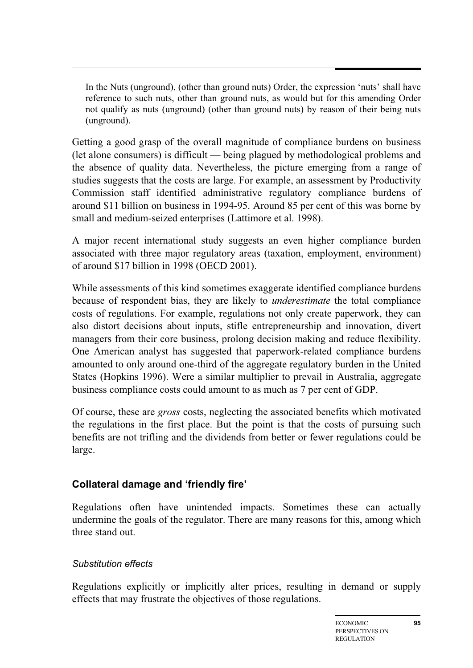In the Nuts (unground), (other than ground nuts) Order, the expression 'nuts' shall have reference to such nuts, other than ground nuts, as would but for this amending Order not qualify as nuts (unground) (other than ground nuts) by reason of their being nuts (unground).

Getting a good grasp of the overall magnitude of compliance burdens on business (let alone consumers) is difficult — being plagued by methodological problems and the absence of quality data. Nevertheless, the picture emerging from a range of studies suggests that the costs are large. For example, an assessment by Productivity Commission staff identified administrative regulatory compliance burdens of around \$11 billion on business in 1994-95. Around 85 per cent of this was borne by small and medium-seized enterprises (Lattimore et al. 1998).

A major recent international study suggests an even higher compliance burden associated with three major regulatory areas (taxation, employment, environment) of around \$17 billion in 1998 (OECD 2001).

While assessments of this kind sometimes exaggerate identified compliance burdens because of respondent bias, they are likely to *underestimate* the total compliance costs of regulations. For example, regulations not only create paperwork, they can also distort decisions about inputs, stifle entrepreneurship and innovation, divert managers from their core business, prolong decision making and reduce flexibility. One American analyst has suggested that paperwork-related compliance burdens amounted to only around one-third of the aggregate regulatory burden in the United States (Hopkins 1996). Were a similar multiplier to prevail in Australia, aggregate business compliance costs could amount to as much as 7 per cent of GDP.

Of course, these are *gross* costs, neglecting the associated benefits which motivated the regulations in the first place. But the point is that the costs of pursuing such benefits are not trifling and the dividends from better or fewer regulations could be large.

## **Collateral damage and 'friendly fire'**

Regulations often have unintended impacts. Sometimes these can actually undermine the goals of the regulator. There are many reasons for this, among which three stand out.

### *Substitution effects*

Regulations explicitly or implicitly alter prices, resulting in demand or supply effects that may frustrate the objectives of those regulations.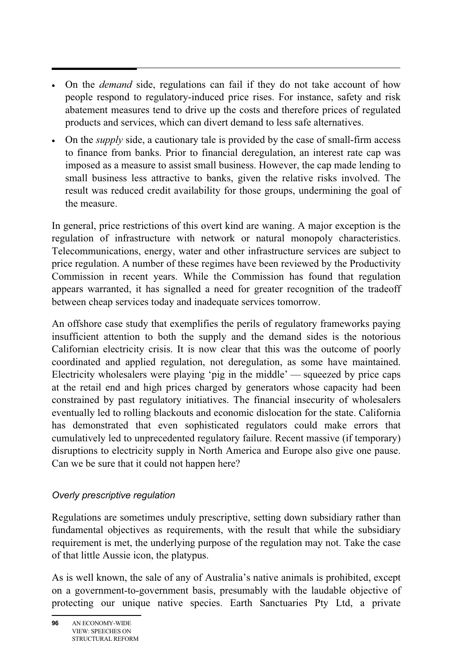- • On the *demand* side, regulations can fail if they do not take account of how people respond to regulatory-induced price rises. For instance, safety and risk abatement measures tend to drive up the costs and therefore prices of regulated products and services, which can divert demand to less safe alternatives.
- On the *supply* side, a cautionary tale is provided by the case of small-firm access to finance from banks. Prior to financial deregulation, an interest rate cap was imposed as a measure to assist small business. However, the cap made lending to small business less attractive to banks, given the relative risks involved. The result was reduced credit availability for those groups, undermining the goal of the measure.

In general, price restrictions of this overt kind are waning. A major exception is the regulation of infrastructure with network or natural monopoly characteristics. Telecommunications, energy, water and other infrastructure services are subject to price regulation. A number of these regimes have been reviewed by the Productivity Commission in recent years. While the Commission has found that regulation appears warranted, it has signalled a need for greater recognition of the tradeoff between cheap services today and inadequate services tomorrow.

An offshore case study that exemplifies the perils of regulatory frameworks paying insufficient attention to both the supply and the demand sides is the notorious Californian electricity crisis. It is now clear that this was the outcome of poorly coordinated and applied regulation, not deregulation, as some have maintained. Electricity wholesalers were playing 'pig in the middle' — squeezed by price caps at the retail end and high prices charged by generators whose capacity had been constrained by past regulatory initiatives. The financial insecurity of wholesalers eventually led to rolling blackouts and economic dislocation for the state. California has demonstrated that even sophisticated regulators could make errors that cumulatively led to unprecedented regulatory failure. Recent massive (if temporary) disruptions to electricity supply in North America and Europe also give one pause. Can we be sure that it could not happen here?

### *Overly prescriptive regulation*

Regulations are sometimes unduly prescriptive, setting down subsidiary rather than fundamental objectives as requirements, with the result that while the subsidiary requirement is met, the underlying purpose of the regulation may not. Take the case of that little Aussie icon, the platypus.

As is well known, the sale of any of Australia's native animals is prohibited, except on a government-to-government basis, presumably with the laudable objective of protecting our unique native species. Earth Sanctuaries Pty Ltd, a private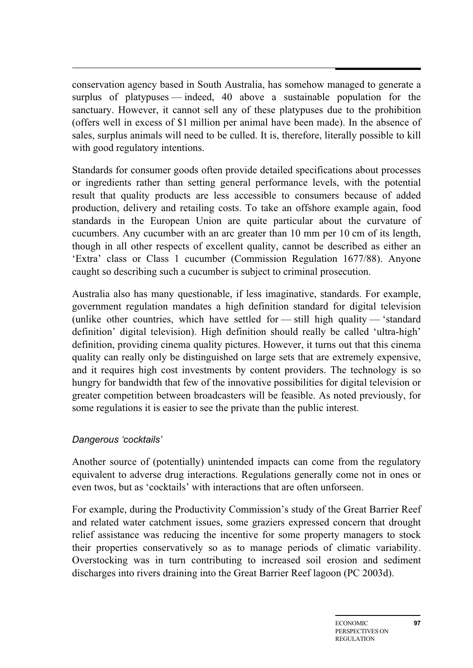conservation agency based in South Australia, has somehow managed to generate a surplus of platypuses — indeed, 40 above a sustainable population for the sanctuary. However, it cannot sell any of these platypuses due to the prohibition (offers well in excess of \$1 million per animal have been made). In the absence of sales, surplus animals will need to be culled. It is, therefore, literally possible to kill with good regulatory intentions.

Standards for consumer goods often provide detailed specifications about processes or ingredients rather than setting general performance levels, with the potential result that quality products are less accessible to consumers because of added production, delivery and retailing costs. To take an offshore example again, food standards in the European Union are quite particular about the curvature of cucumbers. Any cucumber with an arc greater than 10 mm per 10 cm of its length, though in all other respects of excellent quality, cannot be described as either an 'Extra' class or Class 1 cucumber (Commission Regulation 1677/88). Anyone caught so describing such a cucumber is subject to criminal prosecution.

Australia also has many questionable, if less imaginative, standards. For example, government regulation mandates a high definition standard for digital television (unlike other countries, which have settled for  $-$  still high quality  $-$  'standard definition' digital television). High definition should really be called 'ultra-high' definition, providing cinema quality pictures. However, it turns out that this cinema quality can really only be distinguished on large sets that are extremely expensive, and it requires high cost investments by content providers. The technology is so hungry for bandwidth that few of the innovative possibilities for digital television or greater competition between broadcasters will be feasible. As noted previously, for some regulations it is easier to see the private than the public interest.

#### *Dangerous 'cocktails'*

Another source of (potentially) unintended impacts can come from the regulatory equivalent to adverse drug interactions. Regulations generally come not in ones or even twos, but as 'cocktails' with interactions that are often unforseen.

For example, during the Productivity Commission's study of the Great Barrier Reef and related water catchment issues, some graziers expressed concern that drought relief assistance was reducing the incentive for some property managers to stock their properties conservatively so as to manage periods of climatic variability. Overstocking was in turn contributing to increased soil erosion and sediment discharges into rivers draining into the Great Barrier Reef lagoon (PC 2003d).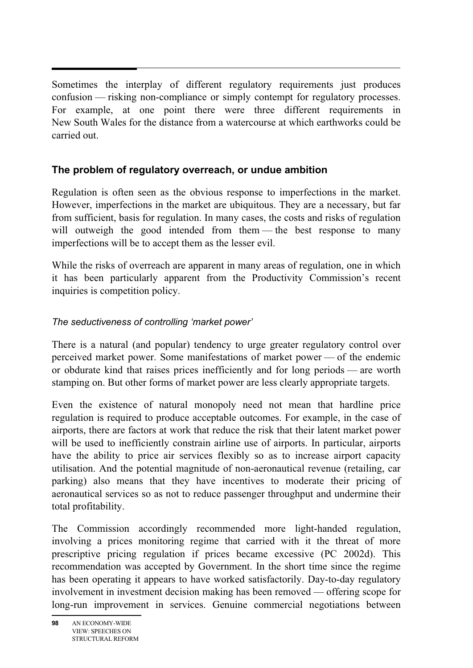Sometimes the interplay of different regulatory requirements just produces confusion — risking non-compliance or simply contempt for regulatory processes. For example, at one point there were three different requirements in New South Wales for the distance from a watercourse at which earthworks could be carried out.

## **The problem of regulatory overreach, or undue ambition**

Regulation is often seen as the obvious response to imperfections in the market. However, imperfections in the market are ubiquitous. They are a necessary, but far from sufficient, basis for regulation. In many cases, the costs and risks of regulation will outweigh the good intended from them — the best response to many imperfections will be to accept them as the lesser evil.

While the risks of overreach are apparent in many areas of regulation, one in which it has been particularly apparent from the Productivity Commission's recent inquiries is competition policy.

### *The seductiveness of controlling 'market power'*

There is a natural (and popular) tendency to urge greater regulatory control over perceived market power. Some manifestations of market power — of the endemic or obdurate kind that raises prices inefficiently and for long periods — are worth stamping on. But other forms of market power are less clearly appropriate targets.

Even the existence of natural monopoly need not mean that hardline price regulation is required to produce acceptable outcomes. For example, in the case of airports, there are factors at work that reduce the risk that their latent market power will be used to inefficiently constrain airline use of airports. In particular, airports have the ability to price air services flexibly so as to increase airport capacity utilisation. And the potential magnitude of non-aeronautical revenue (retailing, car parking) also means that they have incentives to moderate their pricing of aeronautical services so as not to reduce passenger throughput and undermine their total profitability.

The Commission accordingly recommended more light-handed regulation, involving a prices monitoring regime that carried with it the threat of more prescriptive pricing regulation if prices became excessive (PC 2002d). This recommendation was accepted by Government. In the short time since the regime has been operating it appears to have worked satisfactorily. Day-to-day regulatory involvement in investment decision making has been removed — offering scope for long-run improvement in services. Genuine commercial negotiations between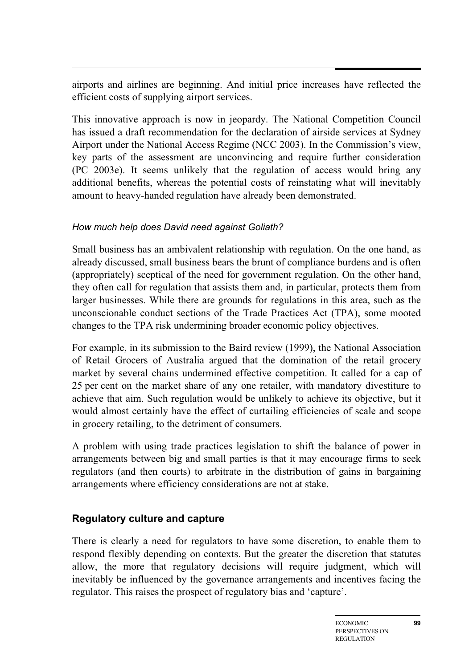airports and airlines are beginning. And initial price increases have reflected the efficient costs of supplying airport services.

This innovative approach is now in jeopardy. The National Competition Council has issued a draft recommendation for the declaration of airside services at Sydney Airport under the National Access Regime (NCC 2003). In the Commission's view, key parts of the assessment are unconvincing and require further consideration (PC 2003e). It seems unlikely that the regulation of access would bring any additional benefits, whereas the potential costs of reinstating what will inevitably amount to heavy-handed regulation have already been demonstrated.

### *How much help does David need against Goliath?*

Small business has an ambivalent relationship with regulation. On the one hand, as already discussed, small business bears the brunt of compliance burdens and is often (appropriately) sceptical of the need for government regulation. On the other hand, they often call for regulation that assists them and, in particular, protects them from larger businesses. While there are grounds for regulations in this area, such as the unconscionable conduct sections of the Trade Practices Act (TPA), some mooted changes to the TPA risk undermining broader economic policy objectives.

For example, in its submission to the Baird review (1999), the National Association of Retail Grocers of Australia argued that the domination of the retail grocery market by several chains undermined effective competition. It called for a cap of 25 per cent on the market share of any one retailer, with mandatory divestiture to achieve that aim. Such regulation would be unlikely to achieve its objective, but it would almost certainly have the effect of curtailing efficiencies of scale and scope in grocery retailing, to the detriment of consumers.

A problem with using trade practices legislation to shift the balance of power in arrangements between big and small parties is that it may encourage firms to seek regulators (and then courts) to arbitrate in the distribution of gains in bargaining arrangements where efficiency considerations are not at stake.

## **Regulatory culture and capture**

There is clearly a need for regulators to have some discretion, to enable them to respond flexibly depending on contexts. But the greater the discretion that statutes allow, the more that regulatory decisions will require judgment, which will inevitably be influenced by the governance arrangements and incentives facing the regulator. This raises the prospect of regulatory bias and 'capture'.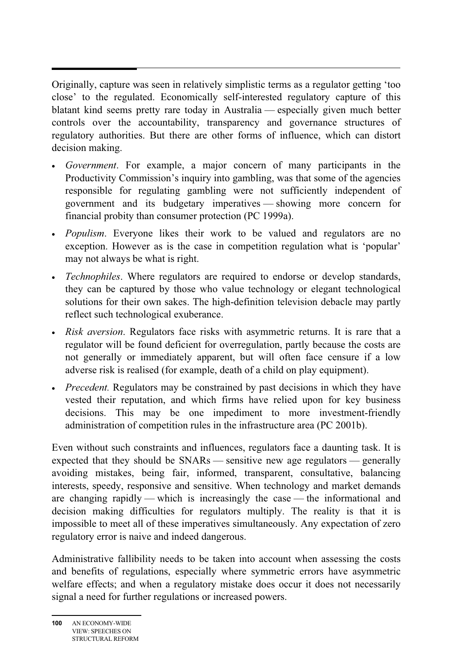Originally, capture was seen in relatively simplistic terms as a regulator getting 'too close' to the regulated. Economically self-interested regulatory capture of this blatant kind seems pretty rare today in Australia — especially given much better controls over the accountability, transparency and governance structures of regulatory authorities. But there are other forms of influence, which can distort decision making.

- *Government*. For example, a major concern of many participants in the Productivity Commission's inquiry into gambling, was that some of the agencies responsible for regulating gambling were not sufficiently independent of government and its budgetary imperatives — showing more concern for financial probity than consumer protection (PC 1999a).
- *Populism*. Everyone likes their work to be valued and regulators are no exception. However as is the case in competition regulation what is 'popular' may not always be what is right.
- *Technophiles*. Where regulators are required to endorse or develop standards, they can be captured by those who value technology or elegant technological solutions for their own sakes. The high-definition television debacle may partly reflect such technological exuberance.
- *Risk aversion*. Regulators face risks with asymmetric returns. It is rare that a regulator will be found deficient for overregulation, partly because the costs are not generally or immediately apparent, but will often face censure if a low adverse risk is realised (for example, death of a child on play equipment).
- *Precedent*. Regulators may be constrained by past decisions in which they have vested their reputation, and which firms have relied upon for key business decisions. This may be one impediment to more investment-friendly administration of competition rules in the infrastructure area (PC 2001b).

Even without such constraints and influences, regulators face a daunting task. It is expected that they should be SNARs — sensitive new age regulators — generally avoiding mistakes, being fair, informed, transparent, consultative, balancing interests, speedy, responsive and sensitive. When technology and market demands are changing rapidly — which is increasingly the case — the informational and decision making difficulties for regulators multiply. The reality is that it is impossible to meet all of these imperatives simultaneously. Any expectation of zero regulatory error is naive and indeed dangerous.

Administrative fallibility needs to be taken into account when assessing the costs and benefits of regulations, especially where symmetric errors have asymmetric welfare effects; and when a regulatory mistake does occur it does not necessarily signal a need for further regulations or increased powers.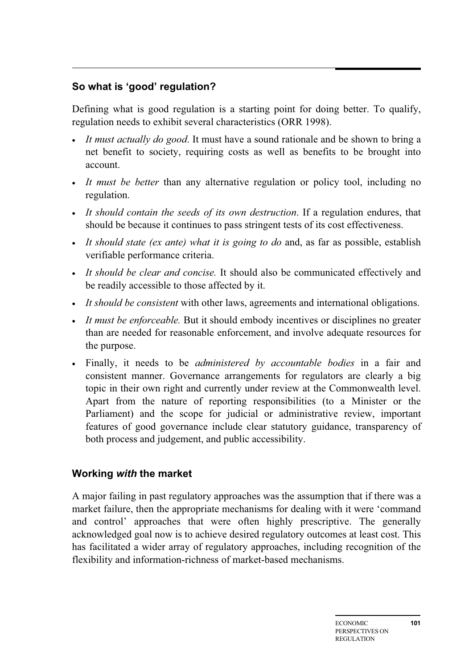## **So what is 'good' regulation?**

Defining what is good regulation is a starting point for doing better. To qualify, regulation needs to exhibit several characteristics (ORR 1998).

- *It must actually do good*. It must have a sound rationale and be shown to bring a net benefit to society, requiring costs as well as benefits to be brought into account.
- *It must be better* than any alternative regulation or policy tool, including no regulation.
- *It should contain the seeds of its own destruction*. If a regulation endures, that should be because it continues to pass stringent tests of its cost effectiveness.
- *It should state (ex ante) what it is going to do* and, as far as possible, establish verifiable performance criteria.
- *It should be clear and concise.* It should also be communicated effectively and be readily accessible to those affected by it.
- *It should be consistent* with other laws, agreements and international obligations.
- *It must be enforceable*. But it should embody incentives or disciplines no greater than are needed for reasonable enforcement, and involve adequate resources for the purpose.
- Finally, it needs to be *administered by accountable bodies* in a fair and consistent manner. Governance arrangements for regulators are clearly a big topic in their own right and currently under review at the Commonwealth level. Apart from the nature of reporting responsibilities (to a Minister or the Parliament) and the scope for judicial or administrative review, important features of good governance include clear statutory guidance, transparency of both process and judgement, and public accessibility.

## **Working** *with* **the market**

A major failing in past regulatory approaches was the assumption that if there was a market failure, then the appropriate mechanisms for dealing with it were 'command and control' approaches that were often highly prescriptive. The generally acknowledged goal now is to achieve desired regulatory outcomes at least cost. This has facilitated a wider array of regulatory approaches, including recognition of the flexibility and information-richness of market-based mechanisms.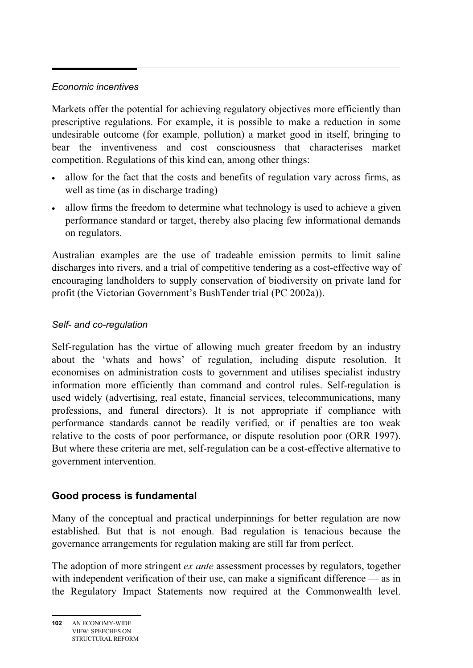## *Economic incentives*

Markets offer the potential for achieving regulatory objectives more efficiently than prescriptive regulations. For example, it is possible to make a reduction in some undesirable outcome (for example, pollution) a market good in itself, bringing to bear the inventiveness and cost consciousness that characterises market competition. Regulations of this kind can, among other things:

- allow for the fact that the costs and benefits of regulation vary across firms, as well as time (as in discharge trading)
- allow firms the freedom to determine what technology is used to achieve a given performance standard or target, thereby also placing few informational demands on regulators.

Australian examples are the use of tradeable emission permits to limit saline discharges into rivers, and a trial of competitive tendering as a cost-effective way of encouraging landholders to supply conservation of biodiversity on private land for profit (the Victorian Government's BushTender trial (PC 2002a)).

### *Self- and co-regulation*

Self-regulation has the virtue of allowing much greater freedom by an industry about the 'whats and hows' of regulation, including dispute resolution. It economises on administration costs to government and utilises specialist industry information more efficiently than command and control rules. Self-regulation is used widely (advertising, real estate, financial services, telecommunications, many professions, and funeral directors). It is not appropriate if compliance with performance standards cannot be readily verified, or if penalties are too weak relative to the costs of poor performance, or dispute resolution poor (ORR 1997). But where these criteria are met, self-regulation can be a cost-effective alternative to government intervention.

### **Good process is fundamental**

Many of the conceptual and practical underpinnings for better regulation are now established. But that is not enough. Bad regulation is tenacious because the governance arrangements for regulation making are still far from perfect.

The adoption of more stringent *ex ante* assessment processes by regulators, together with independent verification of their use, can make a significant difference — as in the Regulatory Impact Statements now required at the Commonwealth level.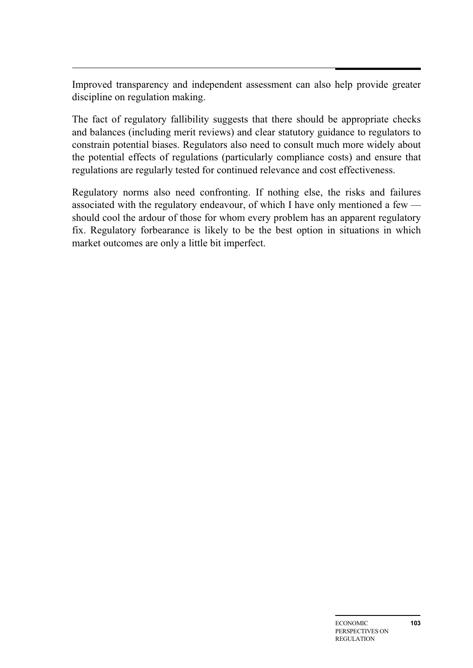Improved transparency and independent assessment can also help provide greater discipline on regulation making.

The fact of regulatory fallibility suggests that there should be appropriate checks and balances (including merit reviews) and clear statutory guidance to regulators to constrain potential biases. Regulators also need to consult much more widely about the potential effects of regulations (particularly compliance costs) and ensure that regulations are regularly tested for continued relevance and cost effectiveness.

Regulatory norms also need confronting. If nothing else, the risks and failures associated with the regulatory endeavour, of which I have only mentioned a few should cool the ardour of those for whom every problem has an apparent regulatory fix. Regulatory forbearance is likely to be the best option in situations in which market outcomes are only a little bit imperfect.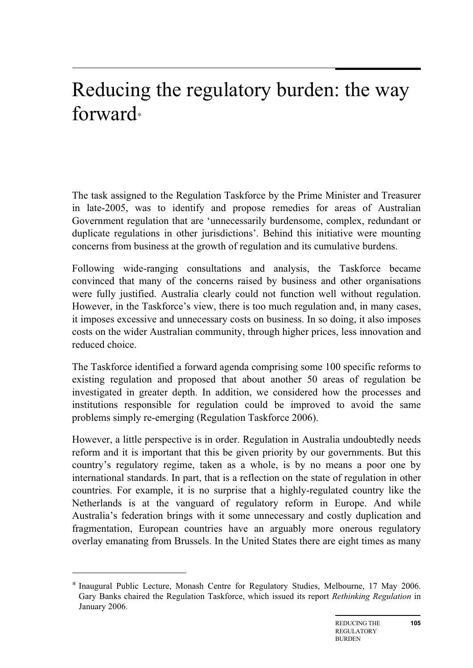## Reducing the regulatory burden: the way forward<sup>∗</sup>

The task assigned to the Regulation Taskforce by the Prime Minister and Treasurer in late-2005, was to identify and propose remedies for areas of Australian Government regulation that are 'unnecessarily burdensome, complex, redundant or duplicate regulations in other jurisdictions'. Behind this initiative were mounting concerns from business at the growth of regulation and its cumulative burdens.

Following wide-ranging consultations and analysis, the Taskforce became convinced that many of the concerns raised by business and other organisations were fully justified. Australia clearly could not function well without regulation. However, in the Taskforce's view, there is too much regulation and, in many cases, it imposes excessive and unnecessary costs on business. In so doing, it also imposes costs on the wider Australian community, through higher prices, less innovation and reduced choice.

The Taskforce identified a forward agenda comprising some 100 specific reforms to existing regulation and proposed that about another 50 areas of regulation be investigated in greater depth. In addition, we considered how the processes and institutions responsible for regulation could be improved to avoid the same problems simply re-emerging (Regulation Taskforce 2006).

However, a little perspective is in order. Regulation in Australia undoubtedly needs reform and it is important that this be given priority by our governments. But this country's regulatory regime, taken as a whole, is by no means a poor one by international standards. In part, that is a reflection on the state of regulation in other countries. For example, it is no surprise that a highly-regulated country like the Netherlands is at the vanguard of regulatory reform in Europe. And while Australia's federation brings with it some unnecessary and costly duplication and fragmentation, European countries have an arguably more onerous regulatory overlay emanating from Brussels. In the United States there are eight times as many

 $\overline{a}$ 

Inaugural Public Lecture, Monash Centre for Regulatory Studies, Melbourne, 17 May 2006. Gary Banks chaired the Regulation Taskforce, which issued its report *Rethinking Regulation* in January 2006.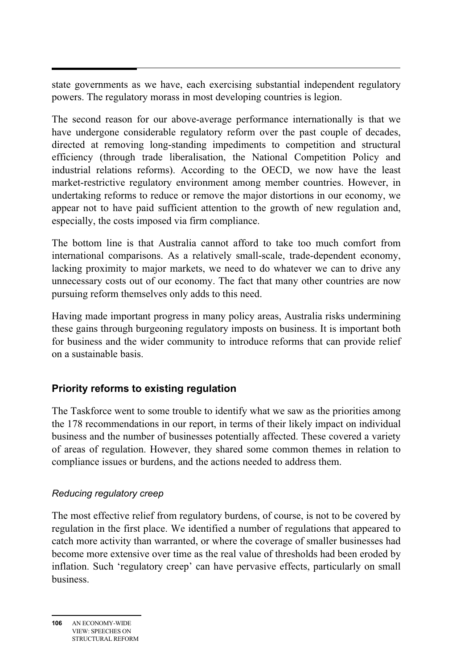state governments as we have, each exercising substantial independent regulatory powers. The regulatory morass in most developing countries is legion.

The second reason for our above-average performance internationally is that we have undergone considerable regulatory reform over the past couple of decades, directed at removing long-standing impediments to competition and structural efficiency (through trade liberalisation, the National Competition Policy and industrial relations reforms). According to the OECD, we now have the least market-restrictive regulatory environment among member countries. However, in undertaking reforms to reduce or remove the major distortions in our economy, we appear not to have paid sufficient attention to the growth of new regulation and, especially, the costs imposed via firm compliance.

The bottom line is that Australia cannot afford to take too much comfort from international comparisons. As a relatively small-scale, trade-dependent economy, lacking proximity to major markets, we need to do whatever we can to drive any unnecessary costs out of our economy. The fact that many other countries are now pursuing reform themselves only adds to this need.

Having made important progress in many policy areas, Australia risks undermining these gains through burgeoning regulatory imposts on business. It is important both for business and the wider community to introduce reforms that can provide relief on a sustainable basis.

## **Priority reforms to existing regulation**

The Taskforce went to some trouble to identify what we saw as the priorities among the 178 recommendations in our report, in terms of their likely impact on individual business and the number of businesses potentially affected. These covered a variety of areas of regulation. However, they shared some common themes in relation to compliance issues or burdens, and the actions needed to address them.

### *Reducing regulatory creep*

The most effective relief from regulatory burdens, of course, is not to be covered by regulation in the first place. We identified a number of regulations that appeared to catch more activity than warranted, or where the coverage of smaller businesses had become more extensive over time as the real value of thresholds had been eroded by inflation. Such 'regulatory creep' can have pervasive effects, particularly on small business.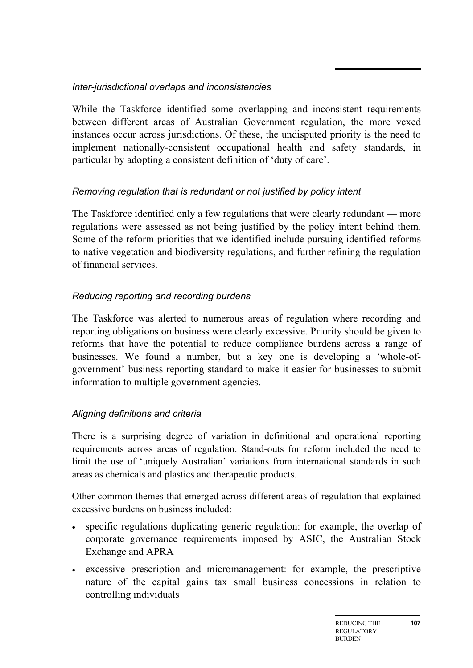## *Inter-jurisdictional overlaps and inconsistencies*

While the Taskforce identified some overlapping and inconsistent requirements between different areas of Australian Government regulation, the more vexed instances occur across jurisdictions. Of these, the undisputed priority is the need to implement nationally-consistent occupational health and safety standards, in particular by adopting a consistent definition of 'duty of care'.

### *Removing regulation that is redundant or not justified by policy intent*

The Taskforce identified only a few regulations that were clearly redundant — more regulations were assessed as not being justified by the policy intent behind them. Some of the reform priorities that we identified include pursuing identified reforms to native vegetation and biodiversity regulations, and further refining the regulation of financial services.

## *Reducing reporting and recording burdens*

The Taskforce was alerted to numerous areas of regulation where recording and reporting obligations on business were clearly excessive. Priority should be given to reforms that have the potential to reduce compliance burdens across a range of businesses. We found a number, but a key one is developing a 'whole-ofgovernment' business reporting standard to make it easier for businesses to submit information to multiple government agencies.

## *Aligning definitions and criteria*

There is a surprising degree of variation in definitional and operational reporting requirements across areas of regulation. Stand-outs for reform included the need to limit the use of 'uniquely Australian' variations from international standards in such areas as chemicals and plastics and therapeutic products.

Other common themes that emerged across different areas of regulation that explained excessive burdens on business included:

- specific regulations duplicating generic regulation: for example, the overlap of corporate governance requirements imposed by ASIC, the Australian Stock Exchange and APRA
- excessive prescription and micromanagement: for example, the prescriptive nature of the capital gains tax small business concessions in relation to controlling individuals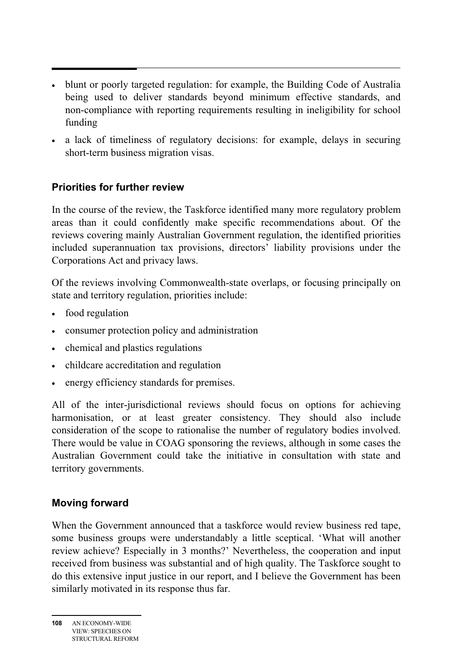- • blunt or poorly targeted regulation: for example, the Building Code of Australia being used to deliver standards beyond minimum effective standards, and non-compliance with reporting requirements resulting in ineligibility for school funding
- a lack of timeliness of regulatory decisions: for example, delays in securing short-term business migration visas.

### **Priorities for further review**

In the course of the review, the Taskforce identified many more regulatory problem areas than it could confidently make specific recommendations about. Of the reviews covering mainly Australian Government regulation, the identified priorities included superannuation tax provisions, directors' liability provisions under the Corporations Act and privacy laws.

Of the reviews involving Commonwealth-state overlaps, or focusing principally on state and territory regulation, priorities include:

- food regulation
- consumer protection policy and administration
- chemical and plastics regulations
- childcare accreditation and regulation
- energy efficiency standards for premises.

All of the inter-jurisdictional reviews should focus on options for achieving harmonisation, or at least greater consistency. They should also include consideration of the scope to rationalise the number of regulatory bodies involved. There would be value in COAG sponsoring the reviews, although in some cases the Australian Government could take the initiative in consultation with state and territory governments.

## **Moving forward**

When the Government announced that a taskforce would review business red tape, some business groups were understandably a little sceptical. 'What will another review achieve? Especially in 3 months?' Nevertheless, the cooperation and input received from business was substantial and of high quality. The Taskforce sought to do this extensive input justice in our report, and I believe the Government has been similarly motivated in its response thus far.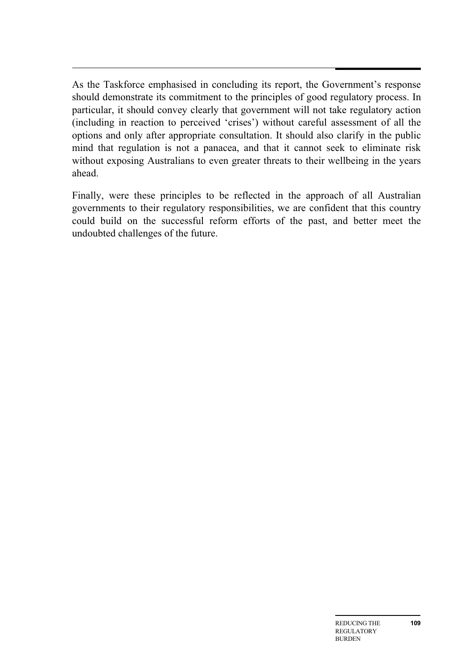As the Taskforce emphasised in concluding its report, the Government's response should demonstrate its commitment to the principles of good regulatory process. In particular, it should convey clearly that government will not take regulatory action (including in reaction to perceived 'crises') without careful assessment of all the options and only after appropriate consultation. It should also clarify in the public mind that regulation is not a panacea, and that it cannot seek to eliminate risk without exposing Australians to even greater threats to their wellbeing in the years ahead.

Finally, were these principles to be reflected in the approach of all Australian governments to their regulatory responsibilities, we are confident that this country could build on the successful reform efforts of the past, and better meet the undoubted challenges of the future.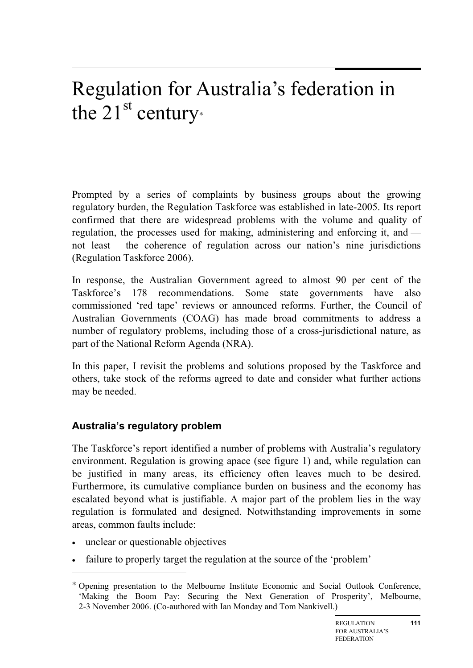## Regulation for Australia's federation in the  $21^{\text{st}}$  century∗

Prompted by a series of complaints by business groups about the growing regulatory burden, the Regulation Taskforce was established in late-2005. Its report confirmed that there are widespread problems with the volume and quality of regulation, the processes used for making, administering and enforcing it, and not least — the coherence of regulation across our nation's nine jurisdictions (Regulation Taskforce 2006).

In response, the Australian Government agreed to almost 90 per cent of the Taskforce's 178 recommendations. Some state governments have also commissioned 'red tape' reviews or announced reforms. Further, the Council of Australian Governments (COAG) has made broad commitments to address a number of regulatory problems, including those of a cross-jurisdictional nature, as part of the National Reform Agenda (NRA).

In this paper, I revisit the problems and solutions proposed by the Taskforce and others, take stock of the reforms agreed to date and consider what further actions may be needed.

## **Australia's regulatory problem**

The Taskforce's report identified a number of problems with Australia's regulatory environment. Regulation is growing apace (see figure 1) and, while regulation can be justified in many areas, its efficiency often leaves much to be desired. Furthermore, its cumulative compliance burden on business and the economy has escalated beyond what is justifiable. A major part of the problem lies in the way regulation is formulated and designed. Notwithstanding improvements in some areas, common faults include:

• unclear or questionable objectives

 $\overline{a}$ 

• failure to properly target the regulation at the source of the 'problem'

<sup>∗</sup> Opening presentation to the Melbourne Institute Economic and Social Outlook Conference, 'Making the Boom Pay: Securing the Next Generation of Prosperity', Melbourne, 2-3 November 2006. (Co-authored with Ian Monday and Tom Nankivell.)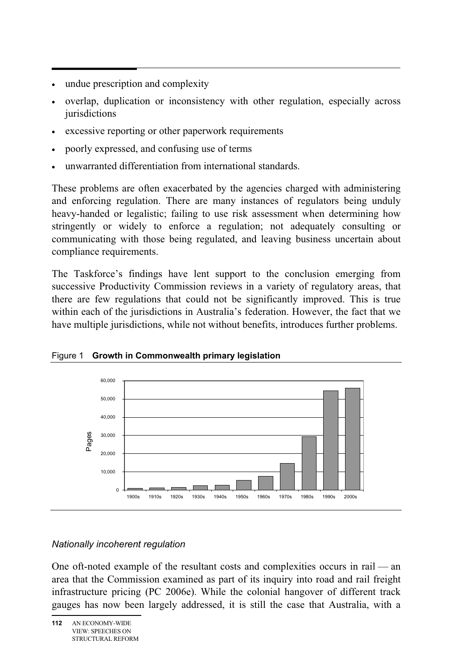- . • undue prescription and complexity
- overlap, duplication or inconsistency with other regulation, especially across jurisdictions
- excessive reporting or other paperwork requirements
- poorly expressed, and confusing use of terms
- unwarranted differentiation from international standards.

These problems are often exacerbated by the agencies charged with administering and enforcing regulation. There are many instances of regulators being unduly heavy-handed or legalistic; failing to use risk assessment when determining how stringently or widely to enforce a regulation; not adequately consulting or communicating with those being regulated, and leaving business uncertain about compliance requirements.

The Taskforce's findings have lent support to the conclusion emerging from successive Productivity Commission reviews in a variety of regulatory areas, that there are few regulations that could not be significantly improved. This is true within each of the jurisdictions in Australia's federation. However, the fact that we have multiple jurisdictions, while not without benefits, introduces further problems.





### *Nationally incoherent regulation*

One oft-noted example of the resultant costs and complexities occurs in rail — an area that the Commission examined as part of its inquiry into road and rail freight infrastructure pricing (PC 2006e). While the colonial hangover of different track gauges has now been largely addressed, it is still the case that Australia, with a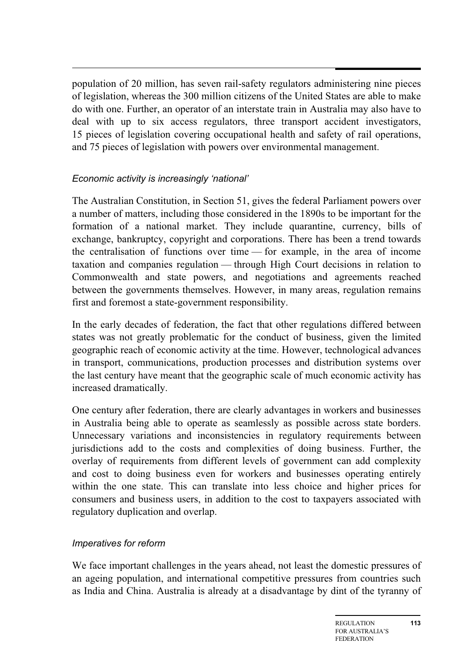population of 20 million, has seven rail-safety regulators administering nine pieces of legislation, whereas the 300 million citizens of the United States are able to make do with one. Further, an operator of an interstate train in Australia may also have to deal with up to six access regulators, three transport accident investigators, 15 pieces of legislation covering occupational health and safety of rail operations, and 75 pieces of legislation with powers over environmental management.

### *Economic activity is increasingly 'national'*

The Australian Constitution, in Section 51, gives the federal Parliament powers over a number of matters, including those considered in the 1890s to be important for the formation of a national market. They include quarantine, currency, bills of exchange, bankruptcy, copyright and corporations. There has been a trend towards the centralisation of functions over time — for example, in the area of income taxation and companies regulation — through High Court decisions in relation to Commonwealth and state powers, and negotiations and agreements reached between the governments themselves. However, in many areas, regulation remains first and foremost a state-government responsibility.

In the early decades of federation, the fact that other regulations differed between states was not greatly problematic for the conduct of business, given the limited geographic reach of economic activity at the time. However, technological advances in transport, communications, production processes and distribution systems over the last century have meant that the geographic scale of much economic activity has increased dramatically.

One century after federation, there are clearly advantages in workers and businesses in Australia being able to operate as seamlessly as possible across state borders. Unnecessary variations and inconsistencies in regulatory requirements between jurisdictions add to the costs and complexities of doing business. Further, the overlay of requirements from different levels of government can add complexity and cost to doing business even for workers and businesses operating entirely within the one state. This can translate into less choice and higher prices for consumers and business users, in addition to the cost to taxpayers associated with regulatory duplication and overlap.

#### *Imperatives for reform*

We face important challenges in the years ahead, not least the domestic pressures of an ageing population, and international competitive pressures from countries such as India and China. Australia is already at a disadvantage by dint of the tyranny of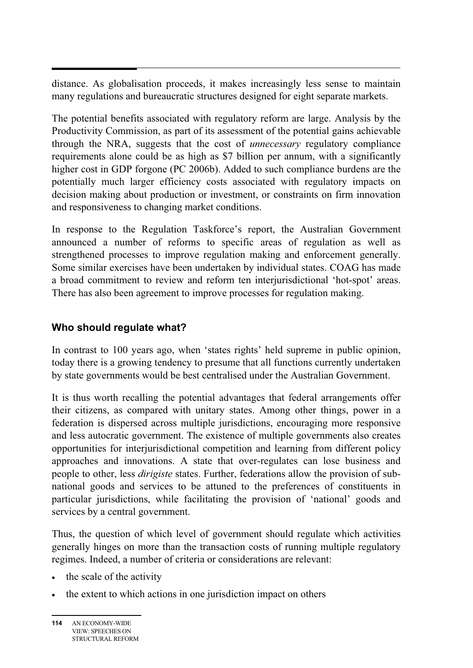distance. As globalisation proceeds, it makes increasingly less sense to maintain many regulations and bureaucratic structures designed for eight separate markets.

The potential benefits associated with regulatory reform are large. Analysis by the Productivity Commission, as part of its assessment of the potential gains achievable through the NRA, suggests that the cost of *unnecessary* regulatory compliance requirements alone could be as high as \$7 billion per annum, with a significantly higher cost in GDP forgone (PC 2006b). Added to such compliance burdens are the potentially much larger efficiency costs associated with regulatory impacts on decision making about production or investment, or constraints on firm innovation and responsiveness to changing market conditions.

In response to the Regulation Taskforce's report, the Australian Government announced a number of reforms to specific areas of regulation as well as strengthened processes to improve regulation making and enforcement generally. Some similar exercises have been undertaken by individual states. COAG has made a broad commitment to review and reform ten interjurisdictional 'hot-spot' areas. There has also been agreement to improve processes for regulation making.

### **Who should regulate what?**

In contrast to 100 years ago, when 'states rights' held supreme in public opinion, today there is a growing tendency to presume that all functions currently undertaken by state governments would be best centralised under the Australian Government.

It is thus worth recalling the potential advantages that federal arrangements offer their citizens, as compared with unitary states. Among other things, power in a federation is dispersed across multiple jurisdictions, encouraging more responsive and less autocratic government. The existence of multiple governments also creates opportunities for interjurisdictional competition and learning from different policy approaches and innovations. A state that over-regulates can lose business and people to other, less *dirigiste* states. Further, federations allow the provision of subnational goods and services to be attuned to the preferences of constituents in particular jurisdictions, while facilitating the provision of 'national' goods and services by a central government.

Thus, the question of which level of government should regulate which activities generally hinges on more than the transaction costs of running multiple regulatory regimes. Indeed, a number of criteria or considerations are relevant:

- the scale of the activity
- the extent to which actions in one jurisdiction impact on others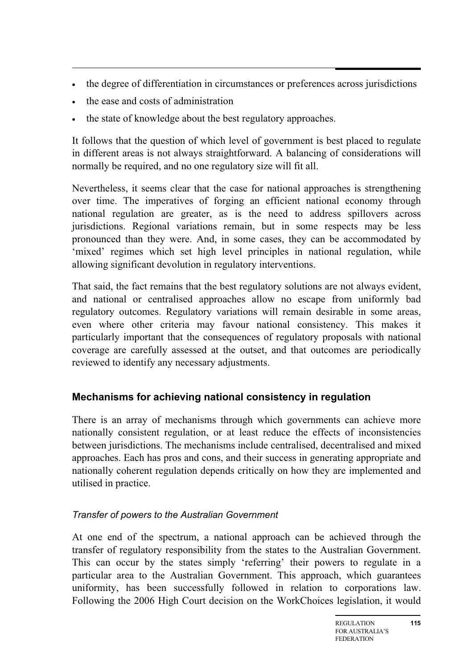- the degree of differentiation in circumstances or preferences across jurisdictions
- the ease and costs of administration
- the state of knowledge about the best regulatory approaches.

It follows that the question of which level of government is best placed to regulate in different areas is not always straightforward. A balancing of considerations will normally be required, and no one regulatory size will fit all.

Nevertheless, it seems clear that the case for national approaches is strengthening over time. The imperatives of forging an efficient national economy through national regulation are greater, as is the need to address spillovers across jurisdictions. Regional variations remain, but in some respects may be less pronounced than they were. And, in some cases, they can be accommodated by 'mixed' regimes which set high level principles in national regulation, while allowing significant devolution in regulatory interventions.

That said, the fact remains that the best regulatory solutions are not always evident, and national or centralised approaches allow no escape from uniformly bad regulatory outcomes. Regulatory variations will remain desirable in some areas, even where other criteria may favour national consistency. This makes it particularly important that the consequences of regulatory proposals with national coverage are carefully assessed at the outset, and that outcomes are periodically reviewed to identify any necessary adjustments.

## **Mechanisms for achieving national consistency in regulation**

There is an array of mechanisms through which governments can achieve more nationally consistent regulation, or at least reduce the effects of inconsistencies between jurisdictions. The mechanisms include centralised, decentralised and mixed approaches. Each has pros and cons, and their success in generating appropriate and nationally coherent regulation depends critically on how they are implemented and utilised in practice.

### *Transfer of powers to the Australian Government*

At one end of the spectrum, a national approach can be achieved through the transfer of regulatory responsibility from the states to the Australian Government. This can occur by the states simply 'referring' their powers to regulate in a particular area to the Australian Government. This approach, which guarantees uniformity, has been successfully followed in relation to corporations law. Following the 2006 High Court decision on the WorkChoices legislation, it would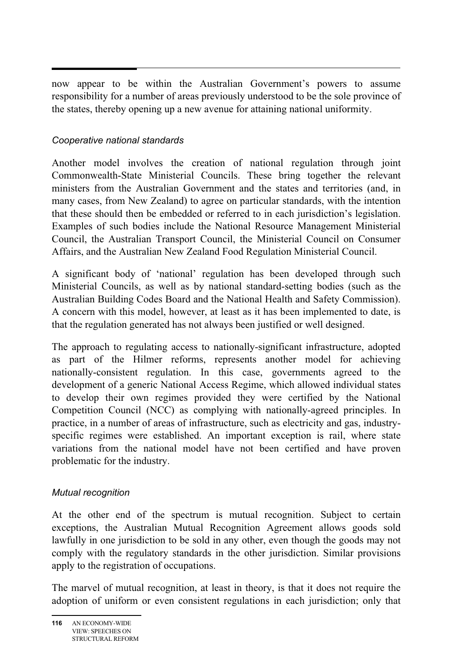now appear to be within the Australian Government's powers to assume responsibility for a number of areas previously understood to be the sole province of the states, thereby opening up a new avenue for attaining national uniformity.

### *Cooperative national standards*

Another model involves the creation of national regulation through joint Commonwealth-State Ministerial Councils. These bring together the relevant ministers from the Australian Government and the states and territories (and, in many cases, from New Zealand) to agree on particular standards, with the intention that these should then be embedded or referred to in each jurisdiction's legislation. Examples of such bodies include the National Resource Management Ministerial Council, the Australian Transport Council, the Ministerial Council on Consumer Affairs, and the Australian New Zealand Food Regulation Ministerial Council.

A significant body of 'national' regulation has been developed through such Ministerial Councils, as well as by national standard-setting bodies (such as the Australian Building Codes Board and the National Health and Safety Commission). A concern with this model, however, at least as it has been implemented to date, is that the regulation generated has not always been justified or well designed.

The approach to regulating access to nationally-significant infrastructure, adopted as part of the Hilmer reforms, represents another model for achieving nationally-consistent regulation. In this case, governments agreed to the development of a generic National Access Regime, which allowed individual states to develop their own regimes provided they were certified by the National Competition Council (NCC) as complying with nationally-agreed principles. In practice, in a number of areas of infrastructure, such as electricity and gas, industryspecific regimes were established. An important exception is rail, where state variations from the national model have not been certified and have proven problematic for the industry.

### *Mutual recognition*

At the other end of the spectrum is mutual recognition. Subject to certain exceptions, the Australian Mutual Recognition Agreement allows goods sold lawfully in one jurisdiction to be sold in any other, even though the goods may not comply with the regulatory standards in the other jurisdiction. Similar provisions apply to the registration of occupations.

The marvel of mutual recognition, at least in theory, is that it does not require the adoption of uniform or even consistent regulations in each jurisdiction; only that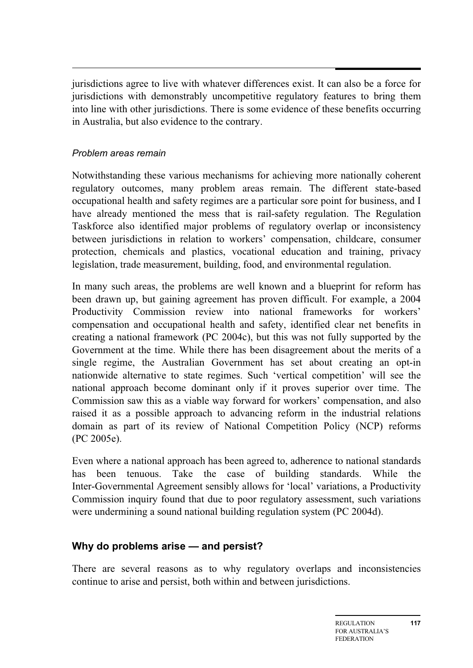jurisdictions agree to live with whatever differences exist. It can also be a force for jurisdictions with demonstrably uncompetitive regulatory features to bring them into line with other jurisdictions. There is some evidence of these benefits occurring in Australia, but also evidence to the contrary.

#### *Problem areas remain*

Notwithstanding these various mechanisms for achieving more nationally coherent regulatory outcomes, many problem areas remain. The different state-based occupational health and safety regimes are a particular sore point for business, and I have already mentioned the mess that is rail-safety regulation. The Regulation Taskforce also identified major problems of regulatory overlap or inconsistency between jurisdictions in relation to workers' compensation, childcare, consumer protection, chemicals and plastics, vocational education and training, privacy legislation, trade measurement, building, food, and environmental regulation.

In many such areas, the problems are well known and a blueprint for reform has been drawn up, but gaining agreement has proven difficult. For example, a 2004 Productivity Commission review into national frameworks for workers' compensation and occupational health and safety, identified clear net benefits in creating a national framework (PC 2004c), but this was not fully supported by the Government at the time. While there has been disagreement about the merits of a single regime, the Australian Government has set about creating an opt-in nationwide alternative to state regimes. Such 'vertical competition' will see the national approach become dominant only if it proves superior over time. The Commission saw this as a viable way forward for workers' compensation, and also raised it as a possible approach to advancing reform in the industrial relations domain as part of its review of National Competition Policy (NCP) reforms (PC 2005e).

Even where a national approach has been agreed to, adherence to national standards has been tenuous. Take the case of building standards. While the Inter-Governmental Agreement sensibly allows for 'local' variations, a Productivity Commission inquiry found that due to poor regulatory assessment, such variations were undermining a sound national building regulation system (PC 2004d).

## **Why do problems arise — and persist?**

There are several reasons as to why regulatory overlaps and inconsistencies continue to arise and persist, both within and between jurisdictions.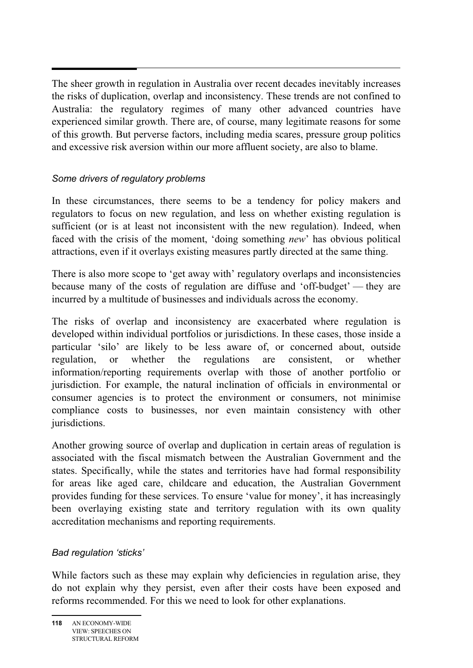The sheer growth in regulation in Australia over recent decades inevitably increases the risks of duplication, overlap and inconsistency. These trends are not confined to Australia: the regulatory regimes of many other advanced countries have experienced similar growth. There are, of course, many legitimate reasons for some of this growth. But perverse factors, including media scares, pressure group politics and excessive risk aversion within our more affluent society, are also to blame.

### *Some drivers of regulatory problems*

In these circumstances, there seems to be a tendency for policy makers and regulators to focus on new regulation, and less on whether existing regulation is sufficient (or is at least not inconsistent with the new regulation). Indeed, when faced with the crisis of the moment, 'doing something *new*' has obvious political attractions, even if it overlays existing measures partly directed at the same thing.

There is also more scope to 'get away with' regulatory overlaps and inconsistencies because many of the costs of regulation are diffuse and 'off-budget' — they are incurred by a multitude of businesses and individuals across the economy.

The risks of overlap and inconsistency are exacerbated where regulation is developed within individual portfolios or jurisdictions. In these cases, those inside a particular 'silo' are likely to be less aware of, or concerned about, outside regulation, or whether the regulations are consistent, or whether information/reporting requirements overlap with those of another portfolio or jurisdiction. For example, the natural inclination of officials in environmental or consumer agencies is to protect the environment or consumers, not minimise compliance costs to businesses, nor even maintain consistency with other jurisdictions.

Another growing source of overlap and duplication in certain areas of regulation is associated with the fiscal mismatch between the Australian Government and the states. Specifically, while the states and territories have had formal responsibility for areas like aged care, childcare and education, the Australian Government provides funding for these services. To ensure 'value for money', it has increasingly been overlaying existing state and territory regulation with its own quality accreditation mechanisms and reporting requirements.

### *Bad regulation 'sticks'*

While factors such as these may explain why deficiencies in regulation arise, they do not explain why they persist, even after their costs have been exposed and reforms recommended. For this we need to look for other explanations.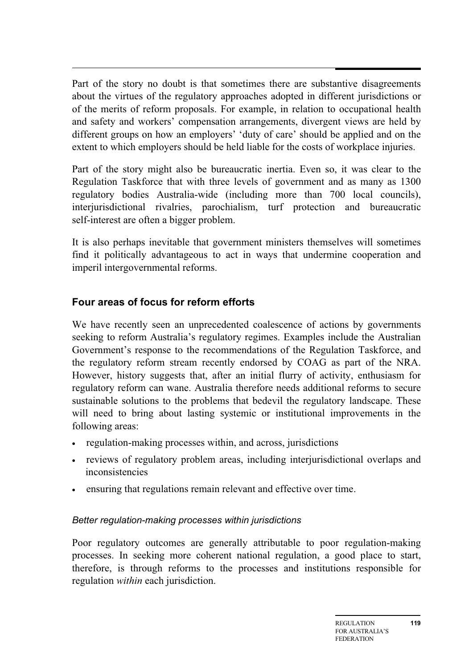Part of the story no doubt is that sometimes there are substantive disagreements about the virtues of the regulatory approaches adopted in different jurisdictions or of the merits of reform proposals. For example, in relation to occupational health and safety and workers' compensation arrangements, divergent views are held by different groups on how an employers' 'duty of care' should be applied and on the extent to which employers should be held liable for the costs of workplace injuries.

Part of the story might also be bureaucratic inertia. Even so, it was clear to the Regulation Taskforce that with three levels of government and as many as 1300 regulatory bodies Australia-wide (including more than 700 local councils), interjurisdictional rivalries, parochialism, turf protection and bureaucratic self-interest are often a bigger problem.

It is also perhaps inevitable that government ministers themselves will sometimes find it politically advantageous to act in ways that undermine cooperation and imperil intergovernmental reforms.

### **Four areas of focus for reform efforts**

We have recently seen an unprecedented coalescence of actions by governments seeking to reform Australia's regulatory regimes. Examples include the Australian Government's response to the recommendations of the Regulation Taskforce, and the regulatory reform stream recently endorsed by COAG as part of the NRA. However, history suggests that, after an initial flurry of activity, enthusiasm for regulatory reform can wane. Australia therefore needs additional reforms to secure sustainable solutions to the problems that bedevil the regulatory landscape. These will need to bring about lasting systemic or institutional improvements in the following areas:

- regulation-making processes within, and across, jurisdictions
- reviews of regulatory problem areas, including interjurisdictional overlaps and inconsistencies
- ensuring that regulations remain relevant and effective over time.

### *Better regulation-making processes within jurisdictions*

Poor regulatory outcomes are generally attributable to poor regulation-making processes. In seeking more coherent national regulation, a good place to start, therefore, is through reforms to the processes and institutions responsible for regulation *within* each jurisdiction.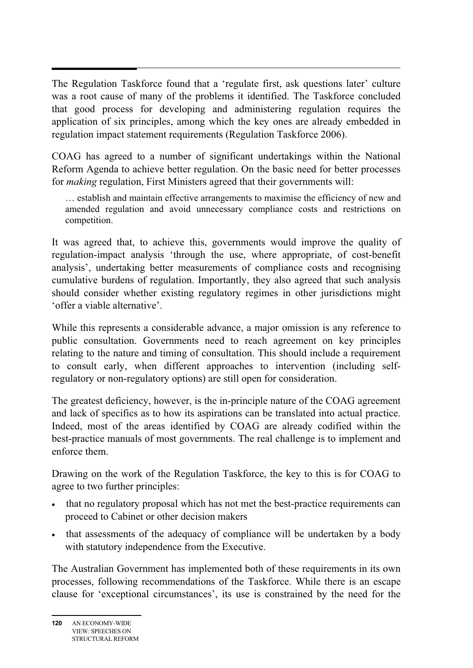The Regulation Taskforce found that a 'regulate first, ask questions later' culture was a root cause of many of the problems it identified. The Taskforce concluded that good process for developing and administering regulation requires the application of six principles, among which the key ones are already embedded in regulation impact statement requirements (Regulation Taskforce 2006).

COAG has agreed to a number of significant undertakings within the National Reform Agenda to achieve better regulation. On the basic need for better processes for *making* regulation, First Ministers agreed that their governments will:

… establish and maintain effective arrangements to maximise the efficiency of new and amended regulation and avoid unnecessary compliance costs and restrictions on competition.

It was agreed that, to achieve this, governments would improve the quality of regulation-impact analysis 'through the use, where appropriate, of cost-benefit analysis', undertaking better measurements of compliance costs and recognising cumulative burdens of regulation. Importantly, they also agreed that such analysis should consider whether existing regulatory regimes in other jurisdictions might 'offer a viable alternative'.

While this represents a considerable advance, a major omission is any reference to public consultation. Governments need to reach agreement on key principles relating to the nature and timing of consultation. This should include a requirement to consult early, when different approaches to intervention (including selfregulatory or non-regulatory options) are still open for consideration.

The greatest deficiency, however, is the in-principle nature of the COAG agreement and lack of specifics as to how its aspirations can be translated into actual practice. Indeed, most of the areas identified by COAG are already codified within the best-practice manuals of most governments. The real challenge is to implement and enforce them.

Drawing on the work of the Regulation Taskforce, the key to this is for COAG to agree to two further principles:

- that no regulatory proposal which has not met the best-practice requirements can proceed to Cabinet or other decision makers
- that assessments of the adequacy of compliance will be undertaken by a body with statutory independence from the Executive.

The Australian Government has implemented both of these requirements in its own processes, following recommendations of the Taskforce. While there is an escape clause for 'exceptional circumstances', its use is constrained by the need for the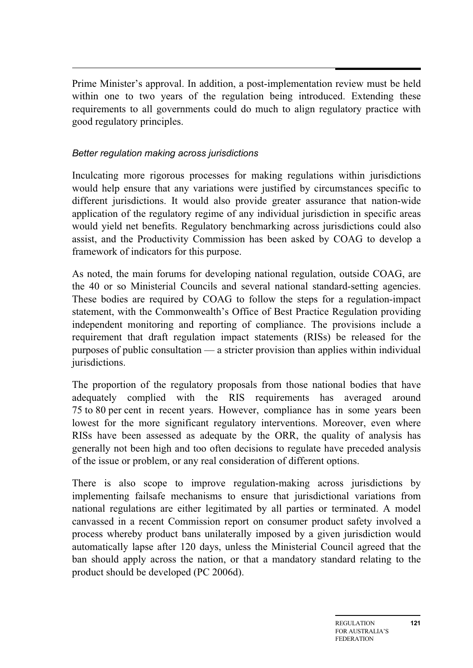Prime Minister's approval. In addition, a post-implementation review must be held within one to two years of the regulation being introduced. Extending these requirements to all governments could do much to align regulatory practice with good regulatory principles.

### *Better regulation making across jurisdictions*

Inculcating more rigorous processes for making regulations within jurisdictions would help ensure that any variations were justified by circumstances specific to different jurisdictions. It would also provide greater assurance that nation-wide application of the regulatory regime of any individual jurisdiction in specific areas would yield net benefits. Regulatory benchmarking across jurisdictions could also assist, and the Productivity Commission has been asked by COAG to develop a framework of indicators for this purpose.

As noted, the main forums for developing national regulation, outside COAG, are the 40 or so Ministerial Councils and several national standard-setting agencies. These bodies are required by COAG to follow the steps for a regulation-impact statement, with the Commonwealth's Office of Best Practice Regulation providing independent monitoring and reporting of compliance. The provisions include a requirement that draft regulation impact statements (RISs) be released for the purposes of public consultation — a stricter provision than applies within individual jurisdictions.

The proportion of the regulatory proposals from those national bodies that have adequately complied with the RIS requirements has averaged around 75 to 80 per cent in recent years. However, compliance has in some years been lowest for the more significant regulatory interventions. Moreover, even where RISs have been assessed as adequate by the ORR, the quality of analysis has generally not been high and too often decisions to regulate have preceded analysis of the issue or problem, or any real consideration of different options.

There is also scope to improve regulation-making across jurisdictions by implementing failsafe mechanisms to ensure that jurisdictional variations from national regulations are either legitimated by all parties or terminated. A model canvassed in a recent Commission report on consumer product safety involved a process whereby product bans unilaterally imposed by a given jurisdiction would automatically lapse after 120 days, unless the Ministerial Council agreed that the ban should apply across the nation, or that a mandatory standard relating to the product should be developed (PC 2006d).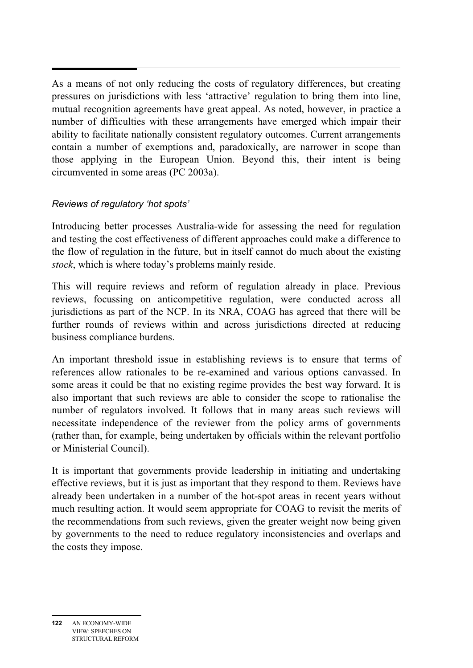As a means of not only reducing the costs of regulatory differences, but creating pressures on jurisdictions with less 'attractive' regulation to bring them into line, mutual recognition agreements have great appeal. As noted, however, in practice a number of difficulties with these arrangements have emerged which impair their ability to facilitate nationally consistent regulatory outcomes. Current arrangements contain a number of exemptions and, paradoxically, are narrower in scope than those applying in the European Union. Beyond this, their intent is being circumvented in some areas (PC 2003a).

### *Reviews of regulatory 'hot spots'*

Introducing better processes Australia-wide for assessing the need for regulation and testing the cost effectiveness of different approaches could make a difference to the flow of regulation in the future, but in itself cannot do much about the existing *stock*, which is where today's problems mainly reside.

This will require reviews and reform of regulation already in place. Previous reviews, focussing on anticompetitive regulation, were conducted across all jurisdictions as part of the NCP. In its NRA, COAG has agreed that there will be further rounds of reviews within and across jurisdictions directed at reducing business compliance burdens.

An important threshold issue in establishing reviews is to ensure that terms of references allow rationales to be re-examined and various options canvassed. In some areas it could be that no existing regime provides the best way forward. It is also important that such reviews are able to consider the scope to rationalise the number of regulators involved. It follows that in many areas such reviews will necessitate independence of the reviewer from the policy arms of governments (rather than, for example, being undertaken by officials within the relevant portfolio or Ministerial Council).

It is important that governments provide leadership in initiating and undertaking effective reviews, but it is just as important that they respond to them. Reviews have already been undertaken in a number of the hot-spot areas in recent years without much resulting action. It would seem appropriate for COAG to revisit the merits of the recommendations from such reviews, given the greater weight now being given by governments to the need to reduce regulatory inconsistencies and overlaps and the costs they impose.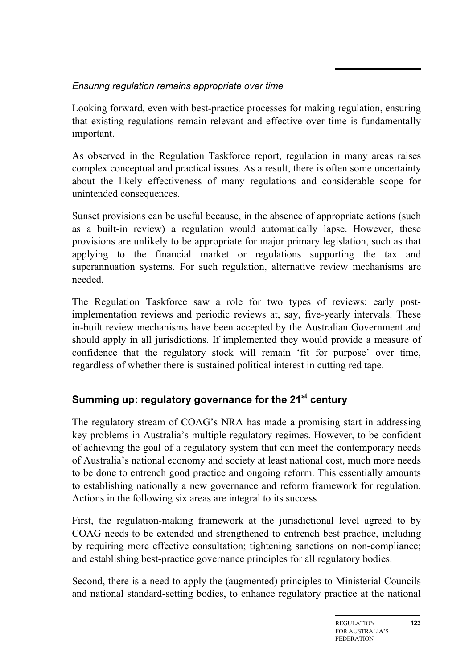## *Ensuring regulation remains appropriate over time*

Looking forward, even with best-practice processes for making regulation, ensuring that existing regulations remain relevant and effective over time is fundamentally important.

As observed in the Regulation Taskforce report, regulation in many areas raises complex conceptual and practical issues. As a result, there is often some uncertainty about the likely effectiveness of many regulations and considerable scope for unintended consequences.

Sunset provisions can be useful because, in the absence of appropriate actions (such as a built-in review) a regulation would automatically lapse. However, these provisions are unlikely to be appropriate for major primary legislation, such as that applying to the financial market or regulations supporting the tax and superannuation systems. For such regulation, alternative review mechanisms are needed.

The Regulation Taskforce saw a role for two types of reviews: early postimplementation reviews and periodic reviews at, say, five-yearly intervals. These in-built review mechanisms have been accepted by the Australian Government and should apply in all jurisdictions. If implemented they would provide a measure of confidence that the regulatory stock will remain 'fit for purpose' over time, regardless of whether there is sustained political interest in cutting red tape.

## **Summing up: regulatory governance for the 21<sup>st</sup> century**

The regulatory stream of COAG's NRA has made a promising start in addressing key problems in Australia's multiple regulatory regimes. However, to be confident of achieving the goal of a regulatory system that can meet the contemporary needs of Australia's national economy and society at least national cost, much more needs to be done to entrench good practice and ongoing reform. This essentially amounts to establishing nationally a new governance and reform framework for regulation. Actions in the following six areas are integral to its success.

First, the regulation-making framework at the jurisdictional level agreed to by COAG needs to be extended and strengthened to entrench best practice, including by requiring more effective consultation; tightening sanctions on non-compliance; and establishing best-practice governance principles for all regulatory bodies.

Second, there is a need to apply the (augmented) principles to Ministerial Councils and national standard-setting bodies, to enhance regulatory practice at the national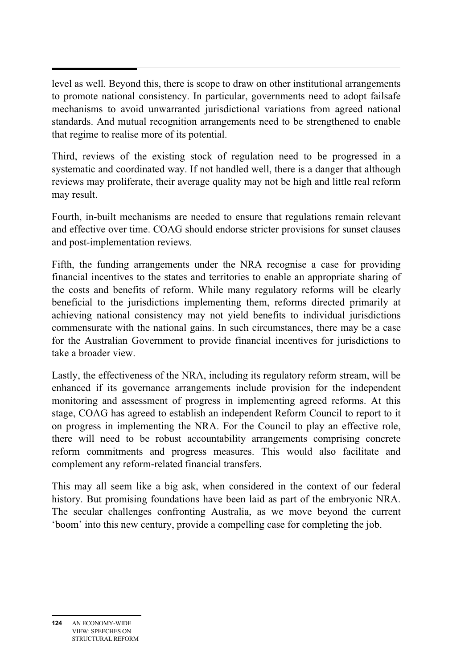level as well. Beyond this, there is scope to draw on other institutional arrangements to promote national consistency. In particular, governments need to adopt failsafe mechanisms to avoid unwarranted jurisdictional variations from agreed national standards. And mutual recognition arrangements need to be strengthened to enable that regime to realise more of its potential.

Third, reviews of the existing stock of regulation need to be progressed in a systematic and coordinated way. If not handled well, there is a danger that although reviews may proliferate, their average quality may not be high and little real reform may result.

Fourth, in-built mechanisms are needed to ensure that regulations remain relevant and effective over time. COAG should endorse stricter provisions for sunset clauses and post-implementation reviews.

Fifth, the funding arrangements under the NRA recognise a case for providing financial incentives to the states and territories to enable an appropriate sharing of the costs and benefits of reform. While many regulatory reforms will be clearly beneficial to the jurisdictions implementing them, reforms directed primarily at achieving national consistency may not yield benefits to individual jurisdictions commensurate with the national gains. In such circumstances, there may be a case for the Australian Government to provide financial incentives for jurisdictions to take a broader view.

Lastly, the effectiveness of the NRA, including its regulatory reform stream, will be enhanced if its governance arrangements include provision for the independent monitoring and assessment of progress in implementing agreed reforms. At this stage, COAG has agreed to establish an independent Reform Council to report to it on progress in implementing the NRA. For the Council to play an effective role, there will need to be robust accountability arrangements comprising concrete reform commitments and progress measures. This would also facilitate and complement any reform-related financial transfers.

This may all seem like a big ask, when considered in the context of our federal history. But promising foundations have been laid as part of the embryonic NRA. The secular challenges confronting Australia, as we move beyond the current 'boom' into this new century, provide a compelling case for completing the job.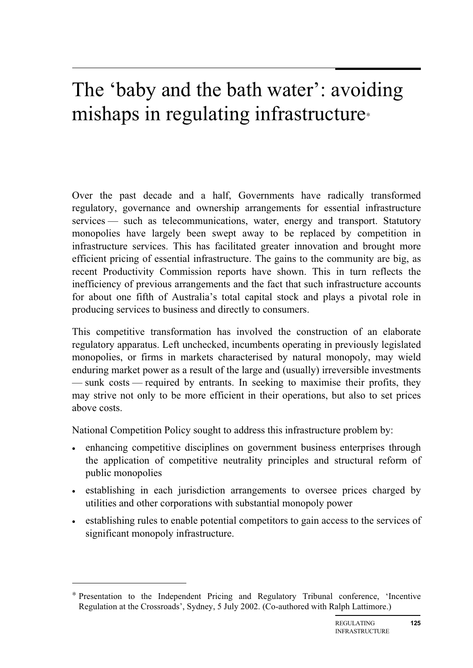## The 'baby and the bath water': avoiding mishaps in regulating infrastructure<sup>∗</sup>

Over the past decade and a half, Governments have radically transformed regulatory, governance and ownership arrangements for essential infrastructure services — such as telecommunications, water, energy and transport. Statutory monopolies have largely been swept away to be replaced by competition in infrastructure services. This has facilitated greater innovation and brought more efficient pricing of essential infrastructure. The gains to the community are big, as recent Productivity Commission reports have shown. This in turn reflects the inefficiency of previous arrangements and the fact that such infrastructure accounts for about one fifth of Australia's total capital stock and plays a pivotal role in producing services to business and directly to consumers.

This competitive transformation has involved the construction of an elaborate regulatory apparatus. Left unchecked, incumbents operating in previously legislated monopolies, or firms in markets characterised by natural monopoly, may wield enduring market power as a result of the large and (usually) irreversible investments — sunk costs — required by entrants. In seeking to maximise their profits, they may strive not only to be more efficient in their operations, but also to set prices above costs.

National Competition Policy sought to address this infrastructure problem by:

- enhancing competitive disciplines on government business enterprises through the application of competitive neutrality principles and structural reform of public monopolies
- establishing in each jurisdiction arrangements to oversee prices charged by utilities and other corporations with substantial monopoly power
- establishing rules to enable potential competitors to gain access to the services of significant monopoly infrastructure.

 $\overline{a}$ 

<sup>∗</sup> Presentation to the Independent Pricing and Regulatory Tribunal conference, 'Incentive Regulation at the Crossroads', Sydney, 5 July 2002. (Co-authored with Ralph Lattimore.)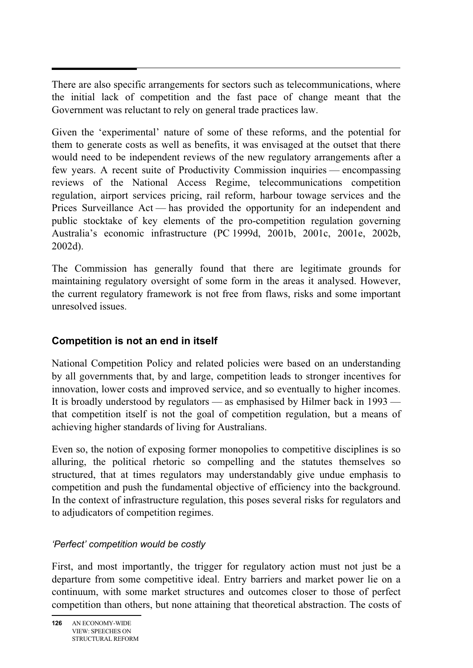There are also specific arrangements for sectors such as telecommunications, where the initial lack of competition and the fast pace of change meant that the Government was reluctant to rely on general trade practices law.

Given the 'experimental' nature of some of these reforms, and the potential for them to generate costs as well as benefits, it was envisaged at the outset that there would need to be independent reviews of the new regulatory arrangements after a few years. A recent suite of Productivity Commission inquiries — encompassing reviews of the National Access Regime, telecommunications competition regulation, airport services pricing, rail reform, harbour towage services and the Prices Surveillance Act — has provided the opportunity for an independent and public stocktake of key elements of the pro-competition regulation governing Australia's economic infrastructure (PC 1999d, 2001b, 2001c, 2001e, 2002b, 2002d).

The Commission has generally found that there are legitimate grounds for maintaining regulatory oversight of some form in the areas it analysed. However, the current regulatory framework is not free from flaws, risks and some important unresolved issues.

## **Competition is not an end in itself**

National Competition Policy and related policies were based on an understanding by all governments that, by and large, competition leads to stronger incentives for innovation, lower costs and improved service, and so eventually to higher incomes. It is broadly understood by regulators — as emphasised by Hilmer back in 1993 that competition itself is not the goal of competition regulation, but a means of achieving higher standards of living for Australians.

Even so, the notion of exposing former monopolies to competitive disciplines is so alluring, the political rhetoric so compelling and the statutes themselves so structured, that at times regulators may understandably give undue emphasis to competition and push the fundamental objective of efficiency into the background. In the context of infrastructure regulation, this poses several risks for regulators and to adjudicators of competition regimes.

## *'Perfect' competition would be costly*

First, and most importantly, the trigger for regulatory action must not just be a departure from some competitive ideal. Entry barriers and market power lie on a continuum, with some market structures and outcomes closer to those of perfect competition than others, but none attaining that theoretical abstraction. The costs of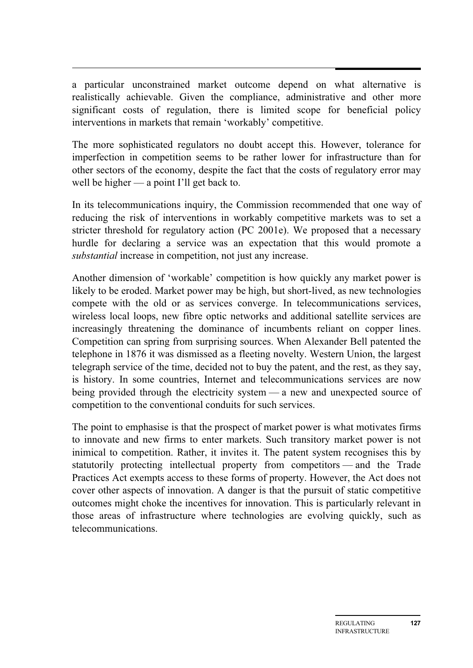a particular unconstrained market outcome depend on what alternative is realistically achievable. Given the compliance, administrative and other more significant costs of regulation, there is limited scope for beneficial policy interventions in markets that remain 'workably' competitive.

The more sophisticated regulators no doubt accept this. However, tolerance for imperfection in competition seems to be rather lower for infrastructure than for other sectors of the economy, despite the fact that the costs of regulatory error may well be higher — a point I'll get back to.

In its telecommunications inquiry, the Commission recommended that one way of reducing the risk of interventions in workably competitive markets was to set a stricter threshold for regulatory action (PC 2001e). We proposed that a necessary hurdle for declaring a service was an expectation that this would promote a *substantial* increase in competition, not just any increase.

Another dimension of 'workable' competition is how quickly any market power is likely to be eroded. Market power may be high, but short-lived, as new technologies compete with the old or as services converge. In telecommunications services, wireless local loops, new fibre optic networks and additional satellite services are increasingly threatening the dominance of incumbents reliant on copper lines. Competition can spring from surprising sources. When Alexander Bell patented the telephone in 1876 it was dismissed as a fleeting novelty. Western Union, the largest telegraph service of the time, decided not to buy the patent, and the rest, as they say, is history. In some countries, Internet and telecommunications services are now being provided through the electricity system — a new and unexpected source of competition to the conventional conduits for such services.

The point to emphasise is that the prospect of market power is what motivates firms to innovate and new firms to enter markets. Such transitory market power is not inimical to competition. Rather, it invites it. The patent system recognises this by statutorily protecting intellectual property from competitors — and the Trade Practices Act exempts access to these forms of property. However, the Act does not cover other aspects of innovation. A danger is that the pursuit of static competitive outcomes might choke the incentives for innovation. This is particularly relevant in those areas of infrastructure where technologies are evolving quickly, such as telecommunications.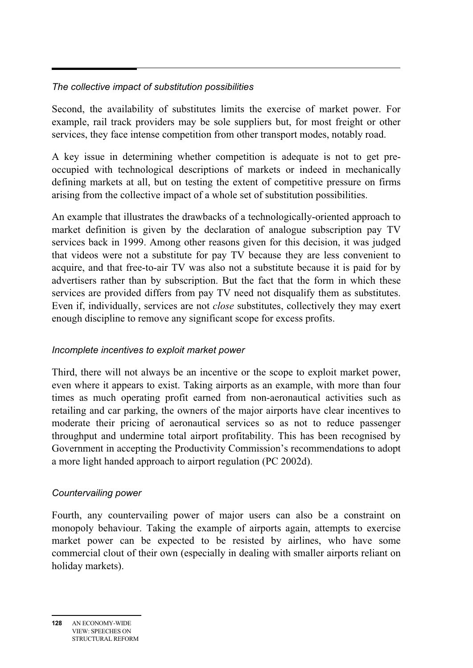## *The collective impact of substitution possibilities*

Second, the availability of substitutes limits the exercise of market power. For example, rail track providers may be sole suppliers but, for most freight or other services, they face intense competition from other transport modes, notably road.

A key issue in determining whether competition is adequate is not to get preoccupied with technological descriptions of markets or indeed in mechanically defining markets at all, but on testing the extent of competitive pressure on firms arising from the collective impact of a whole set of substitution possibilities.

An example that illustrates the drawbacks of a technologically-oriented approach to market definition is given by the declaration of analogue subscription pay TV services back in 1999. Among other reasons given for this decision, it was judged that videos were not a substitute for pay TV because they are less convenient to acquire, and that free-to-air TV was also not a substitute because it is paid for by advertisers rather than by subscription. But the fact that the form in which these services are provided differs from pay TV need not disqualify them as substitutes. Even if, individually, services are not *close* substitutes, collectively they may exert enough discipline to remove any significant scope for excess profits.

#### *Incomplete incentives to exploit market power*

Third, there will not always be an incentive or the scope to exploit market power, even where it appears to exist. Taking airports as an example, with more than four times as much operating profit earned from non-aeronautical activities such as retailing and car parking, the owners of the major airports have clear incentives to moderate their pricing of aeronautical services so as not to reduce passenger throughput and undermine total airport profitability. This has been recognised by Government in accepting the Productivity Commission's recommendations to adopt a more light handed approach to airport regulation (PC 2002d).

## *Countervailing power*

Fourth, any countervailing power of major users can also be a constraint on monopoly behaviour. Taking the example of airports again, attempts to exercise market power can be expected to be resisted by airlines, who have some commercial clout of their own (especially in dealing with smaller airports reliant on holiday markets).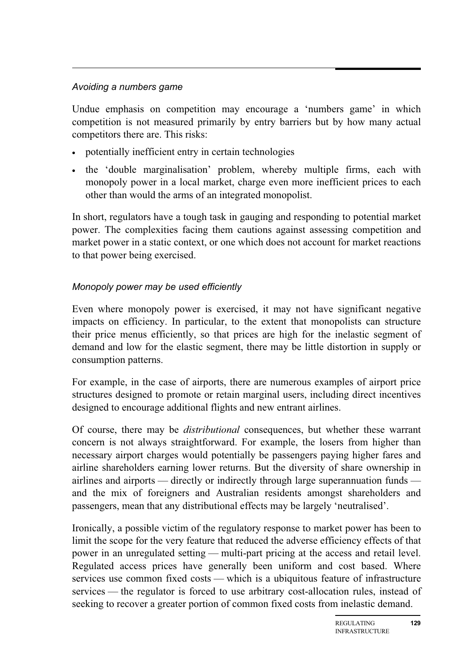## *Avoiding a numbers game*

Undue emphasis on competition may encourage a 'numbers game' in which competition is not measured primarily by entry barriers but by how many actual competitors there are. This risks:

- potentially inefficient entry in certain technologies
- the 'double marginalisation' problem, whereby multiple firms, each with monopoly power in a local market, charge even more inefficient prices to each other than would the arms of an integrated monopolist.

In short, regulators have a tough task in gauging and responding to potential market power. The complexities facing them cautions against assessing competition and market power in a static context, or one which does not account for market reactions to that power being exercised.

#### *Monopoly power may be used efficiently*

Even where monopoly power is exercised, it may not have significant negative impacts on efficiency. In particular, to the extent that monopolists can structure their price menus efficiently, so that prices are high for the inelastic segment of demand and low for the elastic segment, there may be little distortion in supply or consumption patterns.

For example, in the case of airports, there are numerous examples of airport price structures designed to promote or retain marginal users, including direct incentives designed to encourage additional flights and new entrant airlines.

Of course, there may be *distributional* consequences, but whether these warrant concern is not always straightforward. For example, the losers from higher than necessary airport charges would potentially be passengers paying higher fares and airline shareholders earning lower returns. But the diversity of share ownership in airlines and airports — directly or indirectly through large superannuation funds and the mix of foreigners and Australian residents amongst shareholders and passengers, mean that any distributional effects may be largely 'neutralised'.

Ironically, a possible victim of the regulatory response to market power has been to limit the scope for the very feature that reduced the adverse efficiency effects of that power in an unregulated setting — multi-part pricing at the access and retail level. Regulated access prices have generally been uniform and cost based. Where services use common fixed costs — which is a ubiquitous feature of infrastructure services — the regulator is forced to use arbitrary cost-allocation rules, instead of seeking to recover a greater portion of common fixed costs from inelastic demand.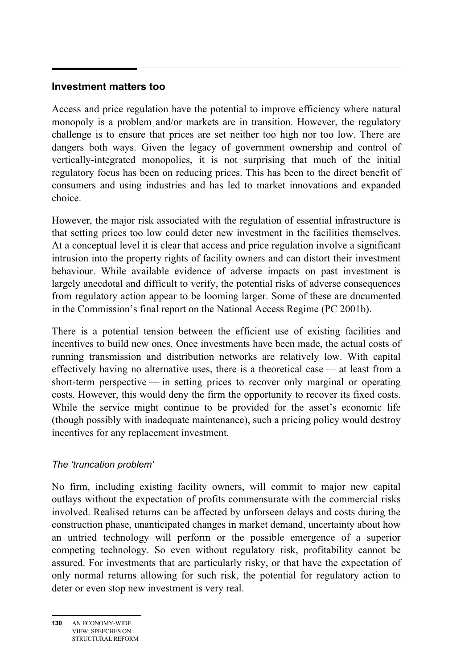## **Investment matters too**

Access and price regulation have the potential to improve efficiency where natural monopoly is a problem and/or markets are in transition. However, the regulatory challenge is to ensure that prices are set neither too high nor too low. There are dangers both ways. Given the legacy of government ownership and control of vertically-integrated monopolies, it is not surprising that much of the initial regulatory focus has been on reducing prices. This has been to the direct benefit of consumers and using industries and has led to market innovations and expanded choice.

However, the major risk associated with the regulation of essential infrastructure is that setting prices too low could deter new investment in the facilities themselves. At a conceptual level it is clear that access and price regulation involve a significant intrusion into the property rights of facility owners and can distort their investment behaviour. While available evidence of adverse impacts on past investment is largely anecdotal and difficult to verify, the potential risks of adverse consequences from regulatory action appear to be looming larger. Some of these are documented in the Commission's final report on the National Access Regime (PC 2001b).

There is a potential tension between the efficient use of existing facilities and incentives to build new ones. Once investments have been made, the actual costs of running transmission and distribution networks are relatively low. With capital effectively having no alternative uses, there is a theoretical case — at least from a short-term perspective — in setting prices to recover only marginal or operating costs. However, this would deny the firm the opportunity to recover its fixed costs. While the service might continue to be provided for the asset's economic life (though possibly with inadequate maintenance), such a pricing policy would destroy incentives for any replacement investment.

#### *The 'truncation problem'*

No firm, including existing facility owners, will commit to major new capital outlays without the expectation of profits commensurate with the commercial risks involved. Realised returns can be affected by unforseen delays and costs during the construction phase, unanticipated changes in market demand, uncertainty about how an untried technology will perform or the possible emergence of a superior competing technology. So even without regulatory risk, profitability cannot be assured. For investments that are particularly risky, or that have the expectation of only normal returns allowing for such risk, the potential for regulatory action to deter or even stop new investment is very real.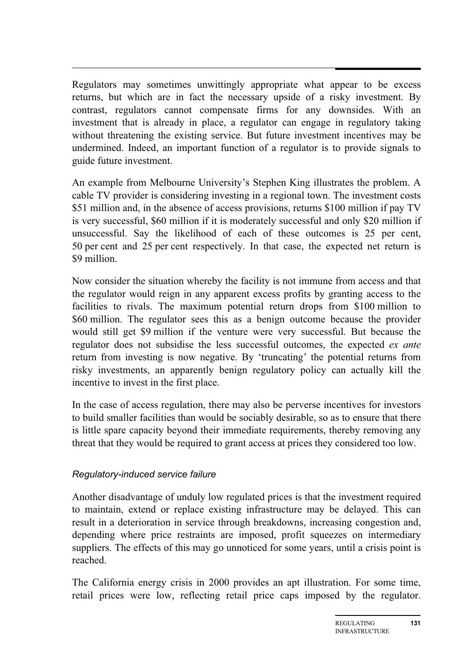Regulators may sometimes unwittingly appropriate what appear to be excess returns, but which are in fact the necessary upside of a risky investment. By contrast, regulators cannot compensate firms for any downsides. With an investment that is already in place, a regulator can engage in regulatory taking without threatening the existing service. But future investment incentives may be undermined. Indeed, an important function of a regulator is to provide signals to guide future investment.

An example from Melbourne University's Stephen King illustrates the problem. A cable TV provider is considering investing in a regional town. The investment costs \$51 million and, in the absence of access provisions, returns \$100 million if pay TV is very successful, \$60 million if it is moderately successful and only \$20 million if unsuccessful. Say the likelihood of each of these outcomes is 25 per cent, 50 per cent and 25 per cent respectively. In that case, the expected net return is \$9 million.

Now consider the situation whereby the facility is not immune from access and that the regulator would reign in any apparent excess profits by granting access to the facilities to rivals. The maximum potential return drops from \$100 million to \$60 million. The regulator sees this as a benign outcome because the provider would still get \$9 million if the venture were very successful. But because the regulator does not subsidise the less successful outcomes, the expected *ex ante* return from investing is now negative. By 'truncating' the potential returns from risky investments, an apparently benign regulatory policy can actually kill the incentive to invest in the first place.

In the case of access regulation, there may also be perverse incentives for investors to build smaller facilities than would be sociably desirable, so as to ensure that there is little spare capacity beyond their immediate requirements, thereby removing any threat that they would be required to grant access at prices they considered too low.

#### *Regulatory-induced service failure*

Another disadvantage of unduly low regulated prices is that the investment required to maintain, extend or replace existing infrastructure may be delayed. This can result in a deterioration in service through breakdowns, increasing congestion and, depending where price restraints are imposed, profit squeezes on intermediary suppliers. The effects of this may go unnoticed for some years, until a crisis point is reached.

The California energy crisis in 2000 provides an apt illustration. For some time, retail prices were low, reflecting retail price caps imposed by the regulator.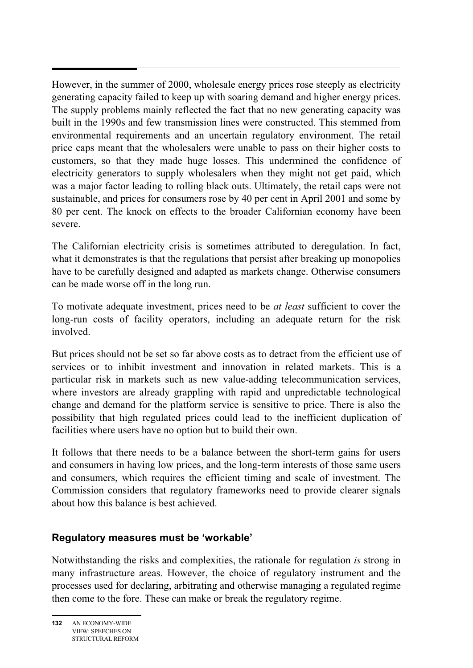However, in the summer of 2000, wholesale energy prices rose steeply as electricity generating capacity failed to keep up with soaring demand and higher energy prices. The supply problems mainly reflected the fact that no new generating capacity was built in the 1990s and few transmission lines were constructed. This stemmed from environmental requirements and an uncertain regulatory environment. The retail price caps meant that the wholesalers were unable to pass on their higher costs to customers, so that they made huge losses. This undermined the confidence of electricity generators to supply wholesalers when they might not get paid, which was a major factor leading to rolling black outs. Ultimately, the retail caps were not sustainable, and prices for consumers rose by 40 per cent in April 2001 and some by 80 per cent. The knock on effects to the broader Californian economy have been severe.

The Californian electricity crisis is sometimes attributed to deregulation. In fact, what it demonstrates is that the regulations that persist after breaking up monopolies have to be carefully designed and adapted as markets change. Otherwise consumers can be made worse off in the long run.

To motivate adequate investment, prices need to be *at least* sufficient to cover the long-run costs of facility operators, including an adequate return for the risk involved.

But prices should not be set so far above costs as to detract from the efficient use of services or to inhibit investment and innovation in related markets. This is a particular risk in markets such as new value-adding telecommunication services, where investors are already grappling with rapid and unpredictable technological change and demand for the platform service is sensitive to price. There is also the possibility that high regulated prices could lead to the inefficient duplication of facilities where users have no option but to build their own.

It follows that there needs to be a balance between the short-term gains for users and consumers in having low prices, and the long-term interests of those same users and consumers, which requires the efficient timing and scale of investment. The Commission considers that regulatory frameworks need to provide clearer signals about how this balance is best achieved.

#### **Regulatory measures must be 'workable'**

Notwithstanding the risks and complexities, the rationale for regulation *is* strong in many infrastructure areas. However, the choice of regulatory instrument and the processes used for declaring, arbitrating and otherwise managing a regulated regime then come to the fore. These can make or break the regulatory regime.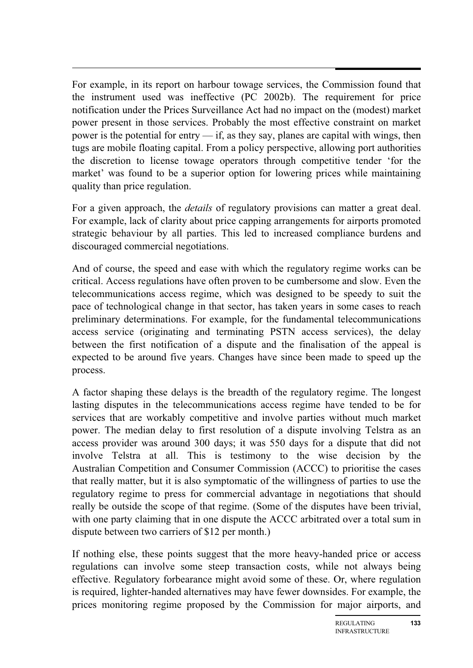For example, in its report on harbour towage services, the Commission found that the instrument used was ineffective (PC 2002b). The requirement for price notification under the Prices Surveillance Act had no impact on the (modest) market power present in those services. Probably the most effective constraint on market power is the potential for entry  $\frac{d}{dx}$  if, as they say, planes are capital with wings, then tugs are mobile floating capital. From a policy perspective, allowing port authorities the discretion to license towage operators through competitive tender 'for the market' was found to be a superior option for lowering prices while maintaining quality than price regulation.

For a given approach, the *details* of regulatory provisions can matter a great deal. For example, lack of clarity about price capping arrangements for airports promoted strategic behaviour by all parties. This led to increased compliance burdens and discouraged commercial negotiations.

And of course, the speed and ease with which the regulatory regime works can be critical. Access regulations have often proven to be cumbersome and slow. Even the telecommunications access regime, which was designed to be speedy to suit the pace of technological change in that sector, has taken years in some cases to reach preliminary determinations. For example, for the fundamental telecommunications access service (originating and terminating PSTN access services), the delay between the first notification of a dispute and the finalisation of the appeal is expected to be around five years. Changes have since been made to speed up the process.

A factor shaping these delays is the breadth of the regulatory regime. The longest lasting disputes in the telecommunications access regime have tended to be for services that are workably competitive and involve parties without much market power. The median delay to first resolution of a dispute involving Telstra as an access provider was around 300 days; it was 550 days for a dispute that did not involve Telstra at all. This is testimony to the wise decision by the Australian Competition and Consumer Commission (ACCC) to prioritise the cases that really matter, but it is also symptomatic of the willingness of parties to use the regulatory regime to press for commercial advantage in negotiations that should really be outside the scope of that regime. (Some of the disputes have been trivial, with one party claiming that in one dispute the ACCC arbitrated over a total sum in dispute between two carriers of \$12 per month.)

If nothing else, these points suggest that the more heavy-handed price or access regulations can involve some steep transaction costs, while not always being effective. Regulatory forbearance might avoid some of these. Or, where regulation is required, lighter-handed alternatives may have fewer downsides. For example, the prices monitoring regime proposed by the Commission for major airports, and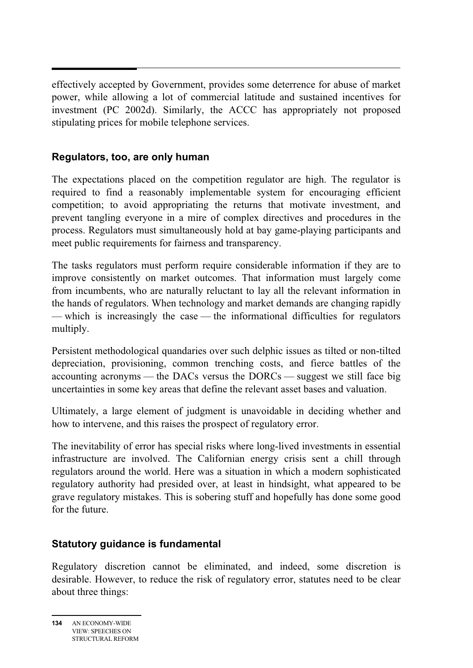effectively accepted by Government, provides some deterrence for abuse of market power, while allowing a lot of commercial latitude and sustained incentives for investment (PC 2002d). Similarly, the ACCC has appropriately not proposed stipulating prices for mobile telephone services.

#### **Regulators, too, are only human**

The expectations placed on the competition regulator are high. The regulator is required to find a reasonably implementable system for encouraging efficient competition; to avoid appropriating the returns that motivate investment, and prevent tangling everyone in a mire of complex directives and procedures in the process. Regulators must simultaneously hold at bay game-playing participants and meet public requirements for fairness and transparency.

The tasks regulators must perform require considerable information if they are to improve consistently on market outcomes. That information must largely come from incumbents, who are naturally reluctant to lay all the relevant information in the hands of regulators. When technology and market demands are changing rapidly — which is increasingly the case — the informational difficulties for regulators multiply.

Persistent methodological quandaries over such delphic issues as tilted or non-tilted depreciation, provisioning, common trenching costs, and fierce battles of the accounting acronyms — the DACs versus the DORCs — suggest we still face big uncertainties in some key areas that define the relevant asset bases and valuation.

Ultimately, a large element of judgment is unavoidable in deciding whether and how to intervene, and this raises the prospect of regulatory error.

The inevitability of error has special risks where long-lived investments in essential infrastructure are involved. The Californian energy crisis sent a chill through regulators around the world. Here was a situation in which a modern sophisticated regulatory authority had presided over, at least in hindsight, what appeared to be grave regulatory mistakes. This is sobering stuff and hopefully has done some good for the future.

## **Statutory guidance is fundamental**

Regulatory discretion cannot be eliminated, and indeed, some discretion is desirable. However, to reduce the risk of regulatory error, statutes need to be clear about three things: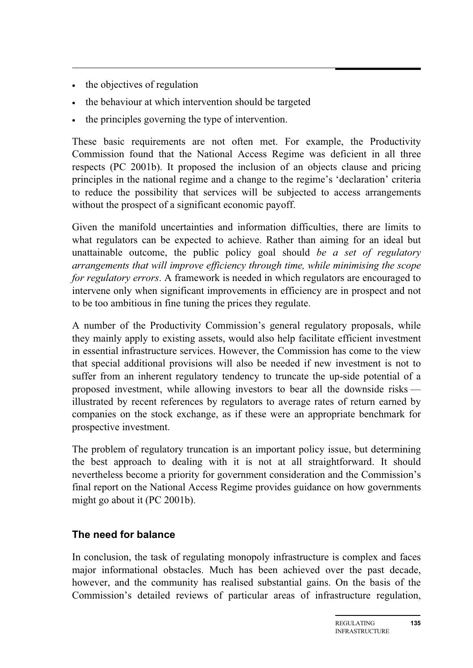- the objectives of regulation
- the behaviour at which intervention should be targeted
- the principles governing the type of intervention.

These basic requirements are not often met. For example, the Productivity Commission found that the National Access Regime was deficient in all three respects (PC 2001b). It proposed the inclusion of an objects clause and pricing principles in the national regime and a change to the regime's 'declaration' criteria to reduce the possibility that services will be subjected to access arrangements without the prospect of a significant economic payoff.

Given the manifold uncertainties and information difficulties, there are limits to what regulators can be expected to achieve. Rather than aiming for an ideal but unattainable outcome, the public policy goal should *be a set of regulatory arrangements that will improve efficiency through time, while minimising the scope for regulatory errors*. A framework is needed in which regulators are encouraged to intervene only when significant improvements in efficiency are in prospect and not to be too ambitious in fine tuning the prices they regulate.

A number of the Productivity Commission's general regulatory proposals, while they mainly apply to existing assets, would also help facilitate efficient investment in essential infrastructure services. However, the Commission has come to the view that special additional provisions will also be needed if new investment is not to suffer from an inherent regulatory tendency to truncate the up-side potential of a proposed investment, while allowing investors to bear all the downside risks illustrated by recent references by regulators to average rates of return earned by companies on the stock exchange, as if these were an appropriate benchmark for prospective investment.

The problem of regulatory truncation is an important policy issue, but determining the best approach to dealing with it is not at all straightforward. It should nevertheless become a priority for government consideration and the Commission's final report on the National Access Regime provides guidance on how governments might go about it (PC 2001b).

## **The need for balance**

In conclusion, the task of regulating monopoly infrastructure is complex and faces major informational obstacles. Much has been achieved over the past decade, however, and the community has realised substantial gains. On the basis of the Commission's detailed reviews of particular areas of infrastructure regulation,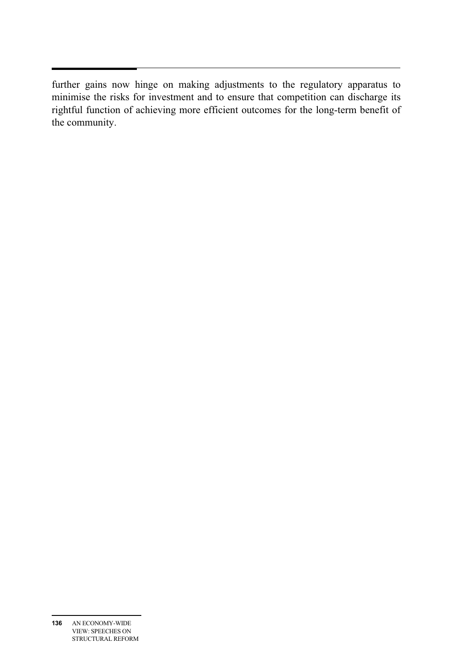further gains now hinge on making adjustments to the regulatory apparatus to minimise the risks for investment and to ensure that competition can discharge its rightful function of achieving more efficient outcomes for the long-term benefit of the community.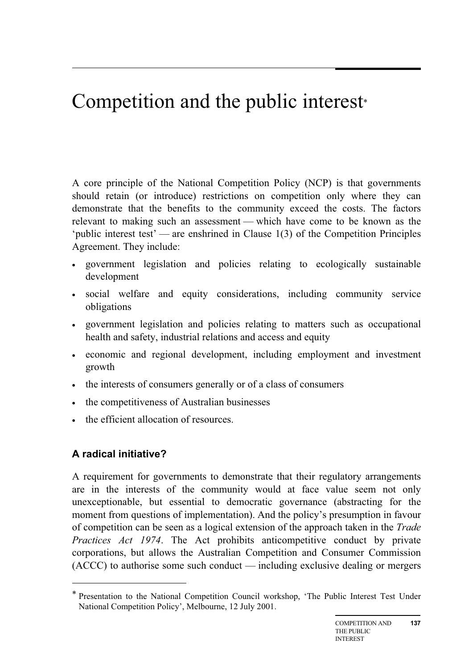# Competition and the public interest\*

A core principle of the National Competition Policy (NCP) is that governments should retain (or introduce) restrictions on competition only where they can demonstrate that the benefits to the community exceed the costs. The factors relevant to making such an assessment — which have come to be known as the 'public interest test' — are enshrined in Clause 1(3) of the Competition Principles Agreement. They include:

- government legislation and policies relating to ecologically sustainable development
- social welfare and equity considerations, including community service obligations
- government legislation and policies relating to matters such as occupational health and safety, industrial relations and access and equity
- economic and regional development, including employment and investment growth
- the interests of consumers generally or of a class of consumers
- the competitiveness of Australian businesses
- the efficient allocation of resources.

## **A radical initiative?**

 $\overline{a}$ 

A requirement for governments to demonstrate that their regulatory arrangements are in the interests of the community would at face value seem not only unexceptionable, but essential to democratic governance (abstracting for the moment from questions of implementation). And the policy's presumption in favour of competition can be seen as a logical extension of the approach taken in the *Trade Practices Act 1974*. The Act prohibits anticompetitive conduct by private corporations, but allows the Australian Competition and Consumer Commission (ACCC) to authorise some such conduct — including exclusive dealing or mergers

<sup>\*</sup> Presentation to the National Competition Council workshop, 'The Public Interest Test Under National Competition Policy', Melbourne, 12 July 2001.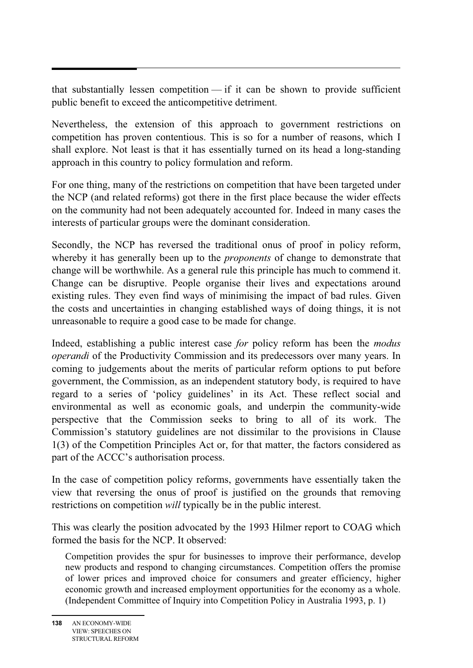that substantially lessen competition — if it can be shown to provide sufficient public benefit to exceed the anticompetitive detriment.

Nevertheless, the extension of this approach to government restrictions on competition has proven contentious. This is so for a number of reasons, which I shall explore. Not least is that it has essentially turned on its head a long-standing approach in this country to policy formulation and reform.

For one thing, many of the restrictions on competition that have been targeted under the NCP (and related reforms) got there in the first place because the wider effects on the community had not been adequately accounted for. Indeed in many cases the interests of particular groups were the dominant consideration.

Secondly, the NCP has reversed the traditional onus of proof in policy reform, whereby it has generally been up to the *proponents* of change to demonstrate that change will be worthwhile. As a general rule this principle has much to commend it. Change can be disruptive. People organise their lives and expectations around existing rules. They even find ways of minimising the impact of bad rules. Given the costs and uncertainties in changing established ways of doing things, it is not unreasonable to require a good case to be made for change.

Indeed, establishing a public interest case *for* policy reform has been the *modus operandi* of the Productivity Commission and its predecessors over many years. In coming to judgements about the merits of particular reform options to put before government, the Commission, as an independent statutory body, is required to have regard to a series of 'policy guidelines' in its Act. These reflect social and environmental as well as economic goals, and underpin the community-wide perspective that the Commission seeks to bring to all of its work. The Commission's statutory guidelines are not dissimilar to the provisions in Clause 1(3) of the Competition Principles Act or, for that matter, the factors considered as part of the ACCC's authorisation process.

In the case of competition policy reforms, governments have essentially taken the view that reversing the onus of proof is justified on the grounds that removing restrictions on competition *will* typically be in the public interest.

This was clearly the position advocated by the 1993 Hilmer report to COAG which formed the basis for the NCP. It observed:

Competition provides the spur for businesses to improve their performance, develop new products and respond to changing circumstances. Competition offers the promise of lower prices and improved choice for consumers and greater efficiency, higher economic growth and increased employment opportunities for the economy as a whole. (Independent Committee of Inquiry into Competition Policy in Australia 1993, p. 1)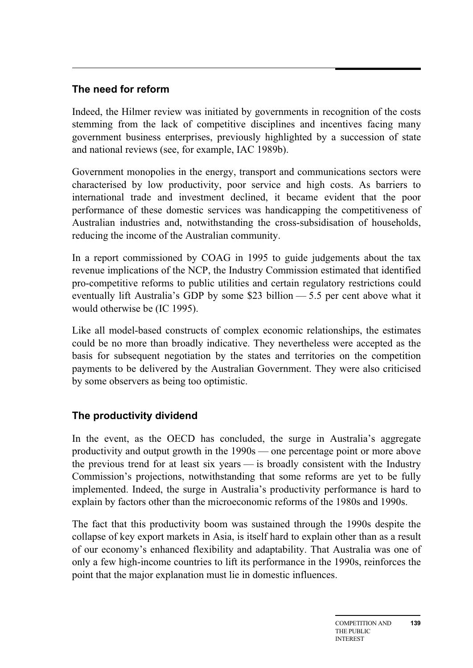# **The need for reform**

Indeed, the Hilmer review was initiated by governments in recognition of the costs stemming from the lack of competitive disciplines and incentives facing many government business enterprises, previously highlighted by a succession of state and national reviews (see, for example, IAC 1989b).

Government monopolies in the energy, transport and communications sectors were characterised by low productivity, poor service and high costs. As barriers to international trade and investment declined, it became evident that the poor performance of these domestic services was handicapping the competitiveness of Australian industries and, notwithstanding the cross-subsidisation of households, reducing the income of the Australian community.

In a report commissioned by COAG in 1995 to guide judgements about the tax revenue implications of the NCP, the Industry Commission estimated that identified pro-competitive reforms to public utilities and certain regulatory restrictions could eventually lift Australia's GDP by some \$23 billion — 5.5 per cent above what it would otherwise be (IC 1995).

Like all model-based constructs of complex economic relationships, the estimates could be no more than broadly indicative. They nevertheless were accepted as the basis for subsequent negotiation by the states and territories on the competition payments to be delivered by the Australian Government. They were also criticised by some observers as being too optimistic.

## **The productivity dividend**

In the event, as the OECD has concluded, the surge in Australia's aggregate productivity and output growth in the 1990s — one percentage point or more above the previous trend for at least six years — is broadly consistent with the Industry Commission's projections, notwithstanding that some reforms are yet to be fully implemented. Indeed, the surge in Australia's productivity performance is hard to explain by factors other than the microeconomic reforms of the 1980s and 1990s.

The fact that this productivity boom was sustained through the 1990s despite the collapse of key export markets in Asia, is itself hard to explain other than as a result of our economy's enhanced flexibility and adaptability. That Australia was one of only a few high-income countries to lift its performance in the 1990s, reinforces the point that the major explanation must lie in domestic influences.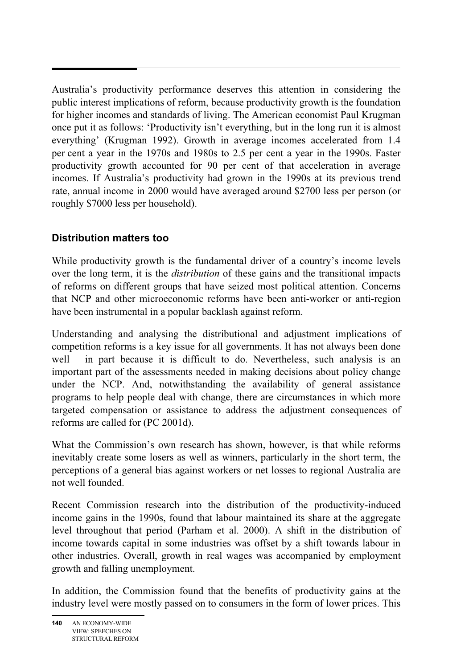Australia's productivity performance deserves this attention in considering the public interest implications of reform, because productivity growth is the foundation for higher incomes and standards of living. The American economist Paul Krugman once put it as follows: 'Productivity isn't everything, but in the long run it is almost everything' (Krugman 1992). Growth in average incomes accelerated from 1.4 per cent a year in the 1970s and 1980s to 2.5 per cent a year in the 1990s. Faster productivity growth accounted for 90 per cent of that acceleration in average incomes. If Australia's productivity had grown in the 1990s at its previous trend rate, annual income in 2000 would have averaged around \$2700 less per person (or roughly \$7000 less per household).

## **Distribution matters too**

While productivity growth is the fundamental driver of a country's income levels over the long term, it is the *distribution* of these gains and the transitional impacts of reforms on different groups that have seized most political attention. Concerns that NCP and other microeconomic reforms have been anti-worker or anti-region have been instrumental in a popular backlash against reform.

Understanding and analysing the distributional and adjustment implications of competition reforms is a key issue for all governments. It has not always been done well — in part because it is difficult to do. Nevertheless, such analysis is an important part of the assessments needed in making decisions about policy change under the NCP. And, notwithstanding the availability of general assistance programs to help people deal with change, there are circumstances in which more targeted compensation or assistance to address the adjustment consequences of reforms are called for (PC 2001d).

What the Commission's own research has shown, however, is that while reforms inevitably create some losers as well as winners, particularly in the short term, the perceptions of a general bias against workers or net losses to regional Australia are not well founded.

Recent Commission research into the distribution of the productivity-induced income gains in the 1990s, found that labour maintained its share at the aggregate level throughout that period (Parham et al. 2000). A shift in the distribution of income towards capital in some industries was offset by a shift towards labour in other industries. Overall, growth in real wages was accompanied by employment growth and falling unemployment.

In addition, the Commission found that the benefits of productivity gains at the industry level were mostly passed on to consumers in the form of lower prices. This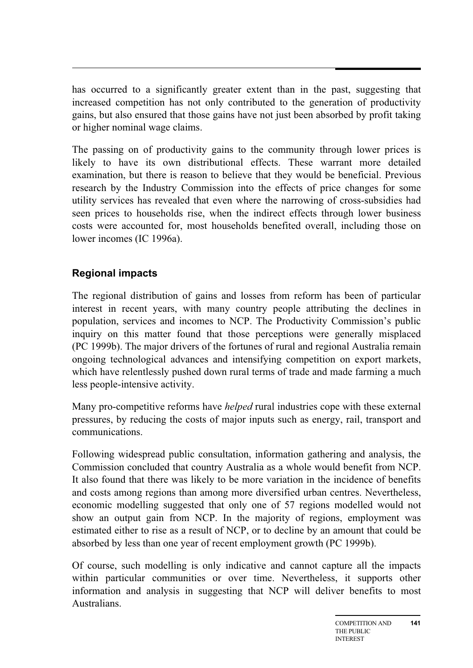has occurred to a significantly greater extent than in the past, suggesting that increased competition has not only contributed to the generation of productivity gains, but also ensured that those gains have not just been absorbed by profit taking or higher nominal wage claims.

The passing on of productivity gains to the community through lower prices is likely to have its own distributional effects. These warrant more detailed examination, but there is reason to believe that they would be beneficial. Previous research by the Industry Commission into the effects of price changes for some utility services has revealed that even where the narrowing of cross-subsidies had seen prices to households rise, when the indirect effects through lower business costs were accounted for, most households benefited overall, including those on lower incomes (IC 1996a).

## **Regional impacts**

The regional distribution of gains and losses from reform has been of particular interest in recent years, with many country people attributing the declines in population, services and incomes to NCP. The Productivity Commission's public inquiry on this matter found that those perceptions were generally misplaced (PC 1999b). The major drivers of the fortunes of rural and regional Australia remain ongoing technological advances and intensifying competition on export markets, which have relentlessly pushed down rural terms of trade and made farming a much less people-intensive activity.

Many pro-competitive reforms have *helped* rural industries cope with these external pressures, by reducing the costs of major inputs such as energy, rail, transport and communications.

Following widespread public consultation, information gathering and analysis, the Commission concluded that country Australia as a whole would benefit from NCP. It also found that there was likely to be more variation in the incidence of benefits and costs among regions than among more diversified urban centres. Nevertheless, economic modelling suggested that only one of 57 regions modelled would not show an output gain from NCP. In the majority of regions, employment was estimated either to rise as a result of NCP, or to decline by an amount that could be absorbed by less than one year of recent employment growth (PC 1999b).

Of course, such modelling is only indicative and cannot capture all the impacts within particular communities or over time. Nevertheless, it supports other information and analysis in suggesting that NCP will deliver benefits to most Australians.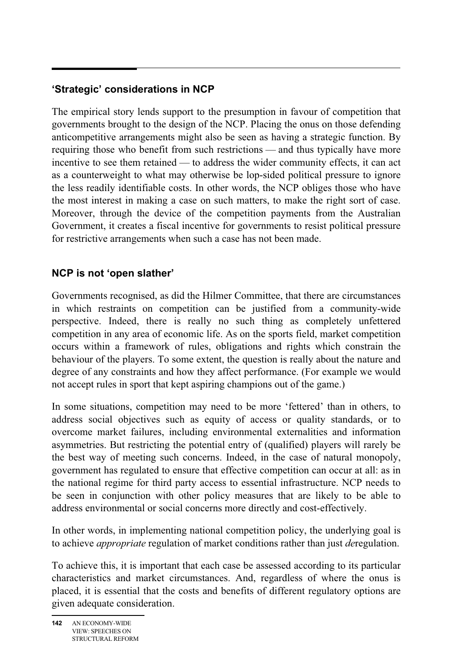# **'Strategic' considerations in NCP**

The empirical story lends support to the presumption in favour of competition that governments brought to the design of the NCP. Placing the onus on those defending anticompetitive arrangements might also be seen as having a strategic function. By requiring those who benefit from such restrictions — and thus typically have more incentive to see them retained — to address the wider community effects, it can act as a counterweight to what may otherwise be lop-sided political pressure to ignore the less readily identifiable costs. In other words, the NCP obliges those who have the most interest in making a case on such matters, to make the right sort of case. Moreover, through the device of the competition payments from the Australian Government, it creates a fiscal incentive for governments to resist political pressure for restrictive arrangements when such a case has not been made.

## **NCP is not 'open slather'**

Governments recognised, as did the Hilmer Committee, that there are circumstances in which restraints on competition can be justified from a community-wide perspective. Indeed, there is really no such thing as completely unfettered competition in any area of economic life. As on the sports field, market competition occurs within a framework of rules, obligations and rights which constrain the behaviour of the players. To some extent, the question is really about the nature and degree of any constraints and how they affect performance. (For example we would not accept rules in sport that kept aspiring champions out of the game.)

In some situations, competition may need to be more 'fettered' than in others, to address social objectives such as equity of access or quality standards, or to overcome market failures, including environmental externalities and information asymmetries. But restricting the potential entry of (qualified) players will rarely be the best way of meeting such concerns. Indeed, in the case of natural monopoly, government has regulated to ensure that effective competition can occur at all: as in the national regime for third party access to essential infrastructure. NCP needs to be seen in conjunction with other policy measures that are likely to be able to address environmental or social concerns more directly and cost-effectively.

In other words, in implementing national competition policy, the underlying goal is to achieve *appropriate* regulation of market conditions rather than just *de*regulation.

To achieve this, it is important that each case be assessed according to its particular characteristics and market circumstances. And, regardless of where the onus is placed, it is essential that the costs and benefits of different regulatory options are given adequate consideration.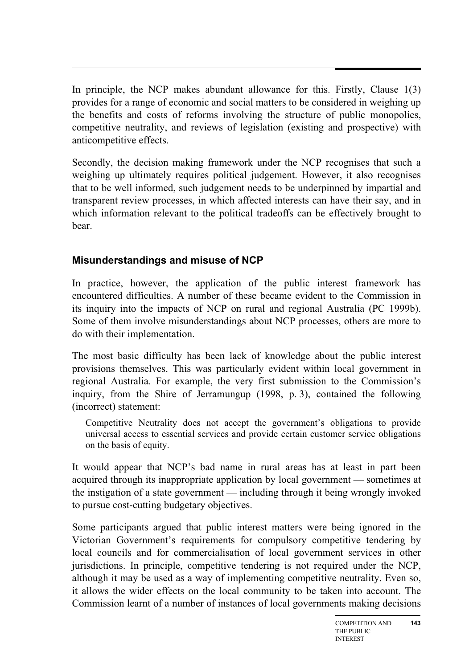In principle, the NCP makes abundant allowance for this. Firstly, Clause 1(3) provides for a range of economic and social matters to be considered in weighing up the benefits and costs of reforms involving the structure of public monopolies, competitive neutrality, and reviews of legislation (existing and prospective) with anticompetitive effects.

Secondly, the decision making framework under the NCP recognises that such a weighing up ultimately requires political judgement. However, it also recognises that to be well informed, such judgement needs to be underpinned by impartial and transparent review processes, in which affected interests can have their say, and in which information relevant to the political tradeoffs can be effectively brought to bear.

## **Misunderstandings and misuse of NCP**

In practice, however, the application of the public interest framework has encountered difficulties. A number of these became evident to the Commission in its inquiry into the impacts of NCP on rural and regional Australia (PC 1999b). Some of them involve misunderstandings about NCP processes, others are more to do with their implementation.

The most basic difficulty has been lack of knowledge about the public interest provisions themselves. This was particularly evident within local government in regional Australia. For example, the very first submission to the Commission's inquiry, from the Shire of Jerramungup (1998, p. 3), contained the following (incorrect) statement:

Competitive Neutrality does not accept the government's obligations to provide universal access to essential services and provide certain customer service obligations on the basis of equity.

It would appear that NCP's bad name in rural areas has at least in part been acquired through its inappropriate application by local government — sometimes at the instigation of a state government — including through it being wrongly invoked to pursue cost-cutting budgetary objectives.

Some participants argued that public interest matters were being ignored in the Victorian Government's requirements for compulsory competitive tendering by local councils and for commercialisation of local government services in other jurisdictions. In principle, competitive tendering is not required under the NCP, although it may be used as a way of implementing competitive neutrality. Even so, it allows the wider effects on the local community to be taken into account. The Commission learnt of a number of instances of local governments making decisions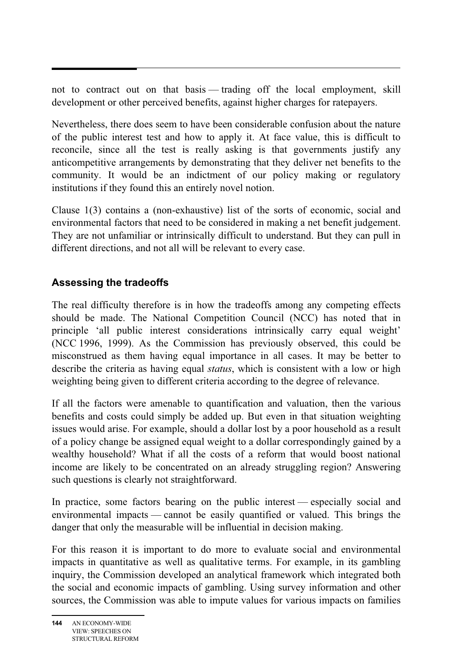not to contract out on that basis — trading off the local employment, skill development or other perceived benefits, against higher charges for ratepayers.

Nevertheless, there does seem to have been considerable confusion about the nature of the public interest test and how to apply it. At face value, this is difficult to reconcile, since all the test is really asking is that governments justify any anticompetitive arrangements by demonstrating that they deliver net benefits to the community. It would be an indictment of our policy making or regulatory institutions if they found this an entirely novel notion.

Clause 1(3) contains a (non-exhaustive) list of the sorts of economic, social and environmental factors that need to be considered in making a net benefit judgement. They are not unfamiliar or intrinsically difficult to understand. But they can pull in different directions, and not all will be relevant to every case.

## **Assessing the tradeoffs**

The real difficulty therefore is in how the tradeoffs among any competing effects should be made. The National Competition Council (NCC) has noted that in principle 'all public interest considerations intrinsically carry equal weight' (NCC 1996, 1999). As the Commission has previously observed, this could be misconstrued as them having equal importance in all cases. It may be better to describe the criteria as having equal *status*, which is consistent with a low or high weighting being given to different criteria according to the degree of relevance.

If all the factors were amenable to quantification and valuation, then the various benefits and costs could simply be added up. But even in that situation weighting issues would arise. For example, should a dollar lost by a poor household as a result of a policy change be assigned equal weight to a dollar correspondingly gained by a wealthy household? What if all the costs of a reform that would boost national income are likely to be concentrated on an already struggling region? Answering such questions is clearly not straightforward.

In practice, some factors bearing on the public interest — especially social and environmental impacts — cannot be easily quantified or valued. This brings the danger that only the measurable will be influential in decision making.

For this reason it is important to do more to evaluate social and environmental impacts in quantitative as well as qualitative terms. For example, in its gambling inquiry, the Commission developed an analytical framework which integrated both the social and economic impacts of gambling. Using survey information and other sources, the Commission was able to impute values for various impacts on families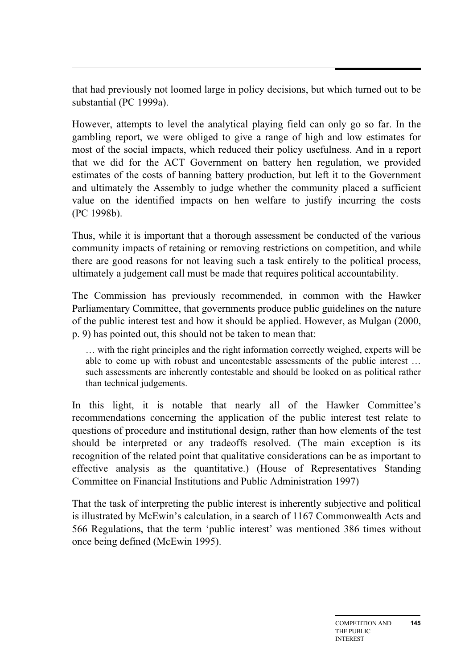that had previously not loomed large in policy decisions, but which turned out to be substantial (PC 1999a).

However, attempts to level the analytical playing field can only go so far. In the gambling report, we were obliged to give a range of high and low estimates for most of the social impacts, which reduced their policy usefulness. And in a report that we did for the ACT Government on battery hen regulation, we provided estimates of the costs of banning battery production, but left it to the Government and ultimately the Assembly to judge whether the community placed a sufficient value on the identified impacts on hen welfare to justify incurring the costs (PC 1998b).

Thus, while it is important that a thorough assessment be conducted of the various community impacts of retaining or removing restrictions on competition, and while there are good reasons for not leaving such a task entirely to the political process, ultimately a judgement call must be made that requires political accountability.

The Commission has previously recommended, in common with the Hawker Parliamentary Committee, that governments produce public guidelines on the nature of the public interest test and how it should be applied. However, as Mulgan (2000, p. 9) has pointed out, this should not be taken to mean that:

… with the right principles and the right information correctly weighed, experts will be able to come up with robust and uncontestable assessments of the public interest … such assessments are inherently contestable and should be looked on as political rather than technical judgements.

In this light, it is notable that nearly all of the Hawker Committee's recommendations concerning the application of the public interest test relate to questions of procedure and institutional design, rather than how elements of the test should be interpreted or any tradeoffs resolved. (The main exception is its recognition of the related point that qualitative considerations can be as important to effective analysis as the quantitative.) (House of Representatives Standing Committee on Financial Institutions and Public Administration 1997)

That the task of interpreting the public interest is inherently subjective and political is illustrated by McEwin's calculation, in a search of 1167 Commonwealth Acts and 566 Regulations, that the term 'public interest' was mentioned 386 times without once being defined (McEwin 1995).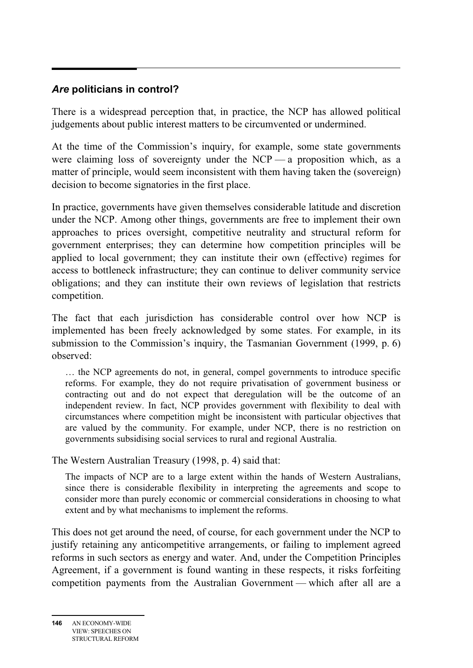# *Are* **politicians in control?**

There is a widespread perception that, in practice, the NCP has allowed political judgements about public interest matters to be circumvented or undermined.

At the time of the Commission's inquiry, for example, some state governments were claiming loss of sovereignty under the  $NCP$  — a proposition which, as a matter of principle, would seem inconsistent with them having taken the (sovereign) decision to become signatories in the first place.

In practice, governments have given themselves considerable latitude and discretion under the NCP. Among other things, governments are free to implement their own approaches to prices oversight, competitive neutrality and structural reform for government enterprises; they can determine how competition principles will be applied to local government; they can institute their own (effective) regimes for access to bottleneck infrastructure; they can continue to deliver community service obligations; and they can institute their own reviews of legislation that restricts competition.

The fact that each jurisdiction has considerable control over how NCP is implemented has been freely acknowledged by some states. For example, in its submission to the Commission's inquiry, the Tasmanian Government (1999, p. 6) observed:

… the NCP agreements do not, in general, compel governments to introduce specific reforms. For example, they do not require privatisation of government business or contracting out and do not expect that deregulation will be the outcome of an independent review. In fact, NCP provides government with flexibility to deal with circumstances where competition might be inconsistent with particular objectives that are valued by the community. For example, under NCP, there is no restriction on governments subsidising social services to rural and regional Australia.

The Western Australian Treasury (1998, p. 4) said that:

The impacts of NCP are to a large extent within the hands of Western Australians, since there is considerable flexibility in interpreting the agreements and scope to consider more than purely economic or commercial considerations in choosing to what extent and by what mechanisms to implement the reforms.

This does not get around the need, of course, for each government under the NCP to justify retaining any anticompetitive arrangements, or failing to implement agreed reforms in such sectors as energy and water. And, under the Competition Principles Agreement, if a government is found wanting in these respects, it risks forfeiting competition payments from the Australian Government — which after all are a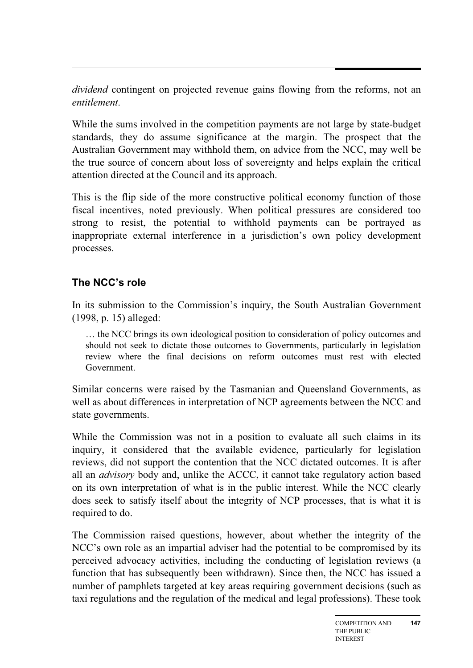*dividend* contingent on projected revenue gains flowing from the reforms, not an *entitlement*.

While the sums involved in the competition payments are not large by state-budget standards, they do assume significance at the margin. The prospect that the Australian Government may withhold them, on advice from the NCC, may well be the true source of concern about loss of sovereignty and helps explain the critical attention directed at the Council and its approach.

This is the flip side of the more constructive political economy function of those fiscal incentives, noted previously. When political pressures are considered too strong to resist, the potential to withhold payments can be portrayed as inappropriate external interference in a jurisdiction's own policy development processes.

#### **The NCC's role**

In its submission to the Commission's inquiry, the South Australian Government (1998, p. 15) alleged:

… the NCC brings its own ideological position to consideration of policy outcomes and should not seek to dictate those outcomes to Governments, particularly in legislation review where the final decisions on reform outcomes must rest with elected Government.

Similar concerns were raised by the Tasmanian and Queensland Governments, as well as about differences in interpretation of NCP agreements between the NCC and state governments.

While the Commission was not in a position to evaluate all such claims in its inquiry, it considered that the available evidence, particularly for legislation reviews, did not support the contention that the NCC dictated outcomes. It is after all an *advisory* body and, unlike the ACCC, it cannot take regulatory action based on its own interpretation of what is in the public interest. While the NCC clearly does seek to satisfy itself about the integrity of NCP processes, that is what it is required to do.

The Commission raised questions, however, about whether the integrity of the NCC's own role as an impartial adviser had the potential to be compromised by its perceived advocacy activities, including the conducting of legislation reviews (a function that has subsequently been withdrawn). Since then, the NCC has issued a number of pamphlets targeted at key areas requiring government decisions (such as taxi regulations and the regulation of the medical and legal professions). These took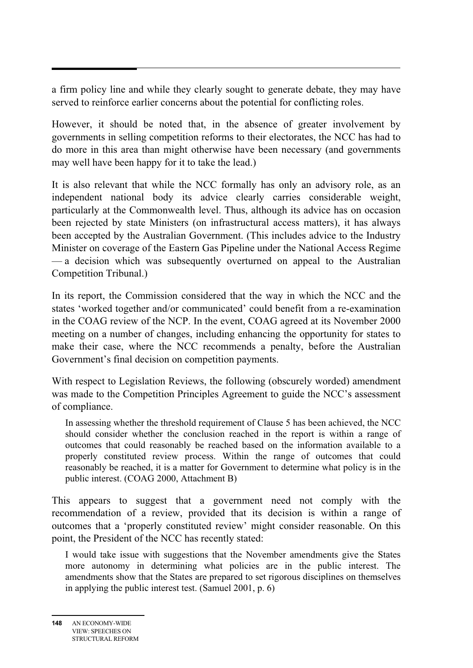a firm policy line and while they clearly sought to generate debate, they may have served to reinforce earlier concerns about the potential for conflicting roles.

However, it should be noted that, in the absence of greater involvement by governments in selling competition reforms to their electorates, the NCC has had to do more in this area than might otherwise have been necessary (and governments may well have been happy for it to take the lead.)

It is also relevant that while the NCC formally has only an advisory role, as an independent national body its advice clearly carries considerable weight, particularly at the Commonwealth level. Thus, although its advice has on occasion been rejected by state Ministers (on infrastructural access matters), it has always been accepted by the Australian Government. (This includes advice to the Industry Minister on coverage of the Eastern Gas Pipeline under the National Access Regime — a decision which was subsequently overturned on appeal to the Australian Competition Tribunal.)

In its report, the Commission considered that the way in which the NCC and the states 'worked together and/or communicated' could benefit from a re-examination in the COAG review of the NCP. In the event, COAG agreed at its November 2000 meeting on a number of changes, including enhancing the opportunity for states to make their case, where the NCC recommends a penalty, before the Australian Government's final decision on competition payments.

With respect to Legislation Reviews, the following (obscurely worded) amendment was made to the Competition Principles Agreement to guide the NCC's assessment of compliance.

In assessing whether the threshold requirement of Clause 5 has been achieved, the NCC should consider whether the conclusion reached in the report is within a range of outcomes that could reasonably be reached based on the information available to a properly constituted review process. Within the range of outcomes that could reasonably be reached, it is a matter for Government to determine what policy is in the public interest. (COAG 2000, Attachment B)

This appears to suggest that a government need not comply with the recommendation of a review, provided that its decision is within a range of outcomes that a 'properly constituted review' might consider reasonable. On this point, the President of the NCC has recently stated:

I would take issue with suggestions that the November amendments give the States more autonomy in determining what policies are in the public interest. The amendments show that the States are prepared to set rigorous disciplines on themselves in applying the public interest test. (Samuel 2001, p. 6)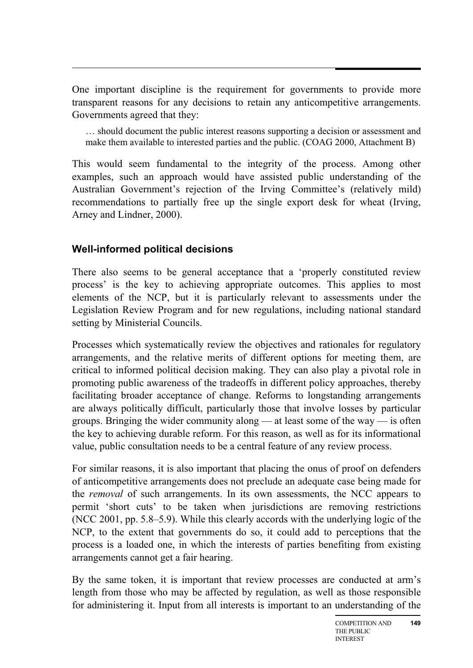One important discipline is the requirement for governments to provide more transparent reasons for any decisions to retain any anticompetitive arrangements. Governments agreed that they:

… should document the public interest reasons supporting a decision or assessment and make them available to interested parties and the public. (COAG 2000, Attachment B)

This would seem fundamental to the integrity of the process. Among other examples, such an approach would have assisted public understanding of the Australian Government's rejection of the Irving Committee's (relatively mild) recommendations to partially free up the single export desk for wheat (Irving, Arney and Lindner, 2000).

## **Well-informed political decisions**

There also seems to be general acceptance that a 'properly constituted review process' is the key to achieving appropriate outcomes. This applies to most elements of the NCP, but it is particularly relevant to assessments under the Legislation Review Program and for new regulations, including national standard setting by Ministerial Councils.

Processes which systematically review the objectives and rationales for regulatory arrangements, and the relative merits of different options for meeting them, are critical to informed political decision making. They can also play a pivotal role in promoting public awareness of the tradeoffs in different policy approaches, thereby facilitating broader acceptance of change. Reforms to longstanding arrangements are always politically difficult, particularly those that involve losses by particular groups. Bringing the wider community along — at least some of the way — is often the key to achieving durable reform. For this reason, as well as for its informational value, public consultation needs to be a central feature of any review process.

For similar reasons, it is also important that placing the onus of proof on defenders of anticompetitive arrangements does not preclude an adequate case being made for the *removal* of such arrangements. In its own assessments, the NCC appears to permit 'short cuts' to be taken when jurisdictions are removing restrictions (NCC 2001, pp. 5.8–5.9). While this clearly accords with the underlying logic of the NCP, to the extent that governments do so, it could add to perceptions that the process is a loaded one, in which the interests of parties benefiting from existing arrangements cannot get a fair hearing.

By the same token, it is important that review processes are conducted at arm's length from those who may be affected by regulation, as well as those responsible for administering it. Input from all interests is important to an understanding of the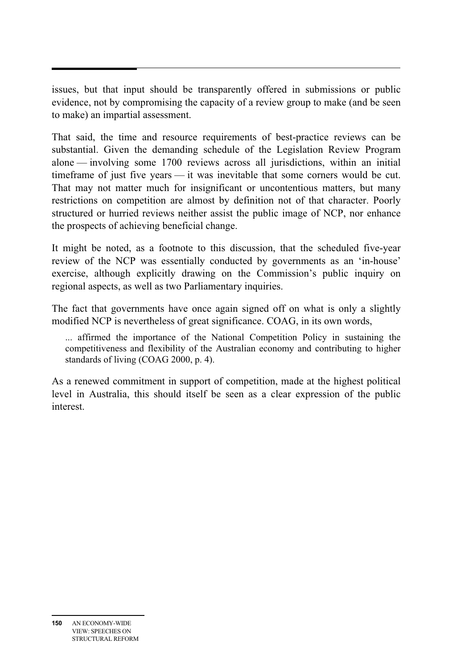issues, but that input should be transparently offered in submissions or public evidence, not by compromising the capacity of a review group to make (and be seen to make) an impartial assessment.

That said, the time and resource requirements of best-practice reviews can be substantial. Given the demanding schedule of the Legislation Review Program alone — involving some 1700 reviews across all jurisdictions, within an initial timeframe of just five years — it was inevitable that some corners would be cut. That may not matter much for insignificant or uncontentious matters, but many restrictions on competition are almost by definition not of that character. Poorly structured or hurried reviews neither assist the public image of NCP, nor enhance the prospects of achieving beneficial change.

It might be noted, as a footnote to this discussion, that the scheduled five-year review of the NCP was essentially conducted by governments as an 'in-house' exercise, although explicitly drawing on the Commission's public inquiry on regional aspects, as well as two Parliamentary inquiries.

The fact that governments have once again signed off on what is only a slightly modified NCP is nevertheless of great significance. COAG, in its own words,

... affirmed the importance of the National Competition Policy in sustaining the competitiveness and flexibility of the Australian economy and contributing to higher standards of living (COAG 2000, p. 4).

As a renewed commitment in support of competition, made at the highest political level in Australia, this should itself be seen as a clear expression of the public interest.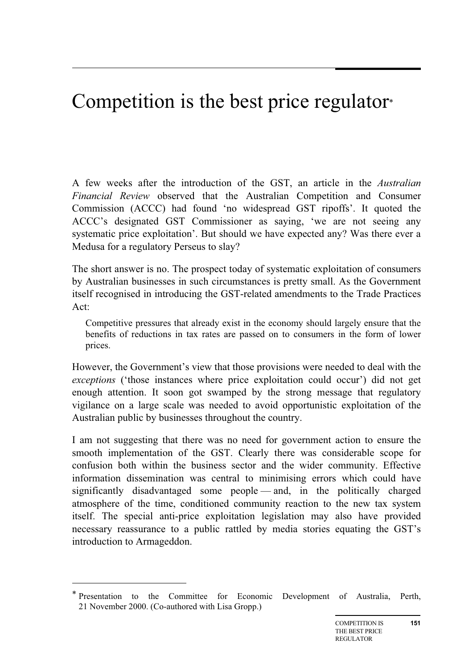# Competition is the best price regulator\*

A few weeks after the introduction of the GST, an article in the *Australian Financial Review* observed that the Australian Competition and Consumer Commission (ACCC) had found 'no widespread GST ripoffs'. It quoted the ACCC's designated GST Commissioner as saying, 'we are not seeing any systematic price exploitation'. But should we have expected any? Was there ever a Medusa for a regulatory Perseus to slay?

The short answer is no. The prospect today of systematic exploitation of consumers by Australian businesses in such circumstances is pretty small. As the Government itself recognised in introducing the GST-related amendments to the Trade Practices Act:

Competitive pressures that already exist in the economy should largely ensure that the benefits of reductions in tax rates are passed on to consumers in the form of lower prices.

However, the Government's view that those provisions were needed to deal with the *exceptions* ('those instances where price exploitation could occur') did not get enough attention. It soon got swamped by the strong message that regulatory vigilance on a large scale was needed to avoid opportunistic exploitation of the Australian public by businesses throughout the country.

I am not suggesting that there was no need for government action to ensure the smooth implementation of the GST. Clearly there was considerable scope for confusion both within the business sector and the wider community. Effective information dissemination was central to minimising errors which could have significantly disadvantaged some people — and, in the politically charged atmosphere of the time, conditioned community reaction to the new tax system itself. The special anti-price exploitation legislation may also have provided necessary reassurance to a public rattled by media stories equating the GST's introduction to Armageddon.

 $\overline{a}$ 

<sup>\*</sup> Presentation to the Committee for Economic Development of Australia, Perth, 21 November 2000. (Co-authored with Lisa Gropp.)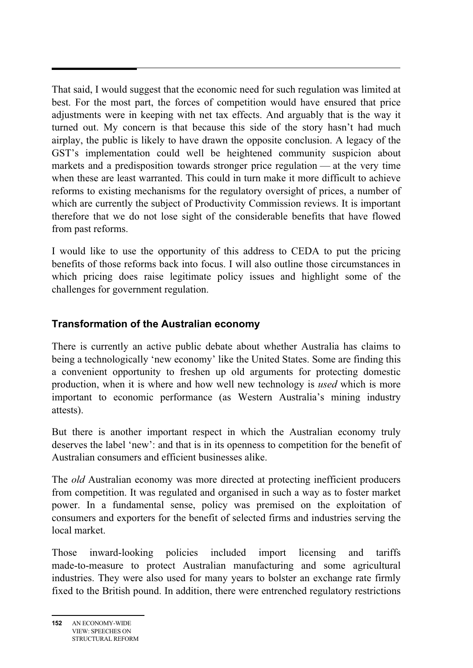That said, I would suggest that the economic need for such regulation was limited at best. For the most part, the forces of competition would have ensured that price adjustments were in keeping with net tax effects. And arguably that is the way it turned out. My concern is that because this side of the story hasn't had much airplay, the public is likely to have drawn the opposite conclusion. A legacy of the GST's implementation could well be heightened community suspicion about markets and a predisposition towards stronger price regulation — at the very time when these are least warranted. This could in turn make it more difficult to achieve reforms to existing mechanisms for the regulatory oversight of prices, a number of which are currently the subject of Productivity Commission reviews. It is important therefore that we do not lose sight of the considerable benefits that have flowed from past reforms.

I would like to use the opportunity of this address to CEDA to put the pricing benefits of those reforms back into focus. I will also outline those circumstances in which pricing does raise legitimate policy issues and highlight some of the challenges for government regulation.

## **Transformation of the Australian economy**

There is currently an active public debate about whether Australia has claims to being a technologically 'new economy' like the United States. Some are finding this a convenient opportunity to freshen up old arguments for protecting domestic production, when it is where and how well new technology is *used* which is more important to economic performance (as Western Australia's mining industry attests).

But there is another important respect in which the Australian economy truly deserves the label 'new': and that is in its openness to competition for the benefit of Australian consumers and efficient businesses alike.

The *old* Australian economy was more directed at protecting inefficient producers from competition. It was regulated and organised in such a way as to foster market power. In a fundamental sense, policy was premised on the exploitation of consumers and exporters for the benefit of selected firms and industries serving the local market.

Those inward-looking policies included import licensing and tariffs made-to-measure to protect Australian manufacturing and some agricultural industries. They were also used for many years to bolster an exchange rate firmly fixed to the British pound. In addition, there were entrenched regulatory restrictions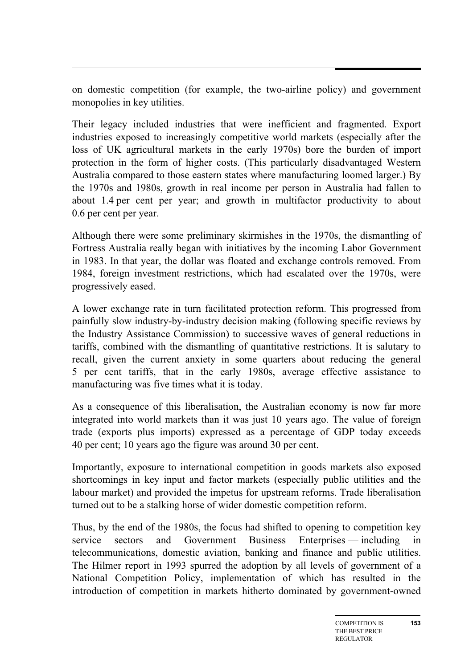on domestic competition (for example, the two-airline policy) and government monopolies in key utilities.

Their legacy included industries that were inefficient and fragmented. Export industries exposed to increasingly competitive world markets (especially after the loss of UK agricultural markets in the early 1970s) bore the burden of import protection in the form of higher costs. (This particularly disadvantaged Western Australia compared to those eastern states where manufacturing loomed larger.) By the 1970s and 1980s, growth in real income per person in Australia had fallen to about 1.4 per cent per year; and growth in multifactor productivity to about 0.6 per cent per year.

Although there were some preliminary skirmishes in the 1970s, the dismantling of Fortress Australia really began with initiatives by the incoming Labor Government in 1983. In that year, the dollar was floated and exchange controls removed. From 1984, foreign investment restrictions, which had escalated over the 1970s, were progressively eased.

A lower exchange rate in turn facilitated protection reform. This progressed from painfully slow industry-by-industry decision making (following specific reviews by the Industry Assistance Commission) to successive waves of general reductions in tariffs, combined with the dismantling of quantitative restrictions. It is salutary to recall, given the current anxiety in some quarters about reducing the general 5 per cent tariffs, that in the early 1980s, average effective assistance to manufacturing was five times what it is today.

As a consequence of this liberalisation, the Australian economy is now far more integrated into world markets than it was just 10 years ago. The value of foreign trade (exports plus imports) expressed as a percentage of GDP today exceeds 40 per cent; 10 years ago the figure was around 30 per cent.

Importantly, exposure to international competition in goods markets also exposed shortcomings in key input and factor markets (especially public utilities and the labour market) and provided the impetus for upstream reforms. Trade liberalisation turned out to be a stalking horse of wider domestic competition reform.

Thus, by the end of the 1980s, the focus had shifted to opening to competition key service sectors and Government Business Enterprises — including in telecommunications, domestic aviation, banking and finance and public utilities. The Hilmer report in 1993 spurred the adoption by all levels of government of a National Competition Policy, implementation of which has resulted in the introduction of competition in markets hitherto dominated by government-owned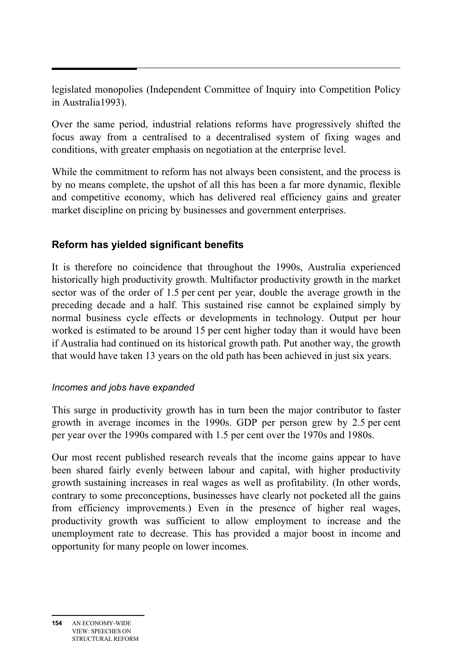legislated monopolies (Independent Committee of Inquiry into Competition Policy in Australia1993).

Over the same period, industrial relations reforms have progressively shifted the focus away from a centralised to a decentralised system of fixing wages and conditions, with greater emphasis on negotiation at the enterprise level.

While the commitment to reform has not always been consistent, and the process is by no means complete, the upshot of all this has been a far more dynamic, flexible and competitive economy, which has delivered real efficiency gains and greater market discipline on pricing by businesses and government enterprises.

#### **Reform has yielded significant benefits**

It is therefore no coincidence that throughout the 1990s, Australia experienced historically high productivity growth. Multifactor productivity growth in the market sector was of the order of 1.5 per cent per year, double the average growth in the preceding decade and a half. This sustained rise cannot be explained simply by normal business cycle effects or developments in technology. Output per hour worked is estimated to be around 15 per cent higher today than it would have been if Australia had continued on its historical growth path. Put another way, the growth that would have taken 13 years on the old path has been achieved in just six years.

#### *Incomes and jobs have expanded*

This surge in productivity growth has in turn been the major contributor to faster growth in average incomes in the 1990s. GDP per person grew by 2.5 per cent per year over the 1990s compared with 1.5 per cent over the 1970s and 1980s.

Our most recent published research reveals that the income gains appear to have been shared fairly evenly between labour and capital, with higher productivity growth sustaining increases in real wages as well as profitability. (In other words, contrary to some preconceptions, businesses have clearly not pocketed all the gains from efficiency improvements.) Even in the presence of higher real wages, productivity growth was sufficient to allow employment to increase and the unemployment rate to decrease. This has provided a major boost in income and opportunity for many people on lower incomes.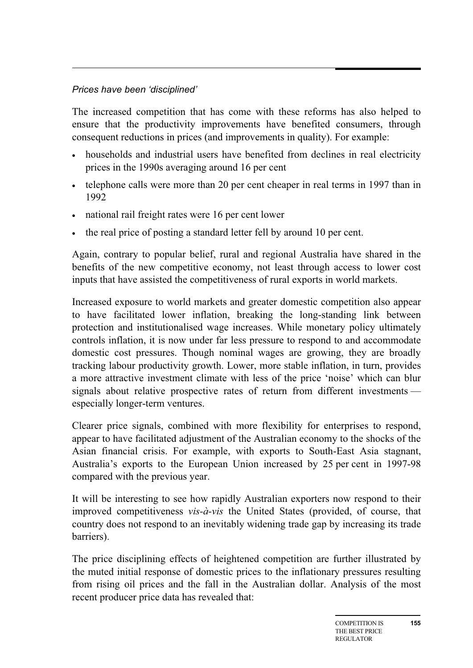# *Prices have been 'disciplined'*

The increased competition that has come with these reforms has also helped to ensure that the productivity improvements have benefited consumers, through consequent reductions in prices (and improvements in quality). For example:

- households and industrial users have benefited from declines in real electricity prices in the 1990s averaging around 16 per cent
- telephone calls were more than 20 per cent cheaper in real terms in 1997 than in 1992
- national rail freight rates were 16 per cent lower
- the real price of posting a standard letter fell by around 10 per cent.

Again, contrary to popular belief, rural and regional Australia have shared in the benefits of the new competitive economy, not least through access to lower cost inputs that have assisted the competitiveness of rural exports in world markets.

Increased exposure to world markets and greater domestic competition also appear to have facilitated lower inflation, breaking the long-standing link between protection and institutionalised wage increases. While monetary policy ultimately controls inflation, it is now under far less pressure to respond to and accommodate domestic cost pressures. Though nominal wages are growing, they are broadly tracking labour productivity growth. Lower, more stable inflation, in turn, provides a more attractive investment climate with less of the price 'noise' which can blur signals about relative prospective rates of return from different investments especially longer-term ventures.

Clearer price signals, combined with more flexibility for enterprises to respond, appear to have facilitated adjustment of the Australian economy to the shocks of the Asian financial crisis. For example, with exports to South-East Asia stagnant, Australia's exports to the European Union increased by 25 per cent in 1997-98 compared with the previous year.

It will be interesting to see how rapidly Australian exporters now respond to their improved competitiveness *vis-à-vis* the United States (provided, of course, that country does not respond to an inevitably widening trade gap by increasing its trade barriers).

The price disciplining effects of heightened competition are further illustrated by the muted initial response of domestic prices to the inflationary pressures resulting from rising oil prices and the fall in the Australian dollar. Analysis of the most recent producer price data has revealed that: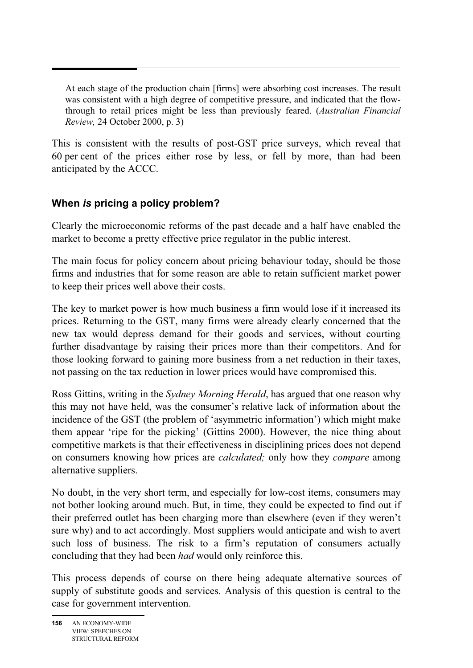At each stage of the production chain [firms] were absorbing cost increases. The result was consistent with a high degree of competitive pressure, and indicated that the flowthrough to retail prices might be less than previously feared. (*Australian Financial Review,* 24 October 2000, p. 3)

This is consistent with the results of post-GST price surveys, which reveal that 60 per cent of the prices either rose by less, or fell by more, than had been anticipated by the ACCC.

## **When** *is* **pricing a policy problem?**

Clearly the microeconomic reforms of the past decade and a half have enabled the market to become a pretty effective price regulator in the public interest.

The main focus for policy concern about pricing behaviour today, should be those firms and industries that for some reason are able to retain sufficient market power to keep their prices well above their costs.

The key to market power is how much business a firm would lose if it increased its prices. Returning to the GST, many firms were already clearly concerned that the new tax would depress demand for their goods and services, without courting further disadvantage by raising their prices more than their competitors. And for those looking forward to gaining more business from a net reduction in their taxes, not passing on the tax reduction in lower prices would have compromised this.

Ross Gittins, writing in the *Sydney Morning Herald*, has argued that one reason why this may not have held, was the consumer's relative lack of information about the incidence of the GST (the problem of 'asymmetric information') which might make them appear 'ripe for the picking' (Gittins 2000). However, the nice thing about competitive markets is that their effectiveness in disciplining prices does not depend on consumers knowing how prices are *calculated;* only how they *compare* among alternative suppliers.

No doubt, in the very short term, and especially for low-cost items, consumers may not bother looking around much. But, in time, they could be expected to find out if their preferred outlet has been charging more than elsewhere (even if they weren't sure why) and to act accordingly. Most suppliers would anticipate and wish to avert such loss of business. The risk to a firm's reputation of consumers actually concluding that they had been *had* would only reinforce this.

This process depends of course on there being adequate alternative sources of supply of substitute goods and services. Analysis of this question is central to the case for government intervention.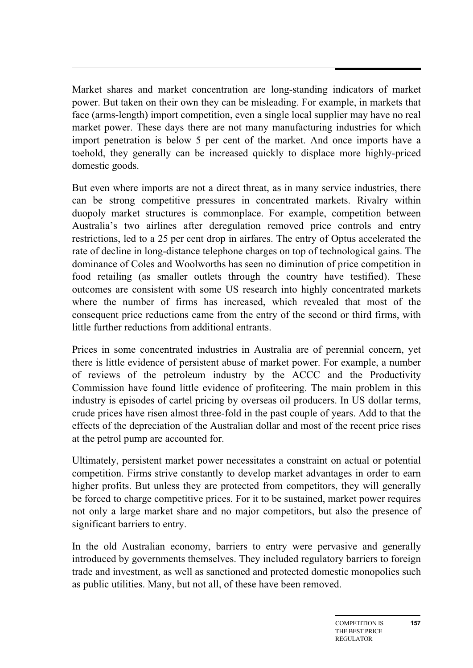Market shares and market concentration are long-standing indicators of market power. But taken on their own they can be misleading. For example, in markets that face (arms-length) import competition, even a single local supplier may have no real market power. These days there are not many manufacturing industries for which import penetration is below 5 per cent of the market. And once imports have a toehold, they generally can be increased quickly to displace more highly-priced domestic goods.

But even where imports are not a direct threat, as in many service industries, there can be strong competitive pressures in concentrated markets. Rivalry within duopoly market structures is commonplace. For example, competition between Australia's two airlines after deregulation removed price controls and entry restrictions, led to a 25 per cent drop in airfares. The entry of Optus accelerated the rate of decline in long-distance telephone charges on top of technological gains. The dominance of Coles and Woolworths has seen no diminution of price competition in food retailing (as smaller outlets through the country have testified). These outcomes are consistent with some US research into highly concentrated markets where the number of firms has increased, which revealed that most of the consequent price reductions came from the entry of the second or third firms, with little further reductions from additional entrants.

Prices in some concentrated industries in Australia are of perennial concern, yet there is little evidence of persistent abuse of market power. For example, a number of reviews of the petroleum industry by the ACCC and the Productivity Commission have found little evidence of profiteering. The main problem in this industry is episodes of cartel pricing by overseas oil producers. In US dollar terms, crude prices have risen almost three-fold in the past couple of years. Add to that the effects of the depreciation of the Australian dollar and most of the recent price rises at the petrol pump are accounted for.

Ultimately, persistent market power necessitates a constraint on actual or potential competition. Firms strive constantly to develop market advantages in order to earn higher profits. But unless they are protected from competitors, they will generally be forced to charge competitive prices. For it to be sustained, market power requires not only a large market share and no major competitors, but also the presence of significant barriers to entry.

In the old Australian economy, barriers to entry were pervasive and generally introduced by governments themselves. They included regulatory barriers to foreign trade and investment, as well as sanctioned and protected domestic monopolies such as public utilities. Many, but not all, of these have been removed.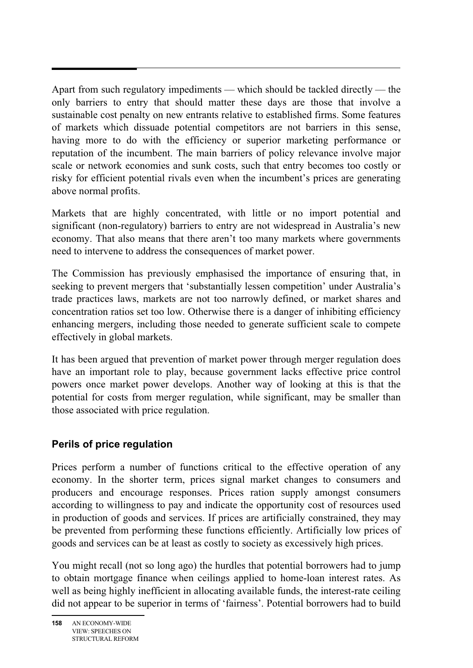Apart from such regulatory impediments — which should be tackled directly — the only barriers to entry that should matter these days are those that involve a sustainable cost penalty on new entrants relative to established firms. Some features of markets which dissuade potential competitors are not barriers in this sense, having more to do with the efficiency or superior marketing performance or reputation of the incumbent. The main barriers of policy relevance involve major scale or network economies and sunk costs, such that entry becomes too costly or risky for efficient potential rivals even when the incumbent's prices are generating above normal profits.

Markets that are highly concentrated, with little or no import potential and significant (non-regulatory) barriers to entry are not widespread in Australia's new economy. That also means that there aren't too many markets where governments need to intervene to address the consequences of market power.

The Commission has previously emphasised the importance of ensuring that, in seeking to prevent mergers that 'substantially lessen competition' under Australia's trade practices laws, markets are not too narrowly defined, or market shares and concentration ratios set too low. Otherwise there is a danger of inhibiting efficiency enhancing mergers, including those needed to generate sufficient scale to compete effectively in global markets.

It has been argued that prevention of market power through merger regulation does have an important role to play, because government lacks effective price control powers once market power develops. Another way of looking at this is that the potential for costs from merger regulation, while significant, may be smaller than those associated with price regulation.

## **Perils of price regulation**

Prices perform a number of functions critical to the effective operation of any economy. In the shorter term, prices signal market changes to consumers and producers and encourage responses. Prices ration supply amongst consumers according to willingness to pay and indicate the opportunity cost of resources used in production of goods and services. If prices are artificially constrained, they may be prevented from performing these functions efficiently. Artificially low prices of goods and services can be at least as costly to society as excessively high prices.

You might recall (not so long ago) the hurdles that potential borrowers had to jump to obtain mortgage finance when ceilings applied to home-loan interest rates. As well as being highly inefficient in allocating available funds, the interest-rate ceiling did not appear to be superior in terms of 'fairness'. Potential borrowers had to build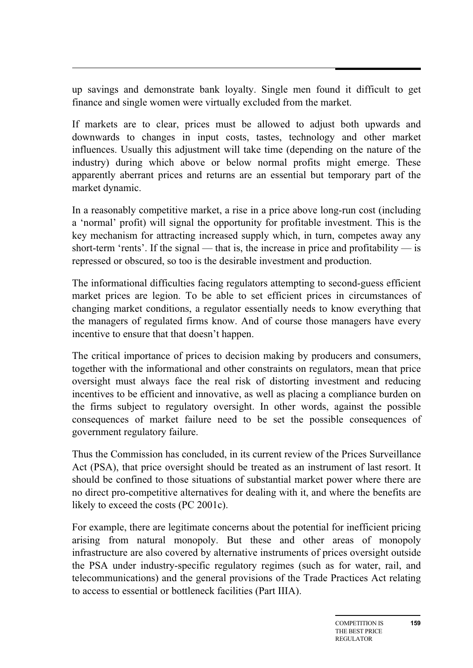up savings and demonstrate bank loyalty. Single men found it difficult to get finance and single women were virtually excluded from the market.

If markets are to clear, prices must be allowed to adjust both upwards and downwards to changes in input costs, tastes, technology and other market influences. Usually this adjustment will take time (depending on the nature of the industry) during which above or below normal profits might emerge. These apparently aberrant prices and returns are an essential but temporary part of the market dynamic.

In a reasonably competitive market, a rise in a price above long-run cost (including a 'normal' profit) will signal the opportunity for profitable investment. This is the key mechanism for attracting increased supply which, in turn, competes away any short-term 'rents'. If the signal — that is, the increase in price and profitability — is repressed or obscured, so too is the desirable investment and production.

The informational difficulties facing regulators attempting to second-guess efficient market prices are legion. To be able to set efficient prices in circumstances of changing market conditions, a regulator essentially needs to know everything that the managers of regulated firms know. And of course those managers have every incentive to ensure that that doesn't happen.

The critical importance of prices to decision making by producers and consumers, together with the informational and other constraints on regulators, mean that price oversight must always face the real risk of distorting investment and reducing incentives to be efficient and innovative, as well as placing a compliance burden on the firms subject to regulatory oversight. In other words, against the possible consequences of market failure need to be set the possible consequences of government regulatory failure.

Thus the Commission has concluded, in its current review of the Prices Surveillance Act (PSA), that price oversight should be treated as an instrument of last resort. It should be confined to those situations of substantial market power where there are no direct pro-competitive alternatives for dealing with it, and where the benefits are likely to exceed the costs (PC 2001c).

For example, there are legitimate concerns about the potential for inefficient pricing arising from natural monopoly. But these and other areas of monopoly infrastructure are also covered by alternative instruments of prices oversight outside the PSA under industry-specific regulatory regimes (such as for water, rail, and telecommunications) and the general provisions of the Trade Practices Act relating to access to essential or bottleneck facilities (Part IIIA).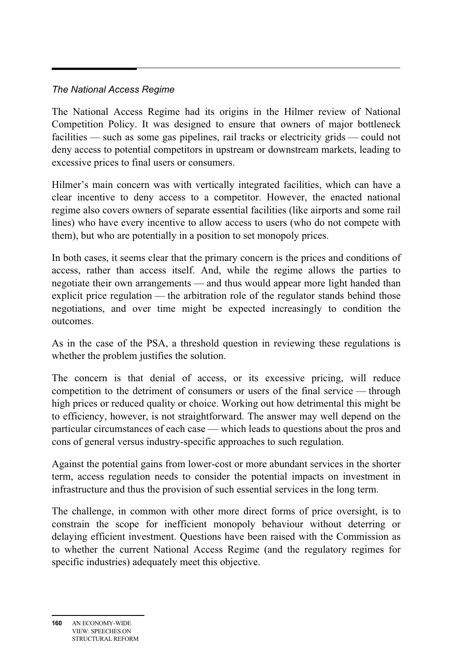# *The National Access Regime*

The National Access Regime had its origins in the Hilmer review of National Competition Policy. It was designed to ensure that owners of major bottleneck facilities — such as some gas pipelines, rail tracks or electricity grids — could not deny access to potential competitors in upstream or downstream markets, leading to excessive prices to final users or consumers.

Hilmer's main concern was with vertically integrated facilities, which can have a clear incentive to deny access to a competitor. However, the enacted national regime also covers owners of separate essential facilities (like airports and some rail lines) who have every incentive to allow access to users (who do not compete with them), but who are potentially in a position to set monopoly prices.

In both cases, it seems clear that the primary concern is the prices and conditions of access, rather than access itself. And, while the regime allows the parties to negotiate their own arrangements — and thus would appear more light handed than explicit price regulation — the arbitration role of the regulator stands behind those negotiations, and over time might be expected increasingly to condition the outcomes.

As in the case of the PSA, a threshold question in reviewing these regulations is whether the problem justifies the solution.

The concern is that denial of access, or its excessive pricing, will reduce competition to the detriment of consumers or users of the final service — through high prices or reduced quality or choice. Working out how detrimental this might be to efficiency, however, is not straightforward. The answer may well depend on the particular circumstances of each case — which leads to questions about the pros and cons of general versus industry-specific approaches to such regulation.

Against the potential gains from lower-cost or more abundant services in the shorter term, access regulation needs to consider the potential impacts on investment in infrastructure and thus the provision of such essential services in the long term.

The challenge, in common with other more direct forms of price oversight, is to constrain the scope for inefficient monopoly behaviour without deterring or delaying efficient investment. Questions have been raised with the Commission as to whether the current National Access Regime (and the regulatory regimes for specific industries) adequately meet this objective.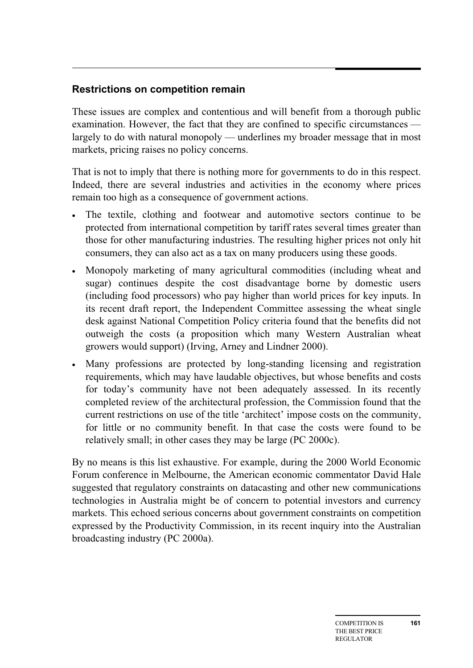# **Restrictions on competition remain**

These issues are complex and contentious and will benefit from a thorough public examination. However, the fact that they are confined to specific circumstances largely to do with natural monopoly — underlines my broader message that in most markets, pricing raises no policy concerns.

That is not to imply that there is nothing more for governments to do in this respect. Indeed, there are several industries and activities in the economy where prices remain too high as a consequence of government actions.

- The textile, clothing and footwear and automotive sectors continue to be protected from international competition by tariff rates several times greater than those for other manufacturing industries. The resulting higher prices not only hit consumers, they can also act as a tax on many producers using these goods.
- Monopoly marketing of many agricultural commodities (including wheat and sugar) continues despite the cost disadvantage borne by domestic users (including food processors) who pay higher than world prices for key inputs. In its recent draft report, the Independent Committee assessing the wheat single desk against National Competition Policy criteria found that the benefits did not outweigh the costs (a proposition which many Western Australian wheat growers would support) (Irving, Arney and Lindner 2000).
- Many professions are protected by long-standing licensing and registration requirements, which may have laudable objectives, but whose benefits and costs for today's community have not been adequately assessed. In its recently completed review of the architectural profession, the Commission found that the current restrictions on use of the title 'architect' impose costs on the community, for little or no community benefit. In that case the costs were found to be relatively small; in other cases they may be large (PC 2000c).

By no means is this list exhaustive. For example, during the 2000 World Economic Forum conference in Melbourne, the American economic commentator David Hale suggested that regulatory constraints on datacasting and other new communications technologies in Australia might be of concern to potential investors and currency markets. This echoed serious concerns about government constraints on competition expressed by the Productivity Commission, in its recent inquiry into the Australian broadcasting industry (PC 2000a).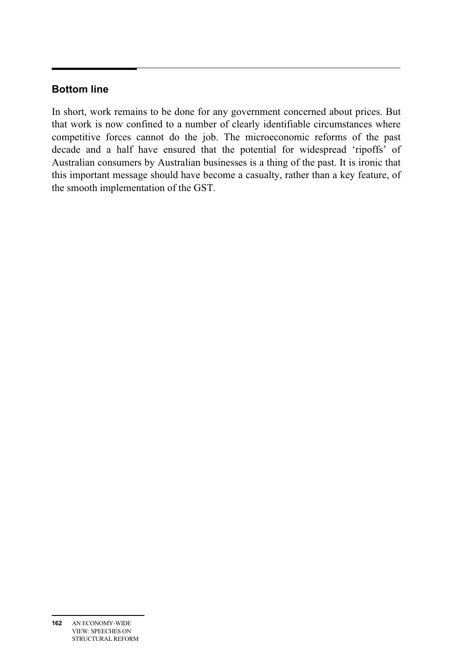# **Bottom line**

In short, work remains to be done for any government concerned about prices. But that work is now confined to a number of clearly identifiable circumstances where competitive forces cannot do the job. The microeconomic reforms of the past decade and a half have ensured that the potential for widespread 'ripoffs' of Australian consumers by Australian businesses is a thing of the past. It is ironic that this important message should have become a casualty, rather than a key feature, of the smooth implementation of the GST.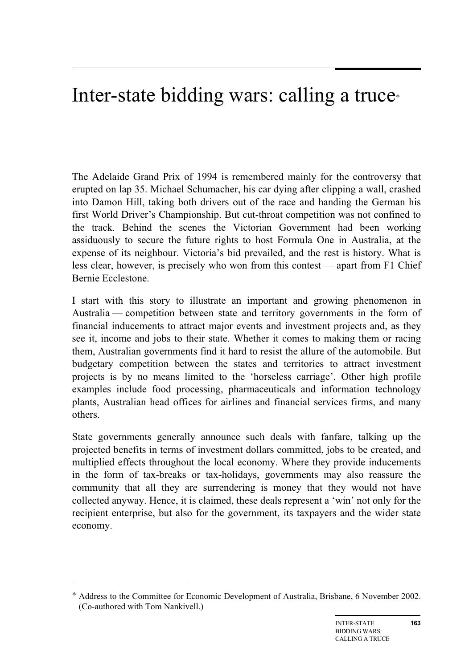# Inter-state bidding wars: calling a truce<sup>∗</sup>

The Adelaide Grand Prix of 1994 is remembered mainly for the controversy that erupted on lap 35. Michael Schumacher, his car dying after clipping a wall, crashed into Damon Hill, taking both drivers out of the race and handing the German his first World Driver's Championship. But cut-throat competition was not confined to the track. Behind the scenes the Victorian Government had been working assiduously to secure the future rights to host Formula One in Australia, at the expense of its neighbour. Victoria's bid prevailed, and the rest is history. What is less clear, however, is precisely who won from this contest — apart from F1 Chief Bernie Ecclestone.

I start with this story to illustrate an important and growing phenomenon in Australia — competition between state and territory governments in the form of financial inducements to attract major events and investment projects and, as they see it, income and jobs to their state. Whether it comes to making them or racing them, Australian governments find it hard to resist the allure of the automobile. But budgetary competition between the states and territories to attract investment projects is by no means limited to the 'horseless carriage'. Other high profile examples include food processing, pharmaceuticals and information technology plants, Australian head offices for airlines and financial services firms, and many others.

State governments generally announce such deals with fanfare, talking up the projected benefits in terms of investment dollars committed, jobs to be created, and multiplied effects throughout the local economy. Where they provide inducements in the form of tax-breaks or tax-holidays, governments may also reassure the community that all they are surrendering is money that they would not have collected anyway. Hence, it is claimed, these deals represent a 'win' not only for the recipient enterprise, but also for the government, its taxpayers and the wider state economy.

-

<sup>∗</sup> Address to the Committee for Economic Development of Australia, Brisbane, 6 November 2002. (Co-authored with Tom Nankivell.)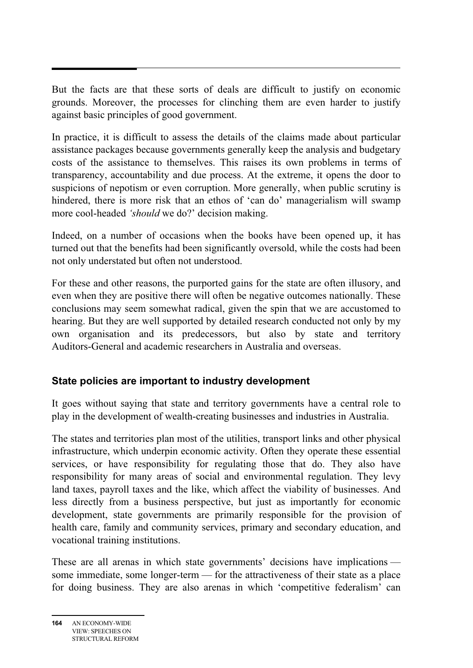But the facts are that these sorts of deals are difficult to justify on economic grounds. Moreover, the processes for clinching them are even harder to justify against basic principles of good government.

In practice, it is difficult to assess the details of the claims made about particular assistance packages because governments generally keep the analysis and budgetary costs of the assistance to themselves. This raises its own problems in terms of transparency, accountability and due process. At the extreme, it opens the door to suspicions of nepotism or even corruption. More generally, when public scrutiny is hindered, there is more risk that an ethos of 'can do' managerialism will swamp more cool-headed *'should* we do?' decision making.

Indeed, on a number of occasions when the books have been opened up, it has turned out that the benefits had been significantly oversold, while the costs had been not only understated but often not understood.

For these and other reasons, the purported gains for the state are often illusory, and even when they are positive there will often be negative outcomes nationally. These conclusions may seem somewhat radical, given the spin that we are accustomed to hearing. But they are well supported by detailed research conducted not only by my own organisation and its predecessors, but also by state and territory Auditors-General and academic researchers in Australia and overseas.

## **State policies are important to industry development**

It goes without saying that state and territory governments have a central role to play in the development of wealth-creating businesses and industries in Australia.

The states and territories plan most of the utilities, transport links and other physical infrastructure, which underpin economic activity. Often they operate these essential services, or have responsibility for regulating those that do. They also have responsibility for many areas of social and environmental regulation. They levy land taxes, payroll taxes and the like, which affect the viability of businesses. And less directly from a business perspective, but just as importantly for economic development, state governments are primarily responsible for the provision of health care, family and community services, primary and secondary education, and vocational training institutions.

These are all arenas in which state governments' decisions have implications some immediate, some longer-term — for the attractiveness of their state as a place for doing business. They are also arenas in which 'competitive federalism' can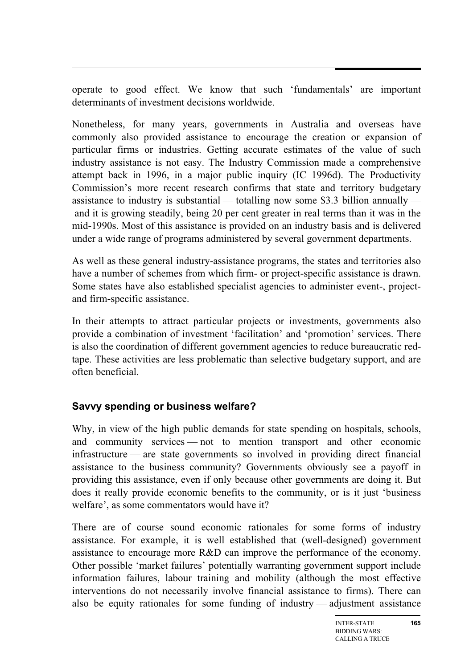operate to good effect. We know that such 'fundamentals' are important determinants of investment decisions worldwide.

Nonetheless, for many years, governments in Australia and overseas have commonly also provided assistance to encourage the creation or expansion of particular firms or industries. Getting accurate estimates of the value of such industry assistance is not easy. The Industry Commission made a comprehensive attempt back in 1996, in a major public inquiry (IC 1996d). The Productivity Commission's more recent research confirms that state and territory budgetary assistance to industry is substantial — totalling now some \$3.3 billion annually and it is growing steadily, being 20 per cent greater in real terms than it was in the mid-1990s. Most of this assistance is provided on an industry basis and is delivered under a wide range of programs administered by several government departments.

As well as these general industry-assistance programs, the states and territories also have a number of schemes from which firm- or project-specific assistance is drawn. Some states have also established specialist agencies to administer event-, projectand firm-specific assistance.

In their attempts to attract particular projects or investments, governments also provide a combination of investment 'facilitation' and 'promotion' services. There is also the coordination of different government agencies to reduce bureaucratic redtape. These activities are less problematic than selective budgetary support, and are often beneficial.

## **Savvy spending or business welfare?**

Why, in view of the high public demands for state spending on hospitals, schools, and community services — not to mention transport and other economic infrastructure — are state governments so involved in providing direct financial assistance to the business community? Governments obviously see a payoff in providing this assistance, even if only because other governments are doing it. But does it really provide economic benefits to the community, or is it just 'business welfare', as some commentators would have it?

There are of course sound economic rationales for some forms of industry assistance. For example, it is well established that (well-designed) government assistance to encourage more R&D can improve the performance of the economy. Other possible 'market failures' potentially warranting government support include information failures, labour training and mobility (although the most effective interventions do not necessarily involve financial assistance to firms). There can also be equity rationales for some funding of industry — adjustment assistance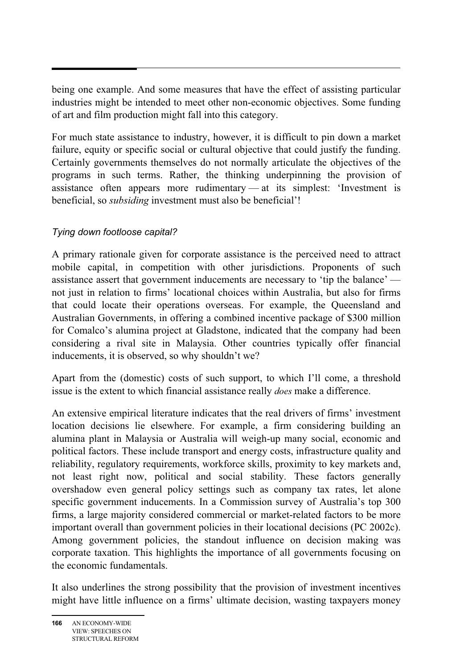being one example. And some measures that have the effect of assisting particular industries might be intended to meet other non-economic objectives. Some funding of art and film production might fall into this category.

For much state assistance to industry, however, it is difficult to pin down a market failure, equity or specific social or cultural objective that could justify the funding. Certainly governments themselves do not normally articulate the objectives of the programs in such terms. Rather, the thinking underpinning the provision of assistance often appears more rudimentary — at its simplest: 'Investment is beneficial, so *subsiding* investment must also be beneficial'!

## *Tying down footloose capital?*

A primary rationale given for corporate assistance is the perceived need to attract mobile capital, in competition with other jurisdictions. Proponents of such assistance assert that government inducements are necessary to 'tip the balance' not just in relation to firms' locational choices within Australia, but also for firms that could locate their operations overseas. For example, the Queensland and Australian Governments, in offering a combined incentive package of \$300 million for Comalco's alumina project at Gladstone, indicated that the company had been considering a rival site in Malaysia. Other countries typically offer financial inducements, it is observed, so why shouldn't we?

Apart from the (domestic) costs of such support, to which I'll come, a threshold issue is the extent to which financial assistance really *does* make a difference.

An extensive empirical literature indicates that the real drivers of firms' investment location decisions lie elsewhere. For example, a firm considering building an alumina plant in Malaysia or Australia will weigh-up many social, economic and political factors. These include transport and energy costs, infrastructure quality and reliability, regulatory requirements, workforce skills, proximity to key markets and, not least right now, political and social stability. These factors generally overshadow even general policy settings such as company tax rates, let alone specific government inducements. In a Commission survey of Australia's top 300 firms, a large majority considered commercial or market-related factors to be more important overall than government policies in their locational decisions (PC 2002c). Among government policies, the standout influence on decision making was corporate taxation. This highlights the importance of all governments focusing on the economic fundamentals.

It also underlines the strong possibility that the provision of investment incentives might have little influence on a firms' ultimate decision, wasting taxpayers money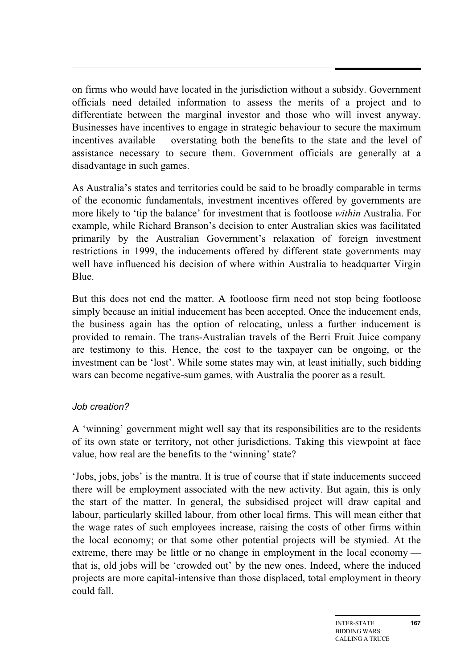on firms who would have located in the jurisdiction without a subsidy. Government officials need detailed information to assess the merits of a project and to differentiate between the marginal investor and those who will invest anyway. Businesses have incentives to engage in strategic behaviour to secure the maximum incentives available — overstating both the benefits to the state and the level of assistance necessary to secure them. Government officials are generally at a disadvantage in such games.

As Australia's states and territories could be said to be broadly comparable in terms of the economic fundamentals, investment incentives offered by governments are more likely to 'tip the balance' for investment that is footloose *within* Australia. For example, while Richard Branson's decision to enter Australian skies was facilitated primarily by the Australian Government's relaxation of foreign investment restrictions in 1999, the inducements offered by different state governments may well have influenced his decision of where within Australia to headquarter Virgin Blue.

But this does not end the matter. A footloose firm need not stop being footloose simply because an initial inducement has been accepted. Once the inducement ends, the business again has the option of relocating, unless a further inducement is provided to remain. The trans-Australian travels of the Berri Fruit Juice company are testimony to this. Hence, the cost to the taxpayer can be ongoing, or the investment can be 'lost'. While some states may win, at least initially, such bidding wars can become negative-sum games, with Australia the poorer as a result.

## *Job creation?*

A 'winning' government might well say that its responsibilities are to the residents of its own state or territory, not other jurisdictions. Taking this viewpoint at face value, how real are the benefits to the 'winning' state?

'Jobs, jobs, jobs' is the mantra. It is true of course that if state inducements succeed there will be employment associated with the new activity. But again, this is only the start of the matter. In general, the subsidised project will draw capital and labour, particularly skilled labour, from other local firms. This will mean either that the wage rates of such employees increase, raising the costs of other firms within the local economy; or that some other potential projects will be stymied. At the extreme, there may be little or no change in employment in the local economy that is, old jobs will be 'crowded out' by the new ones. Indeed, where the induced projects are more capital-intensive than those displaced, total employment in theory could fall.

**167**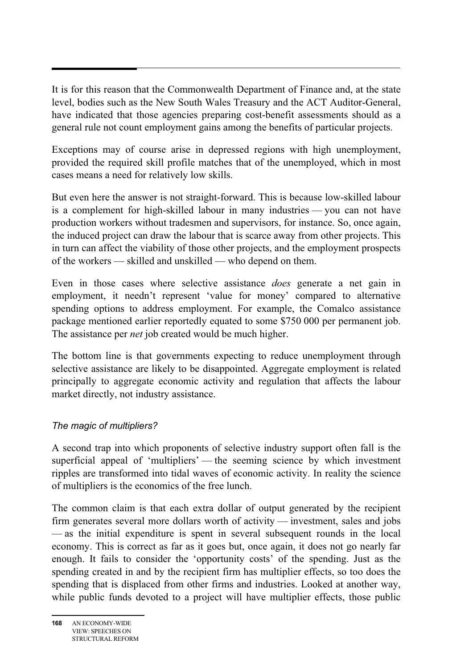It is for this reason that the Commonwealth Department of Finance and, at the state level, bodies such as the New South Wales Treasury and the ACT Auditor-General, have indicated that those agencies preparing cost-benefit assessments should as a general rule not count employment gains among the benefits of particular projects.

Exceptions may of course arise in depressed regions with high unemployment, provided the required skill profile matches that of the unemployed, which in most cases means a need for relatively low skills.

But even here the answer is not straight-forward. This is because low-skilled labour is a complement for high-skilled labour in many industries — you can not have production workers without tradesmen and supervisors, for instance. So, once again, the induced project can draw the labour that is scarce away from other projects. This in turn can affect the viability of those other projects, and the employment prospects of the workers — skilled and unskilled — who depend on them.

Even in those cases where selective assistance *does* generate a net gain in employment, it needn't represent 'value for money' compared to alternative spending options to address employment. For example, the Comalco assistance package mentioned earlier reportedly equated to some \$750 000 per permanent job. The assistance per *net* job created would be much higher.

The bottom line is that governments expecting to reduce unemployment through selective assistance are likely to be disappointed. Aggregate employment is related principally to aggregate economic activity and regulation that affects the labour market directly, not industry assistance.

## *The magic of multipliers?*

A second trap into which proponents of selective industry support often fall is the superficial appeal of 'multipliers' — the seeming science by which investment ripples are transformed into tidal waves of economic activity. In reality the science of multipliers is the economics of the free lunch.

The common claim is that each extra dollar of output generated by the recipient firm generates several more dollars worth of activity — investment, sales and jobs — as the initial expenditure is spent in several subsequent rounds in the local economy. This is correct as far as it goes but, once again, it does not go nearly far enough. It fails to consider the 'opportunity costs' of the spending. Just as the spending created in and by the recipient firm has multiplier effects, so too does the spending that is displaced from other firms and industries. Looked at another way, while public funds devoted to a project will have multiplier effects, those public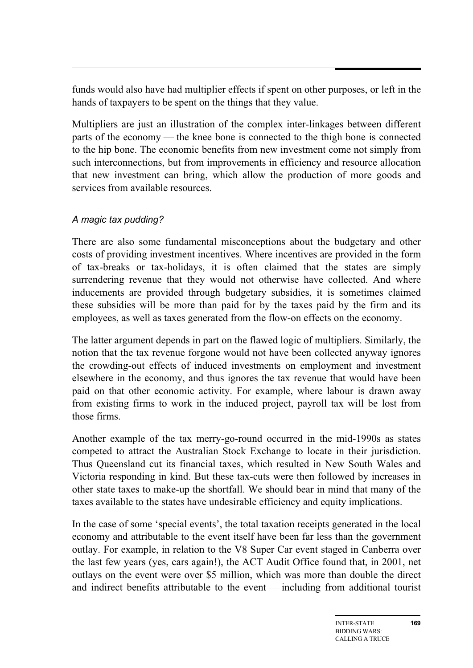funds would also have had multiplier effects if spent on other purposes, or left in the hands of taxpayers to be spent on the things that they value.

Multipliers are just an illustration of the complex inter-linkages between different parts of the economy — the knee bone is connected to the thigh bone is connected to the hip bone. The economic benefits from new investment come not simply from such interconnections, but from improvements in efficiency and resource allocation that new investment can bring, which allow the production of more goods and services from available resources.

#### *A magic tax pudding?*

There are also some fundamental misconceptions about the budgetary and other costs of providing investment incentives. Where incentives are provided in the form of tax-breaks or tax-holidays, it is often claimed that the states are simply surrendering revenue that they would not otherwise have collected. And where inducements are provided through budgetary subsidies, it is sometimes claimed these subsidies will be more than paid for by the taxes paid by the firm and its employees, as well as taxes generated from the flow-on effects on the economy.

The latter argument depends in part on the flawed logic of multipliers. Similarly, the notion that the tax revenue forgone would not have been collected anyway ignores the crowding-out effects of induced investments on employment and investment elsewhere in the economy, and thus ignores the tax revenue that would have been paid on that other economic activity. For example, where labour is drawn away from existing firms to work in the induced project, payroll tax will be lost from those firms.

Another example of the tax merry-go-round occurred in the mid-1990s as states competed to attract the Australian Stock Exchange to locate in their jurisdiction. Thus Queensland cut its financial taxes, which resulted in New South Wales and Victoria responding in kind. But these tax-cuts were then followed by increases in other state taxes to make-up the shortfall. We should bear in mind that many of the taxes available to the states have undesirable efficiency and equity implications.

In the case of some 'special events', the total taxation receipts generated in the local economy and attributable to the event itself have been far less than the government outlay. For example, in relation to the V8 Super Car event staged in Canberra over the last few years (yes, cars again!), the ACT Audit Office found that, in 2001, net outlays on the event were over \$5 million, which was more than double the direct and indirect benefits attributable to the event — including from additional tourist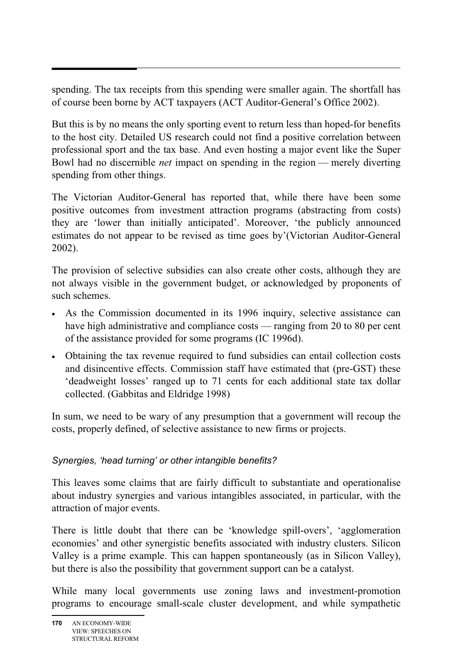spending. The tax receipts from this spending were smaller again. The shortfall has of course been borne by ACT taxpayers (ACT Auditor-General's Office 2002).

But this is by no means the only sporting event to return less than hoped-for benefits to the host city. Detailed US research could not find a positive correlation between professional sport and the tax base. And even hosting a major event like the Super Bowl had no discernible *net* impact on spending in the region — merely diverting spending from other things.

The Victorian Auditor-General has reported that, while there have been some positive outcomes from investment attraction programs (abstracting from costs) they are 'lower than initially anticipated'. Moreover, 'the publicly announced estimates do not appear to be revised as time goes by'(Victorian Auditor-General 2002).

The provision of selective subsidies can also create other costs, although they are not always visible in the government budget, or acknowledged by proponents of such schemes.

- As the Commission documented in its 1996 inquiry, selective assistance can have high administrative and compliance costs — ranging from 20 to 80 per cent of the assistance provided for some programs (IC 1996d).
- Obtaining the tax revenue required to fund subsidies can entail collection costs and disincentive effects. Commission staff have estimated that (pre-GST) these 'deadweight losses' ranged up to 71 cents for each additional state tax dollar collected. (Gabbitas and Eldridge 1998)

In sum, we need to be wary of any presumption that a government will recoup the costs, properly defined, of selective assistance to new firms or projects.

## *Synergies, 'head turning' or other intangible benefits?*

This leaves some claims that are fairly difficult to substantiate and operationalise about industry synergies and various intangibles associated, in particular, with the attraction of major events.

There is little doubt that there can be 'knowledge spill-overs', 'agglomeration economies' and other synergistic benefits associated with industry clusters. Silicon Valley is a prime example. This can happen spontaneously (as in Silicon Valley), but there is also the possibility that government support can be a catalyst.

While many local governments use zoning laws and investment-promotion programs to encourage small-scale cluster development, and while sympathetic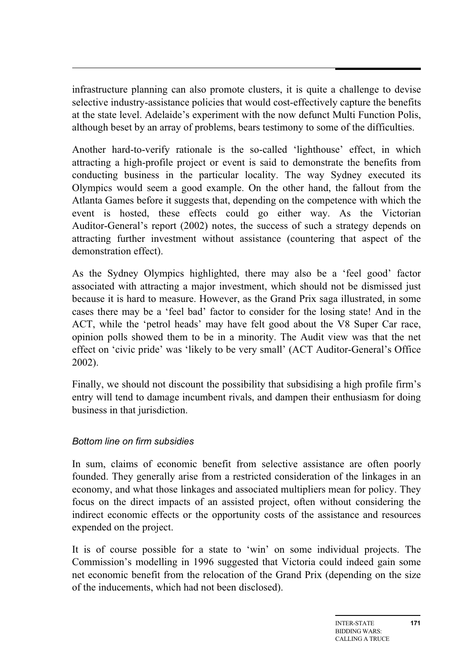infrastructure planning can also promote clusters, it is quite a challenge to devise selective industry-assistance policies that would cost-effectively capture the benefits at the state level. Adelaide's experiment with the now defunct Multi Function Polis, although beset by an array of problems, bears testimony to some of the difficulties.

Another hard-to-verify rationale is the so-called 'lighthouse' effect, in which attracting a high-profile project or event is said to demonstrate the benefits from conducting business in the particular locality. The way Sydney executed its Olympics would seem a good example. On the other hand, the fallout from the Atlanta Games before it suggests that, depending on the competence with which the event is hosted, these effects could go either way. As the Victorian Auditor-General's report (2002) notes, the success of such a strategy depends on attracting further investment without assistance (countering that aspect of the demonstration effect).

As the Sydney Olympics highlighted, there may also be a 'feel good' factor associated with attracting a major investment, which should not be dismissed just because it is hard to measure. However, as the Grand Prix saga illustrated, in some cases there may be a 'feel bad' factor to consider for the losing state! And in the ACT, while the 'petrol heads' may have felt good about the V8 Super Car race, opinion polls showed them to be in a minority. The Audit view was that the net effect on 'civic pride' was 'likely to be very small' (ACT Auditor-General's Office 2002).

Finally, we should not discount the possibility that subsidising a high profile firm's entry will tend to damage incumbent rivals, and dampen their enthusiasm for doing business in that jurisdiction.

#### *Bottom line on firm subsidies*

In sum, claims of economic benefit from selective assistance are often poorly founded. They generally arise from a restricted consideration of the linkages in an economy, and what those linkages and associated multipliers mean for policy. They focus on the direct impacts of an assisted project, often without considering the indirect economic effects or the opportunity costs of the assistance and resources expended on the project.

It is of course possible for a state to 'win' on some individual projects. The Commission's modelling in 1996 suggested that Victoria could indeed gain some net economic benefit from the relocation of the Grand Prix (depending on the size of the inducements, which had not been disclosed).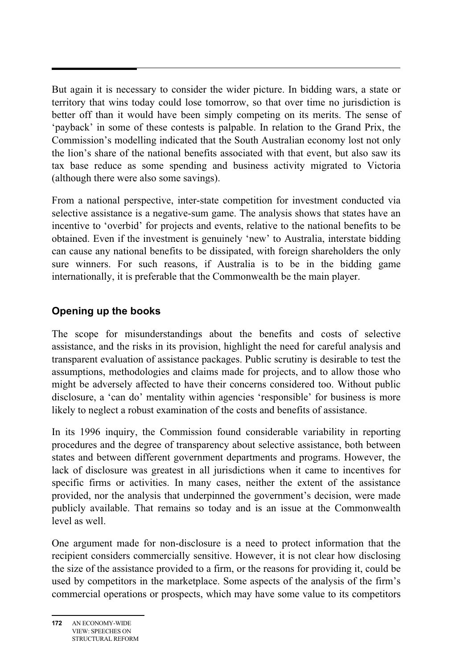But again it is necessary to consider the wider picture. In bidding wars, a state or territory that wins today could lose tomorrow, so that over time no jurisdiction is better off than it would have been simply competing on its merits. The sense of 'payback' in some of these contests is palpable. In relation to the Grand Prix, the Commission's modelling indicated that the South Australian economy lost not only the lion's share of the national benefits associated with that event, but also saw its tax base reduce as some spending and business activity migrated to Victoria (although there were also some savings).

From a national perspective, inter-state competition for investment conducted via selective assistance is a negative-sum game. The analysis shows that states have an incentive to 'overbid' for projects and events, relative to the national benefits to be obtained. Even if the investment is genuinely 'new' to Australia, interstate bidding can cause any national benefits to be dissipated, with foreign shareholders the only sure winners. For such reasons, if Australia is to be in the bidding game internationally, it is preferable that the Commonwealth be the main player.

# **Opening up the books**

The scope for misunderstandings about the benefits and costs of selective assistance, and the risks in its provision, highlight the need for careful analysis and transparent evaluation of assistance packages. Public scrutiny is desirable to test the assumptions, methodologies and claims made for projects, and to allow those who might be adversely affected to have their concerns considered too. Without public disclosure, a 'can do' mentality within agencies 'responsible' for business is more likely to neglect a robust examination of the costs and benefits of assistance.

In its 1996 inquiry, the Commission found considerable variability in reporting procedures and the degree of transparency about selective assistance, both between states and between different government departments and programs. However, the lack of disclosure was greatest in all jurisdictions when it came to incentives for specific firms or activities. In many cases, neither the extent of the assistance provided, nor the analysis that underpinned the government's decision, were made publicly available. That remains so today and is an issue at the Commonwealth level as well.

One argument made for non-disclosure is a need to protect information that the recipient considers commercially sensitive. However, it is not clear how disclosing the size of the assistance provided to a firm, or the reasons for providing it, could be used by competitors in the marketplace. Some aspects of the analysis of the firm's commercial operations or prospects, which may have some value to its competitors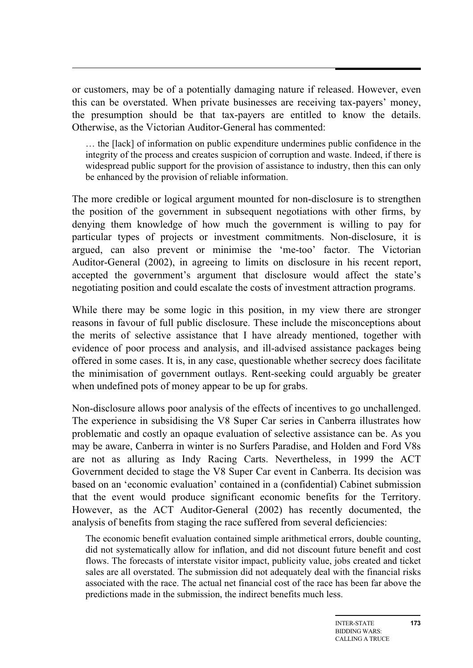or customers, may be of a potentially damaging nature if released. However, even this can be overstated. When private businesses are receiving tax-payers' money, the presumption should be that tax-payers are entitled to know the details. Otherwise, as the Victorian Auditor-General has commented:

… the [lack] of information on public expenditure undermines public confidence in the integrity of the process and creates suspicion of corruption and waste. Indeed, if there is widespread public support for the provision of assistance to industry, then this can only be enhanced by the provision of reliable information.

The more credible or logical argument mounted for non-disclosure is to strengthen the position of the government in subsequent negotiations with other firms, by denying them knowledge of how much the government is willing to pay for particular types of projects or investment commitments. Non-disclosure, it is argued, can also prevent or minimise the 'me-too' factor. The Victorian Auditor-General (2002), in agreeing to limits on disclosure in his recent report, accepted the government's argument that disclosure would affect the state's negotiating position and could escalate the costs of investment attraction programs.

While there may be some logic in this position, in my view there are stronger reasons in favour of full public disclosure. These include the misconceptions about the merits of selective assistance that I have already mentioned, together with evidence of poor process and analysis, and ill-advised assistance packages being offered in some cases. It is, in any case, questionable whether secrecy does facilitate the minimisation of government outlays. Rent-seeking could arguably be greater when undefined pots of money appear to be up for grabs.

Non-disclosure allows poor analysis of the effects of incentives to go unchallenged. The experience in subsidising the V8 Super Car series in Canberra illustrates how problematic and costly an opaque evaluation of selective assistance can be. As you may be aware, Canberra in winter is no Surfers Paradise, and Holden and Ford V8s are not as alluring as Indy Racing Carts. Nevertheless, in 1999 the ACT Government decided to stage the V8 Super Car event in Canberra. Its decision was based on an 'economic evaluation' contained in a (confidential) Cabinet submission that the event would produce significant economic benefits for the Territory. However, as the ACT Auditor-General (2002) has recently documented, the analysis of benefits from staging the race suffered from several deficiencies:

The economic benefit evaluation contained simple arithmetical errors, double counting, did not systematically allow for inflation, and did not discount future benefit and cost flows. The forecasts of interstate visitor impact, publicity value, jobs created and ticket sales are all overstated. The submission did not adequately deal with the financial risks associated with the race. The actual net financial cost of the race has been far above the predictions made in the submission, the indirect benefits much less.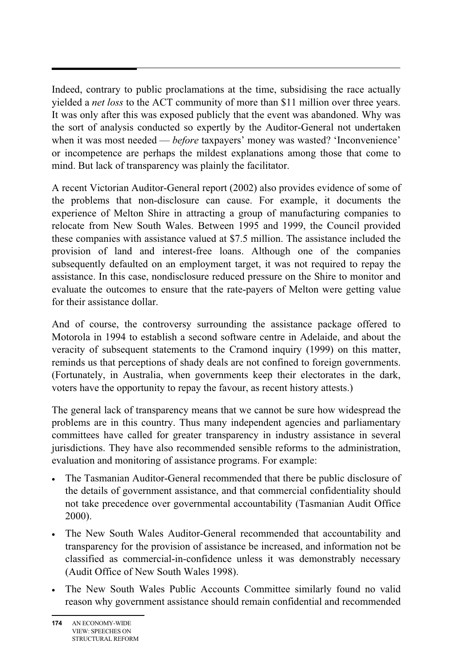Indeed, contrary to public proclamations at the time, subsidising the race actually yielded a *net loss* to the ACT community of more than \$11 million over three years. It was only after this was exposed publicly that the event was abandoned. Why was the sort of analysis conducted so expertly by the Auditor-General not undertaken when it was most needed — *before* taxpayers' money was wasted? 'Inconvenience' or incompetence are perhaps the mildest explanations among those that come to mind. But lack of transparency was plainly the facilitator.

A recent Victorian Auditor-General report (2002) also provides evidence of some of the problems that non-disclosure can cause. For example, it documents the experience of Melton Shire in attracting a group of manufacturing companies to relocate from New South Wales. Between 1995 and 1999, the Council provided these companies with assistance valued at \$7.5 million. The assistance included the provision of land and interest-free loans. Although one of the companies subsequently defaulted on an employment target, it was not required to repay the assistance. In this case, nondisclosure reduced pressure on the Shire to monitor and evaluate the outcomes to ensure that the rate-payers of Melton were getting value for their assistance dollar.

And of course, the controversy surrounding the assistance package offered to Motorola in 1994 to establish a second software centre in Adelaide, and about the veracity of subsequent statements to the Cramond inquiry (1999) on this matter, reminds us that perceptions of shady deals are not confined to foreign governments. (Fortunately, in Australia, when governments keep their electorates in the dark, voters have the opportunity to repay the favour, as recent history attests.)

The general lack of transparency means that we cannot be sure how widespread the problems are in this country. Thus many independent agencies and parliamentary committees have called for greater transparency in industry assistance in several jurisdictions. They have also recommended sensible reforms to the administration, evaluation and monitoring of assistance programs. For example:

- The Tasmanian Auditor-General recommended that there be public disclosure of the details of government assistance, and that commercial confidentiality should not take precedence over governmental accountability (Tasmanian Audit Office 2000).
- The New South Wales Auditor-General recommended that accountability and transparency for the provision of assistance be increased, and information not be classified as commercial-in-confidence unless it was demonstrably necessary (Audit Office of New South Wales 1998).
- The New South Wales Public Accounts Committee similarly found no valid reason why government assistance should remain confidential and recommended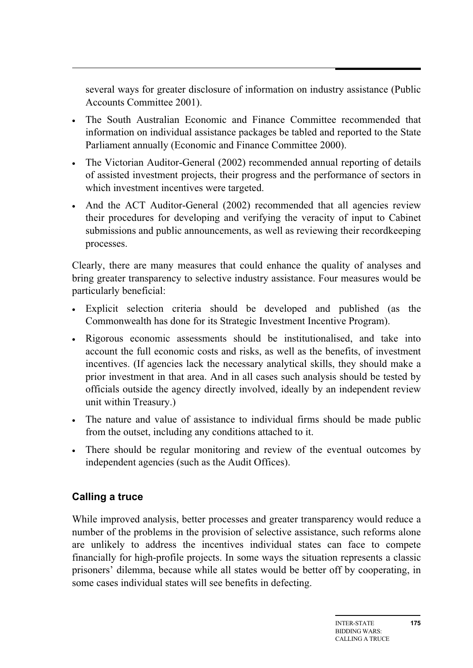several ways for greater disclosure of information on industry assistance (Public Accounts Committee 2001).

- The South Australian Economic and Finance Committee recommended that information on individual assistance packages be tabled and reported to the State Parliament annually (Economic and Finance Committee 2000).
- The Victorian Auditor-General (2002) recommended annual reporting of details of assisted investment projects, their progress and the performance of sectors in which investment incentives were targeted.
- And the ACT Auditor-General (2002) recommended that all agencies review their procedures for developing and verifying the veracity of input to Cabinet submissions and public announcements, as well as reviewing their recordkeeping processes.

Clearly, there are many measures that could enhance the quality of analyses and bring greater transparency to selective industry assistance. Four measures would be particularly beneficial:

- Explicit selection criteria should be developed and published (as the Commonwealth has done for its Strategic Investment Incentive Program).
- Rigorous economic assessments should be institutionalised, and take into account the full economic costs and risks, as well as the benefits, of investment incentives. (If agencies lack the necessary analytical skills, they should make a prior investment in that area. And in all cases such analysis should be tested by officials outside the agency directly involved, ideally by an independent review unit within Treasury.)
- The nature and value of assistance to individual firms should be made public from the outset, including any conditions attached to it.
- There should be regular monitoring and review of the eventual outcomes by independent agencies (such as the Audit Offices).

## **Calling a truce**

While improved analysis, better processes and greater transparency would reduce a number of the problems in the provision of selective assistance, such reforms alone are unlikely to address the incentives individual states can face to compete financially for high-profile projects. In some ways the situation represents a classic prisoners' dilemma, because while all states would be better off by cooperating, in some cases individual states will see benefits in defecting.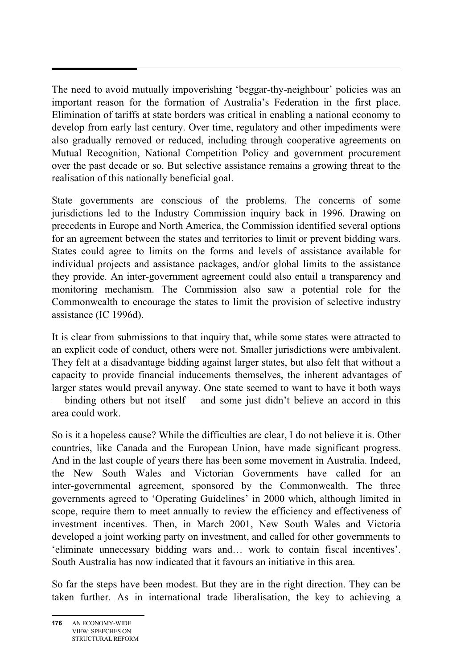The need to avoid mutually impoverishing 'beggar-thy-neighbour' policies was an important reason for the formation of Australia's Federation in the first place. Elimination of tariffs at state borders was critical in enabling a national economy to develop from early last century. Over time, regulatory and other impediments were also gradually removed or reduced, including through cooperative agreements on Mutual Recognition, National Competition Policy and government procurement over the past decade or so. But selective assistance remains a growing threat to the realisation of this nationally beneficial goal.

State governments are conscious of the problems. The concerns of some jurisdictions led to the Industry Commission inquiry back in 1996. Drawing on precedents in Europe and North America, the Commission identified several options for an agreement between the states and territories to limit or prevent bidding wars. States could agree to limits on the forms and levels of assistance available for individual projects and assistance packages, and/or global limits to the assistance they provide. An inter-government agreement could also entail a transparency and monitoring mechanism. The Commission also saw a potential role for the Commonwealth to encourage the states to limit the provision of selective industry assistance (IC 1996d).

It is clear from submissions to that inquiry that, while some states were attracted to an explicit code of conduct, others were not. Smaller jurisdictions were ambivalent. They felt at a disadvantage bidding against larger states, but also felt that without a capacity to provide financial inducements themselves, the inherent advantages of larger states would prevail anyway. One state seemed to want to have it both ways — binding others but not itself — and some just didn't believe an accord in this area could work.

So is it a hopeless cause? While the difficulties are clear, I do not believe it is. Other countries, like Canada and the European Union, have made significant progress. And in the last couple of years there has been some movement in Australia. Indeed, the New South Wales and Victorian Governments have called for an inter-governmental agreement, sponsored by the Commonwealth. The three governments agreed to 'Operating Guidelines' in 2000 which, although limited in scope, require them to meet annually to review the efficiency and effectiveness of investment incentives. Then, in March 2001, New South Wales and Victoria developed a joint working party on investment, and called for other governments to 'eliminate unnecessary bidding wars and… work to contain fiscal incentives'. South Australia has now indicated that it favours an initiative in this area.

So far the steps have been modest. But they are in the right direction. They can be taken further. As in international trade liberalisation, the key to achieving a

**<sup>176</sup>** AN ECONOMY-WIDE VIEW: SPEECHES ON STRUCTURAL REFORM